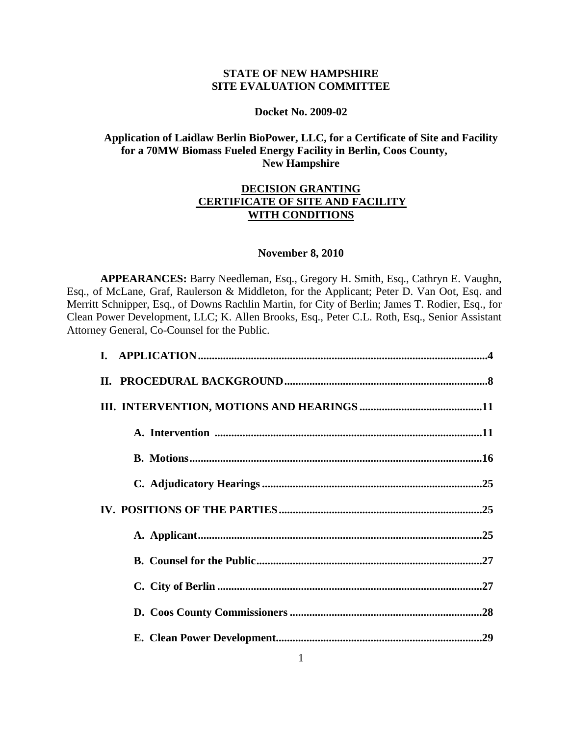# **STATE OF NEW HAMPSHIRE SITE EVALUATION COMMITTEE**

## **Docket No. 2009-02**

# **Application of Laidlaw Berlin BioPower, LLC, for a Certificate of Site and Facility for a 70MW Biomass Fueled Energy Facility in Berlin, Coos County, New Hampshire**

# **DECISION GRANTING CERTIFICATE OF SITE AND FACILITY WITH CONDITIONS**

## **November 8, 2010**

**APPEARANCES:** Barry Needleman, Esq., Gregory H. Smith, Esq., Cathryn E. Vaughn, Esq., of McLane, Graf, Raulerson & Middleton, for the Applicant; Peter D. Van Oot, Esq. and Merritt Schnipper, Esq., of Downs Rachlin Martin, for City of Berlin; James T. Rodier, Esq., for Clean Power Development, LLC; K. Allen Brooks, Esq., Peter C.L. Roth, Esq., Senior Assistant Attorney General, Co-Counsel for the Public.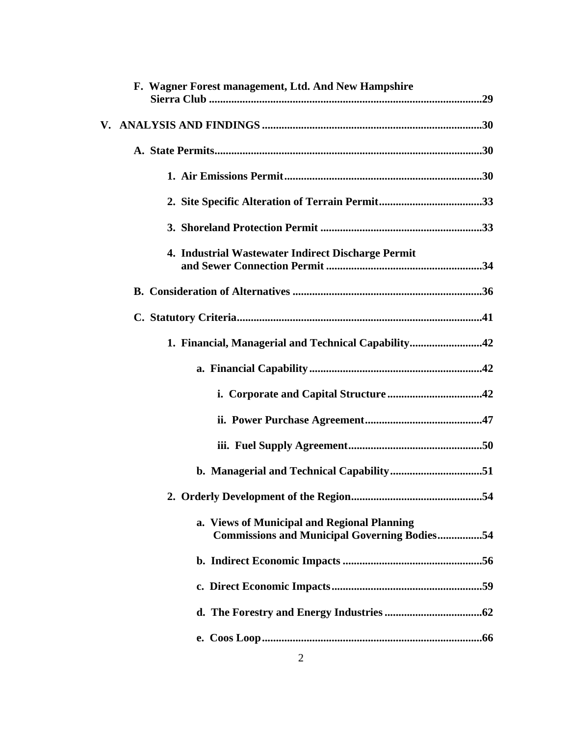| F. Wagner Forest management, Ltd. And New Hampshire                                                |
|----------------------------------------------------------------------------------------------------|
|                                                                                                    |
|                                                                                                    |
|                                                                                                    |
|                                                                                                    |
|                                                                                                    |
| 4. Industrial Wastewater Indirect Discharge Permit                                                 |
|                                                                                                    |
|                                                                                                    |
| 1. Financial, Managerial and Technical Capability42                                                |
|                                                                                                    |
|                                                                                                    |
|                                                                                                    |
|                                                                                                    |
|                                                                                                    |
|                                                                                                    |
| a. Views of Municipal and Regional Planning<br><b>Commissions and Municipal Governing Bodies54</b> |
|                                                                                                    |
|                                                                                                    |
|                                                                                                    |
|                                                                                                    |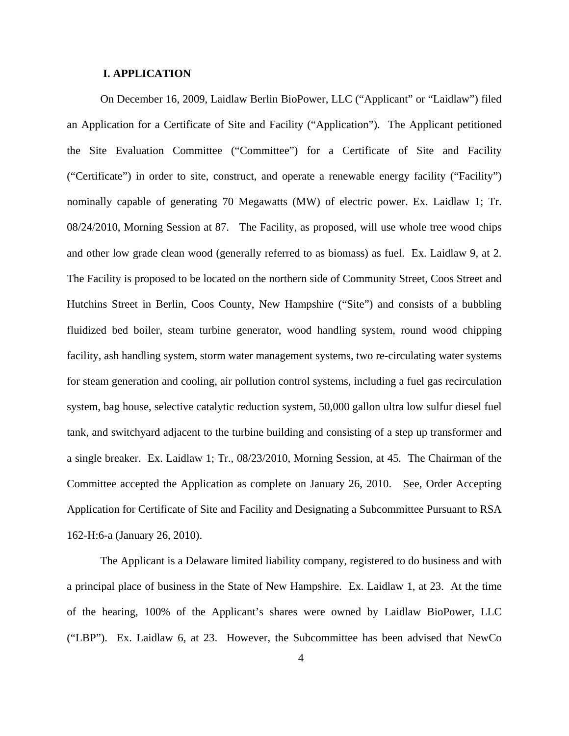## **I. APPLICATION**

On December 16, 2009, Laidlaw Berlin BioPower, LLC ("Applicant" or "Laidlaw") filed an Application for a Certificate of Site and Facility ("Application"). The Applicant petitioned the Site Evaluation Committee ("Committee") for a Certificate of Site and Facility ("Certificate") in order to site, construct, and operate a renewable energy facility ("Facility") nominally capable of generating 70 Megawatts (MW) of electric power. Ex. Laidlaw 1; Tr. 08/24/2010, Morning Session at 87. The Facility, as proposed, will use whole tree wood chips and other low grade clean wood (generally referred to as biomass) as fuel. Ex. Laidlaw 9, at 2. The Facility is proposed to be located on the northern side of Community Street, Coos Street and Hutchins Street in Berlin, Coos County, New Hampshire ("Site") and consists of a bubbling fluidized bed boiler, steam turbine generator, wood handling system, round wood chipping facility, ash handling system, storm water management systems, two re-circulating water systems for steam generation and cooling, air pollution control systems, including a fuel gas recirculation system, bag house, selective catalytic reduction system, 50,000 gallon ultra low sulfur diesel fuel tank, and switchyard adjacent to the turbine building and consisting of a step up transformer and a single breaker. Ex. Laidlaw 1; Tr., 08/23/2010, Morning Session, at 45. The Chairman of the Committee accepted the Application as complete on January 26, 2010. See, Order Accepting Application for Certificate of Site and Facility and Designating a Subcommittee Pursuant to RSA 162-H:6-a (January 26, 2010).

The Applicant is a Delaware limited liability company, registered to do business and with a principal place of business in the State of New Hampshire. Ex. Laidlaw 1, at 23. At the time of the hearing, 100% of the Applicant's shares were owned by Laidlaw BioPower, LLC ("LBP"). Ex. Laidlaw 6, at 23. However, the Subcommittee has been advised that NewCo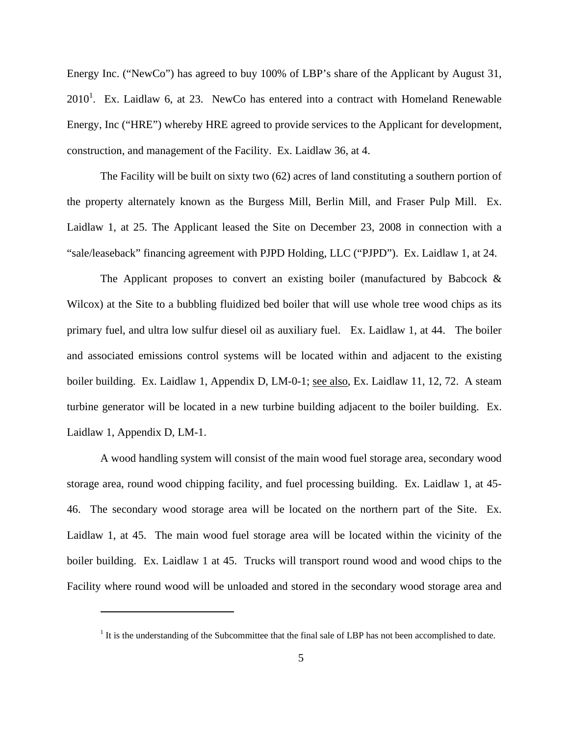Energy Inc. ("NewCo") has agreed to buy 100% of LBP's share of the Applicant by August 31,  $2010<sup>1</sup>$ . Ex. Laidlaw 6, at 23. NewCo has entered into a contract with Homeland Renewable Energy, Inc ("HRE") whereby HRE agreed to provide services to the Applicant for development, construction, and management of the Facility. Ex. Laidlaw 36, at 4.

The Facility will be built on sixty two (62) acres of land constituting a southern portion of the property alternately known as the Burgess Mill, Berlin Mill, and Fraser Pulp Mill. Ex. Laidlaw 1, at 25. The Applicant leased the Site on December 23, 2008 in connection with a "sale/leaseback" financing agreement with PJPD Holding, LLC ("PJPD"). Ex. Laidlaw 1, at 24.

The Applicant proposes to convert an existing boiler (manufactured by Babcock  $\&$ Wilcox) at the Site to a bubbling fluidized bed boiler that will use whole tree wood chips as its primary fuel, and ultra low sulfur diesel oil as auxiliary fuel. Ex. Laidlaw 1, at 44. The boiler and associated emissions control systems will be located within and adjacent to the existing boiler building. Ex. Laidlaw 1, Appendix D, LM-0-1; see also, Ex. Laidlaw 11, 12, 72. A steam turbine generator will be located in a new turbine building adjacent to the boiler building. Ex. Laidlaw 1, Appendix D, LM-1.

A wood handling system will consist of the main wood fuel storage area, secondary wood storage area, round wood chipping facility, and fuel processing building. Ex. Laidlaw 1, at 45- 46. The secondary wood storage area will be located on the northern part of the Site. Ex. Laidlaw 1, at 45. The main wood fuel storage area will be located within the vicinity of the boiler building. Ex. Laidlaw 1 at 45. Trucks will transport round wood and wood chips to the Facility where round wood will be unloaded and stored in the secondary wood storage area and

 $\overline{a}$ 

 $<sup>1</sup>$  It is the understanding of the Subcommittee that the final sale of LBP has not been accomplished to date.</sup>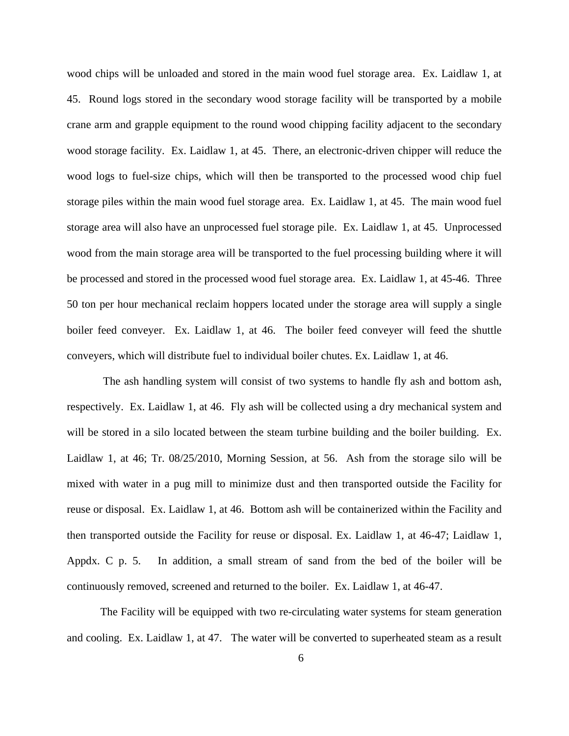wood chips will be unloaded and stored in the main wood fuel storage area. Ex. Laidlaw 1, at 45. Round logs stored in the secondary wood storage facility will be transported by a mobile crane arm and grapple equipment to the round wood chipping facility adjacent to the secondary wood storage facility. Ex. Laidlaw 1, at 45. There, an electronic-driven chipper will reduce the wood logs to fuel-size chips, which will then be transported to the processed wood chip fuel storage piles within the main wood fuel storage area. Ex. Laidlaw 1, at 45. The main wood fuel storage area will also have an unprocessed fuel storage pile. Ex. Laidlaw 1, at 45. Unprocessed wood from the main storage area will be transported to the fuel processing building where it will be processed and stored in the processed wood fuel storage area. Ex. Laidlaw 1, at 45-46. Three 50 ton per hour mechanical reclaim hoppers located under the storage area will supply a single boiler feed conveyer. Ex. Laidlaw 1, at 46. The boiler feed conveyer will feed the shuttle conveyers, which will distribute fuel to individual boiler chutes. Ex. Laidlaw 1, at 46.

 The ash handling system will consist of two systems to handle fly ash and bottom ash, respectively. Ex. Laidlaw 1, at 46. Fly ash will be collected using a dry mechanical system and will be stored in a silo located between the steam turbine building and the boiler building. Ex. Laidlaw 1, at 46; Tr. 08/25/2010, Morning Session, at 56. Ash from the storage silo will be mixed with water in a pug mill to minimize dust and then transported outside the Facility for reuse or disposal. Ex. Laidlaw 1, at 46. Bottom ash will be containerized within the Facility and then transported outside the Facility for reuse or disposal. Ex. Laidlaw 1, at 46-47; Laidlaw 1, Appdx. C p. 5. In addition, a small stream of sand from the bed of the boiler will be continuously removed, screened and returned to the boiler. Ex. Laidlaw 1, at 46-47.

The Facility will be equipped with two re-circulating water systems for steam generation and cooling. Ex. Laidlaw 1, at 47. The water will be converted to superheated steam as a result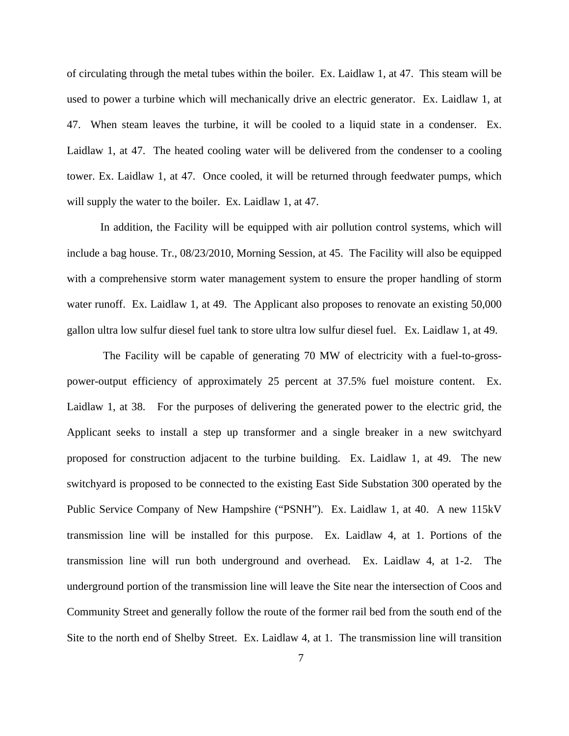of circulating through the metal tubes within the boiler. Ex. Laidlaw 1, at 47. This steam will be used to power a turbine which will mechanically drive an electric generator. Ex. Laidlaw 1, at 47. When steam leaves the turbine, it will be cooled to a liquid state in a condenser. Ex. Laidlaw 1, at 47. The heated cooling water will be delivered from the condenser to a cooling tower. Ex. Laidlaw 1, at 47. Once cooled, it will be returned through feedwater pumps, which will supply the water to the boiler. Ex. Laidlaw 1, at 47.

In addition, the Facility will be equipped with air pollution control systems, which will include a bag house. Tr., 08/23/2010, Morning Session, at 45. The Facility will also be equipped with a comprehensive storm water management system to ensure the proper handling of storm water runoff. Ex. Laidlaw 1, at 49. The Applicant also proposes to renovate an existing 50,000 gallon ultra low sulfur diesel fuel tank to store ultra low sulfur diesel fuel. Ex. Laidlaw 1, at 49.

 The Facility will be capable of generating 70 MW of electricity with a fuel-to-grosspower-output efficiency of approximately 25 percent at 37.5% fuel moisture content. Ex. Laidlaw 1, at 38. For the purposes of delivering the generated power to the electric grid, the Applicant seeks to install a step up transformer and a single breaker in a new switchyard proposed for construction adjacent to the turbine building. Ex. Laidlaw 1, at 49. The new switchyard is proposed to be connected to the existing East Side Substation 300 operated by the Public Service Company of New Hampshire ("PSNH"). Ex. Laidlaw 1, at 40. A new 115kV transmission line will be installed for this purpose. Ex. Laidlaw 4, at 1. Portions of the transmission line will run both underground and overhead. Ex. Laidlaw 4, at 1-2. The underground portion of the transmission line will leave the Site near the intersection of Coos and Community Street and generally follow the route of the former rail bed from the south end of the Site to the north end of Shelby Street. Ex. Laidlaw 4, at 1. The transmission line will transition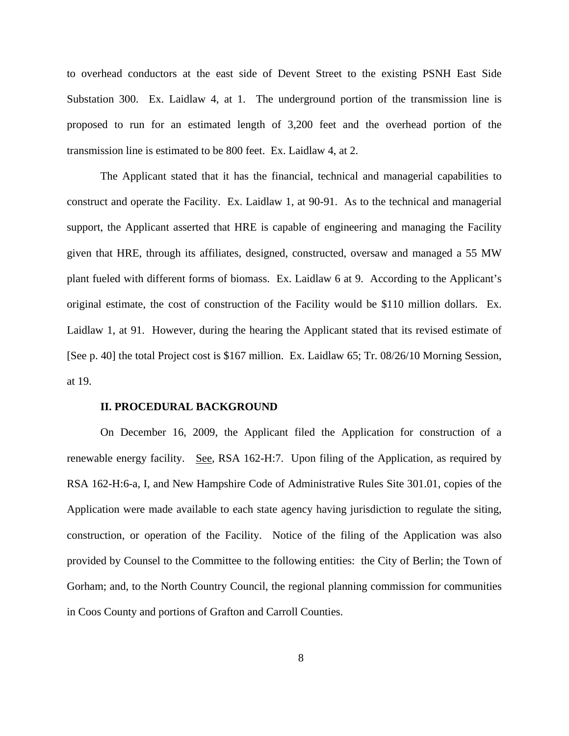to overhead conductors at the east side of Devent Street to the existing PSNH East Side Substation 300. Ex. Laidlaw 4, at 1. The underground portion of the transmission line is proposed to run for an estimated length of 3,200 feet and the overhead portion of the transmission line is estimated to be 800 feet. Ex. Laidlaw 4, at 2.

The Applicant stated that it has the financial, technical and managerial capabilities to construct and operate the Facility. Ex. Laidlaw 1, at 90-91. As to the technical and managerial support, the Applicant asserted that HRE is capable of engineering and managing the Facility given that HRE, through its affiliates, designed, constructed, oversaw and managed a 55 MW plant fueled with different forms of biomass. Ex. Laidlaw 6 at 9. According to the Applicant's original estimate, the cost of construction of the Facility would be \$110 million dollars. Ex. Laidlaw 1, at 91. However, during the hearing the Applicant stated that its revised estimate of [See p. 40] the total Project cost is \$167 million. Ex. Laidlaw 65; Tr. 08/26/10 Morning Session, at 19.

#### **II. PROCEDURAL BACKGROUND**

On December 16, 2009, the Applicant filed the Application for construction of a renewable energy facility. See, RSA 162-H:7. Upon filing of the Application, as required by RSA 162-H:6-a, I, and New Hampshire Code of Administrative Rules Site 301.01, copies of the Application were made available to each state agency having jurisdiction to regulate the siting, construction, or operation of the Facility. Notice of the filing of the Application was also provided by Counsel to the Committee to the following entities: the City of Berlin; the Town of Gorham; and, to the North Country Council, the regional planning commission for communities in Coos County and portions of Grafton and Carroll Counties.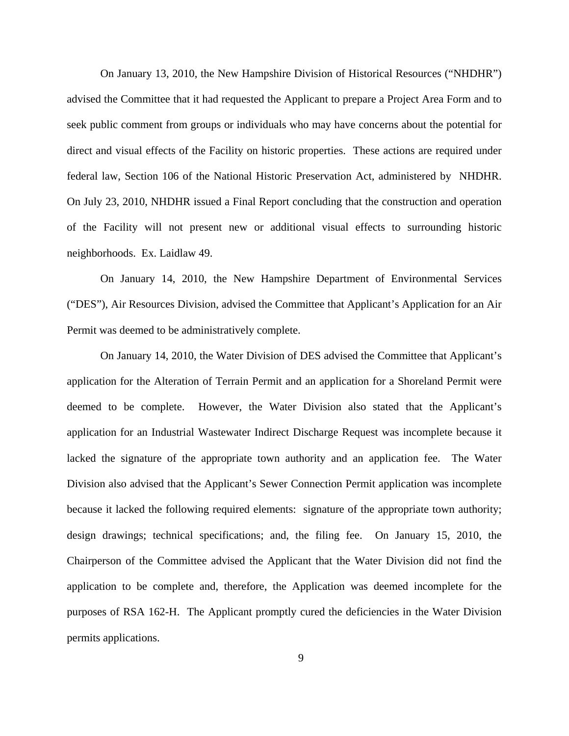On January 13, 2010, the New Hampshire Division of Historical Resources ("NHDHR") advised the Committee that it had requested the Applicant to prepare a Project Area Form and to seek public comment from groups or individuals who may have concerns about the potential for direct and visual effects of the Facility on historic properties. These actions are required under federal law, Section 106 of the National Historic Preservation Act, administered by NHDHR. On July 23, 2010, NHDHR issued a Final Report concluding that the construction and operation of the Facility will not present new or additional visual effects to surrounding historic neighborhoods. Ex. Laidlaw 49.

On January 14, 2010, the New Hampshire Department of Environmental Services ("DES"), Air Resources Division, advised the Committee that Applicant's Application for an Air Permit was deemed to be administratively complete.

On January 14, 2010, the Water Division of DES advised the Committee that Applicant's application for the Alteration of Terrain Permit and an application for a Shoreland Permit were deemed to be complete. However, the Water Division also stated that the Applicant's application for an Industrial Wastewater Indirect Discharge Request was incomplete because it lacked the signature of the appropriate town authority and an application fee. The Water Division also advised that the Applicant's Sewer Connection Permit application was incomplete because it lacked the following required elements: signature of the appropriate town authority; design drawings; technical specifications; and, the filing fee. On January 15, 2010, the Chairperson of the Committee advised the Applicant that the Water Division did not find the application to be complete and, therefore, the Application was deemed incomplete for the purposes of RSA 162-H. The Applicant promptly cured the deficiencies in the Water Division permits applications.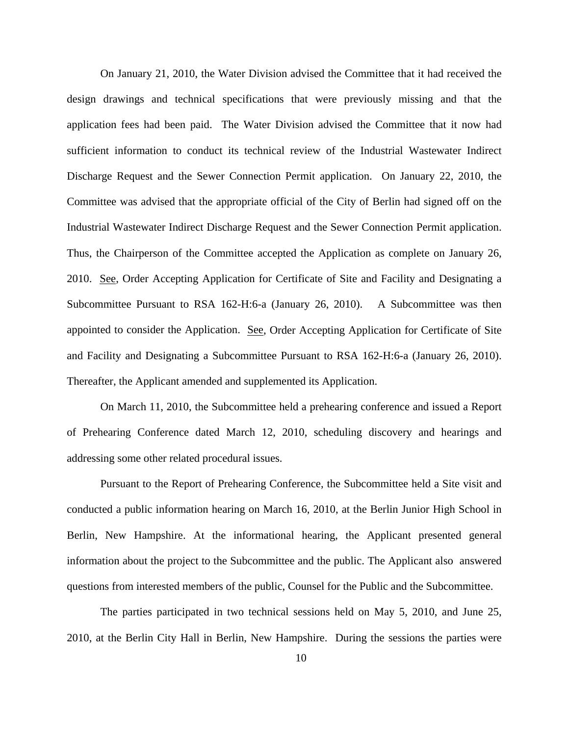On January 21, 2010, the Water Division advised the Committee that it had received the design drawings and technical specifications that were previously missing and that the application fees had been paid. The Water Division advised the Committee that it now had sufficient information to conduct its technical review of the Industrial Wastewater Indirect Discharge Request and the Sewer Connection Permit application. On January 22, 2010, the Committee was advised that the appropriate official of the City of Berlin had signed off on the Industrial Wastewater Indirect Discharge Request and the Sewer Connection Permit application. Thus, the Chairperson of the Committee accepted the Application as complete on January 26, 2010. See, Order Accepting Application for Certificate of Site and Facility and Designating a Subcommittee Pursuant to RSA 162-H:6-a (January 26, 2010). A Subcommittee was then appointed to consider the Application. See, Order Accepting Application for Certificate of Site and Facility and Designating a Subcommittee Pursuant to RSA 162-H:6-a (January 26, 2010). Thereafter, the Applicant amended and supplemented its Application.

On March 11, 2010, the Subcommittee held a prehearing conference and issued a Report of Prehearing Conference dated March 12, 2010, scheduling discovery and hearings and addressing some other related procedural issues.

Pursuant to the Report of Prehearing Conference, the Subcommittee held a Site visit and conducted a public information hearing on March 16, 2010, at the Berlin Junior High School in Berlin, New Hampshire. At the informational hearing, the Applicant presented general information about the project to the Subcommittee and the public. The Applicant also answered questions from interested members of the public, Counsel for the Public and the Subcommittee.

The parties participated in two technical sessions held on May 5, 2010, and June 25, 2010, at the Berlin City Hall in Berlin, New Hampshire. During the sessions the parties were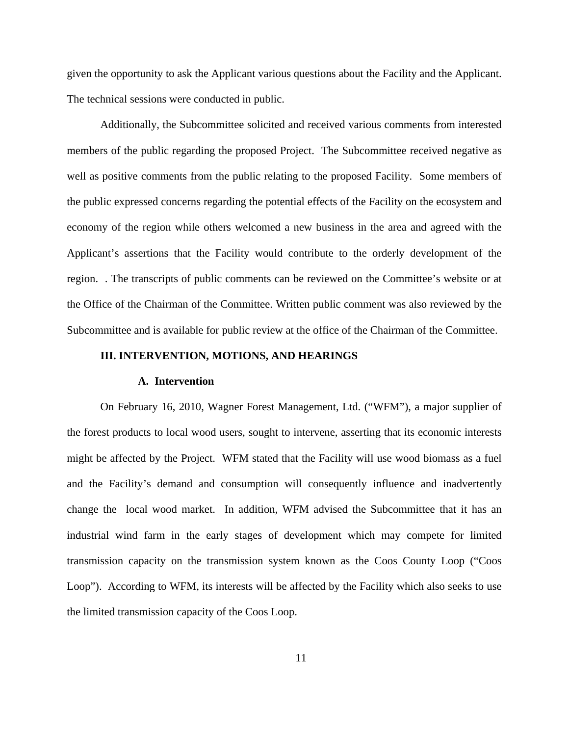given the opportunity to ask the Applicant various questions about the Facility and the Applicant. The technical sessions were conducted in public.

Additionally, the Subcommittee solicited and received various comments from interested members of the public regarding the proposed Project. The Subcommittee received negative as well as positive comments from the public relating to the proposed Facility. Some members of the public expressed concerns regarding the potential effects of the Facility on the ecosystem and economy of the region while others welcomed a new business in the area and agreed with the Applicant's assertions that the Facility would contribute to the orderly development of the region. . The transcripts of public comments can be reviewed on the Committee's website or at the Office of the Chairman of the Committee. Written public comment was also reviewed by the Subcommittee and is available for public review at the office of the Chairman of the Committee.

# **III. INTERVENTION, MOTIONS, AND HEARINGS**

#### **A. Intervention**

On February 16, 2010, Wagner Forest Management, Ltd. ("WFM"), a major supplier of the forest products to local wood users, sought to intervene, asserting that its economic interests might be affected by the Project. WFM stated that the Facility will use wood biomass as a fuel and the Facility's demand and consumption will consequently influence and inadvertently change the local wood market. In addition, WFM advised the Subcommittee that it has an industrial wind farm in the early stages of development which may compete for limited transmission capacity on the transmission system known as the Coos County Loop ("Coos Loop"). According to WFM, its interests will be affected by the Facility which also seeks to use the limited transmission capacity of the Coos Loop.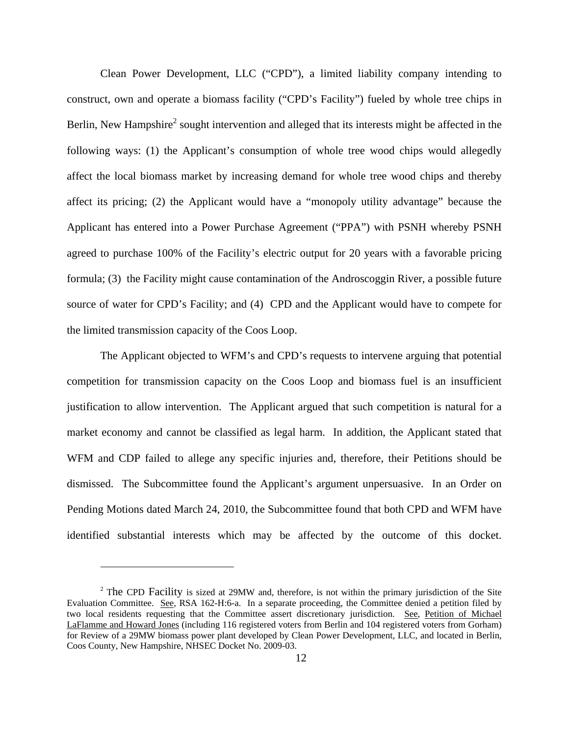Clean Power Development, LLC ("CPD"), a limited liability company intending to construct, own and operate a biomass facility ("CPD's Facility") fueled by whole tree chips in Berlin, New Hampshire<sup>2</sup> sought intervention and alleged that its interests might be affected in the following ways: (1) the Applicant's consumption of whole tree wood chips would allegedly affect the local biomass market by increasing demand for whole tree wood chips and thereby affect its pricing; (2) the Applicant would have a "monopoly utility advantage" because the Applicant has entered into a Power Purchase Agreement ("PPA") with PSNH whereby PSNH agreed to purchase 100% of the Facility's electric output for 20 years with a favorable pricing formula; (3) the Facility might cause contamination of the Androscoggin River, a possible future source of water for CPD's Facility; and (4) CPD and the Applicant would have to compete for the limited transmission capacity of the Coos Loop.

The Applicant objected to WFM's and CPD's requests to intervene arguing that potential competition for transmission capacity on the Coos Loop and biomass fuel is an insufficient justification to allow intervention. The Applicant argued that such competition is natural for a market economy and cannot be classified as legal harm. In addition, the Applicant stated that WFM and CDP failed to allege any specific injuries and, therefore, their Petitions should be dismissed. The Subcommittee found the Applicant's argument unpersuasive. In an Order on Pending Motions dated March 24, 2010, the Subcommittee found that both CPD and WFM have identified substantial interests which may be affected by the outcome of this docket.

 $\overline{a}$ 

 $2$  The CPD Facility is sized at 29MW and, therefore, is not within the primary jurisdiction of the Site Evaluation Committee. See, RSA 162-H:6-a. In a separate proceeding, the Committee denied a petition filed by two local residents requesting that the Committee assert discretionary jurisdiction. See, Petition of Michael LaFlamme and Howard Jones (including 116 registered voters from Berlin and 104 registered voters from Gorham) for Review of a 29MW biomass power plant developed by Clean Power Development, LLC, and located in Berlin, Coos County, New Hampshire, NHSEC Docket No. 2009-03.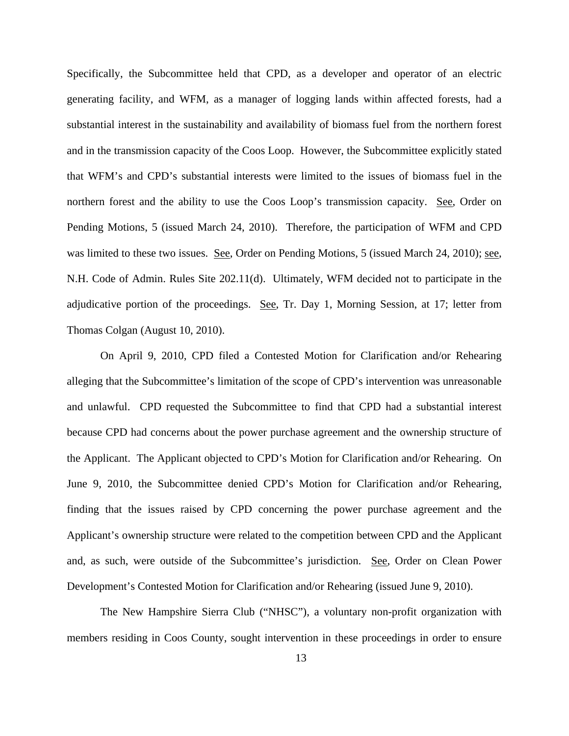Specifically, the Subcommittee held that CPD, as a developer and operator of an electric generating facility, and WFM, as a manager of logging lands within affected forests, had a substantial interest in the sustainability and availability of biomass fuel from the northern forest and in the transmission capacity of the Coos Loop. However, the Subcommittee explicitly stated that WFM's and CPD's substantial interests were limited to the issues of biomass fuel in the northern forest and the ability to use the Coos Loop's transmission capacity. See, Order on Pending Motions, 5 (issued March 24, 2010). Therefore, the participation of WFM and CPD was limited to these two issues. See, Order on Pending Motions, 5 (issued March 24, 2010); see, N.H. Code of Admin. Rules Site 202.11(d). Ultimately, WFM decided not to participate in the adjudicative portion of the proceedings. See, Tr. Day 1, Morning Session, at 17; letter from Thomas Colgan (August 10, 2010).

On April 9, 2010, CPD filed a Contested Motion for Clarification and/or Rehearing alleging that the Subcommittee's limitation of the scope of CPD's intervention was unreasonable and unlawful. CPD requested the Subcommittee to find that CPD had a substantial interest because CPD had concerns about the power purchase agreement and the ownership structure of the Applicant. The Applicant objected to CPD's Motion for Clarification and/or Rehearing. On June 9, 2010, the Subcommittee denied CPD's Motion for Clarification and/or Rehearing, finding that the issues raised by CPD concerning the power purchase agreement and the Applicant's ownership structure were related to the competition between CPD and the Applicant and, as such, were outside of the Subcommittee's jurisdiction. See, Order on Clean Power Development's Contested Motion for Clarification and/or Rehearing (issued June 9, 2010).

The New Hampshire Sierra Club ("NHSC"), a voluntary non-profit organization with members residing in Coos County, sought intervention in these proceedings in order to ensure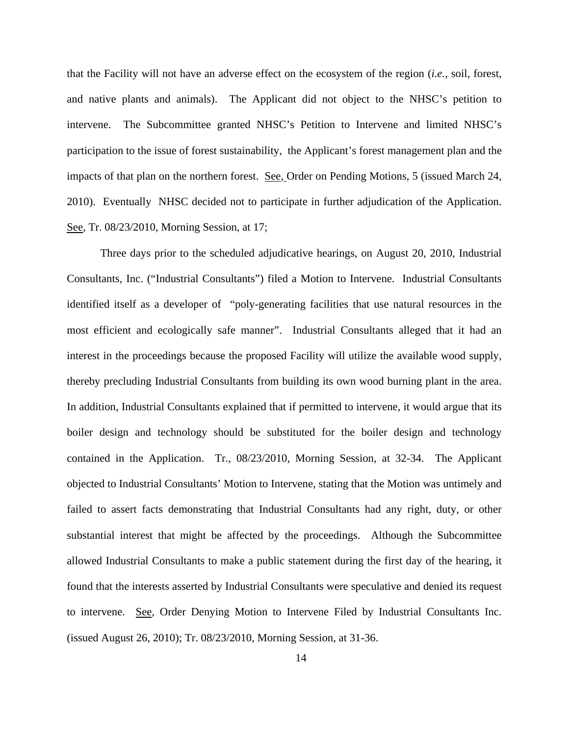that the Facility will not have an adverse effect on the ecosystem of the region (*i.e.,* soil, forest, and native plants and animals). The Applicant did not object to the NHSC's petition to intervene. The Subcommittee granted NHSC's Petition to Intervene and limited NHSC's participation to the issue of forest sustainability, the Applicant's forest management plan and the impacts of that plan on the northern forest. See, Order on Pending Motions, 5 (issued March 24, 2010). Eventually NHSC decided not to participate in further adjudication of the Application. See, Tr. 08/23/2010, Morning Session, at 17;

Three days prior to the scheduled adjudicative hearings, on August 20, 2010, Industrial Consultants, Inc. ("Industrial Consultants") filed a Motion to Intervene. Industrial Consultants identified itself as a developer of "poly-generating facilities that use natural resources in the most efficient and ecologically safe manner". Industrial Consultants alleged that it had an interest in the proceedings because the proposed Facility will utilize the available wood supply, thereby precluding Industrial Consultants from building its own wood burning plant in the area. In addition, Industrial Consultants explained that if permitted to intervene, it would argue that its boiler design and technology should be substituted for the boiler design and technology contained in the Application. Tr., 08/23/2010, Morning Session, at 32-34. The Applicant objected to Industrial Consultants' Motion to Intervene, stating that the Motion was untimely and failed to assert facts demonstrating that Industrial Consultants had any right, duty, or other substantial interest that might be affected by the proceedings. Although the Subcommittee allowed Industrial Consultants to make a public statement during the first day of the hearing, it found that the interests asserted by Industrial Consultants were speculative and denied its request to intervene. See, Order Denying Motion to Intervene Filed by Industrial Consultants Inc. (issued August 26, 2010); Tr. 08/23/2010, Morning Session, at 31-36.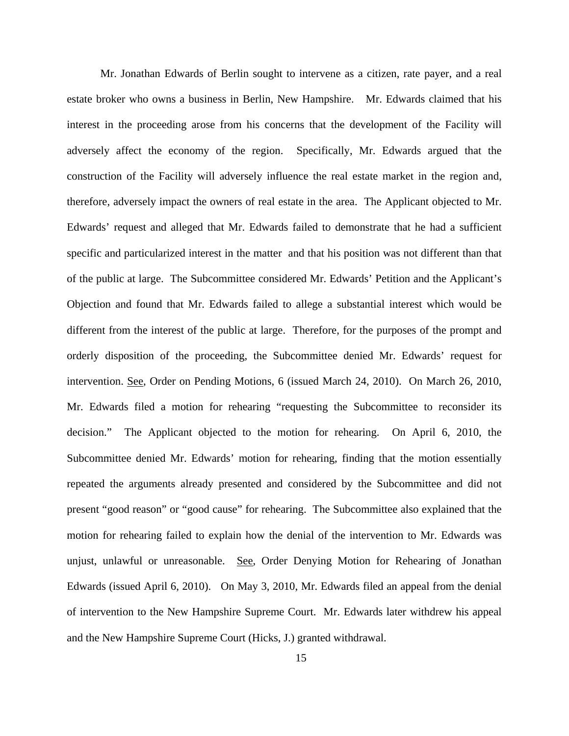Mr. Jonathan Edwards of Berlin sought to intervene as a citizen, rate payer, and a real estate broker who owns a business in Berlin, New Hampshire. Mr. Edwards claimed that his interest in the proceeding arose from his concerns that the development of the Facility will adversely affect the economy of the region. Specifically, Mr. Edwards argued that the construction of the Facility will adversely influence the real estate market in the region and, therefore, adversely impact the owners of real estate in the area. The Applicant objected to Mr. Edwards' request and alleged that Mr. Edwards failed to demonstrate that he had a sufficient specific and particularized interest in the matter and that his position was not different than that of the public at large. The Subcommittee considered Mr. Edwards' Petition and the Applicant's Objection and found that Mr. Edwards failed to allege a substantial interest which would be different from the interest of the public at large. Therefore, for the purposes of the prompt and orderly disposition of the proceeding, the Subcommittee denied Mr. Edwards' request for intervention. See, Order on Pending Motions, 6 (issued March 24, 2010). On March 26, 2010, Mr. Edwards filed a motion for rehearing "requesting the Subcommittee to reconsider its decision." The Applicant objected to the motion for rehearing. On April 6, 2010, the Subcommittee denied Mr. Edwards' motion for rehearing, finding that the motion essentially repeated the arguments already presented and considered by the Subcommittee and did not present "good reason" or "good cause" for rehearing. The Subcommittee also explained that the motion for rehearing failed to explain how the denial of the intervention to Mr. Edwards was unjust, unlawful or unreasonable. See, Order Denying Motion for Rehearing of Jonathan Edwards (issued April 6, 2010). On May 3, 2010, Mr. Edwards filed an appeal from the denial of intervention to the New Hampshire Supreme Court. Mr. Edwards later withdrew his appeal and the New Hampshire Supreme Court (Hicks, J.) granted withdrawal.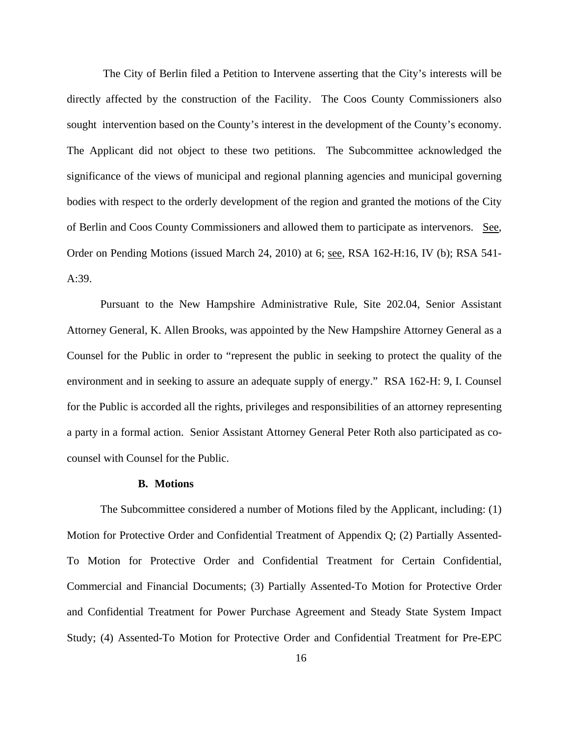The City of Berlin filed a Petition to Intervene asserting that the City's interests will be directly affected by the construction of the Facility. The Coos County Commissioners also sought intervention based on the County's interest in the development of the County's economy. The Applicant did not object to these two petitions. The Subcommittee acknowledged the significance of the views of municipal and regional planning agencies and municipal governing bodies with respect to the orderly development of the region and granted the motions of the City of Berlin and Coos County Commissioners and allowed them to participate as intervenors. See, Order on Pending Motions (issued March 24, 2010) at 6; see, RSA 162-H:16, IV (b); RSA 541- A:39.

Pursuant to the New Hampshire Administrative Rule, Site 202.04, Senior Assistant Attorney General, K. Allen Brooks, was appointed by the New Hampshire Attorney General as a Counsel for the Public in order to "represent the public in seeking to protect the quality of the environment and in seeking to assure an adequate supply of energy." RSA 162-H: 9, I. Counsel for the Public is accorded all the rights, privileges and responsibilities of an attorney representing a party in a formal action. Senior Assistant Attorney General Peter Roth also participated as cocounsel with Counsel for the Public.

#### **B. Motions**

The Subcommittee considered a number of Motions filed by the Applicant, including: (1) Motion for Protective Order and Confidential Treatment of Appendix Q; (2) Partially Assented-To Motion for Protective Order and Confidential Treatment for Certain Confidential, Commercial and Financial Documents; (3) Partially Assented-To Motion for Protective Order and Confidential Treatment for Power Purchase Agreement and Steady State System Impact Study; (4) Assented-To Motion for Protective Order and Confidential Treatment for Pre-EPC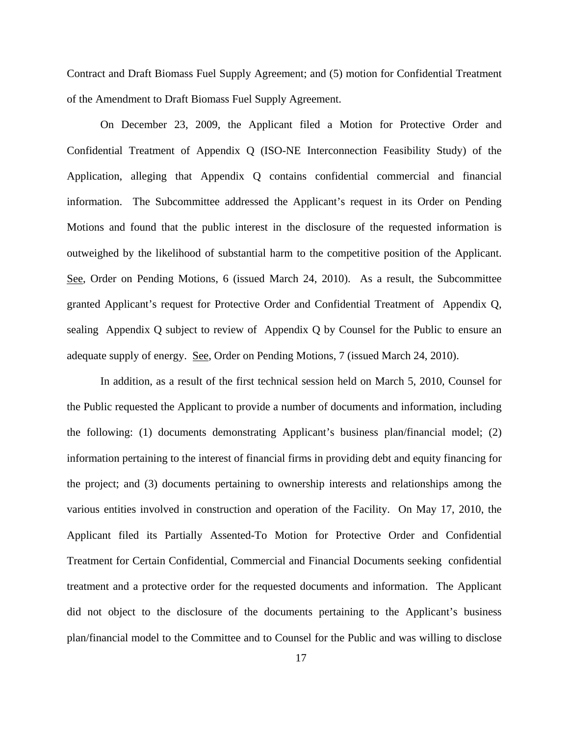Contract and Draft Biomass Fuel Supply Agreement; and (5) motion for Confidential Treatment of the Amendment to Draft Biomass Fuel Supply Agreement.

On December 23, 2009, the Applicant filed a Motion for Protective Order and Confidential Treatment of Appendix Q (ISO-NE Interconnection Feasibility Study) of the Application, alleging that Appendix Q contains confidential commercial and financial information. The Subcommittee addressed the Applicant's request in its Order on Pending Motions and found that the public interest in the disclosure of the requested information is outweighed by the likelihood of substantial harm to the competitive position of the Applicant. See, Order on Pending Motions, 6 (issued March 24, 2010). As a result, the Subcommittee granted Applicant's request for Protective Order and Confidential Treatment of Appendix Q, sealing Appendix Q subject to review of Appendix Q by Counsel for the Public to ensure an adequate supply of energy. See, Order on Pending Motions, 7 (issued March 24, 2010).

In addition, as a result of the first technical session held on March 5, 2010, Counsel for the Public requested the Applicant to provide a number of documents and information, including the following: (1) documents demonstrating Applicant's business plan/financial model; (2) information pertaining to the interest of financial firms in providing debt and equity financing for the project; and (3) documents pertaining to ownership interests and relationships among the various entities involved in construction and operation of the Facility. On May 17, 2010, the Applicant filed its Partially Assented-To Motion for Protective Order and Confidential Treatment for Certain Confidential, Commercial and Financial Documents seeking confidential treatment and a protective order for the requested documents and information. The Applicant did not object to the disclosure of the documents pertaining to the Applicant's business plan/financial model to the Committee and to Counsel for the Public and was willing to disclose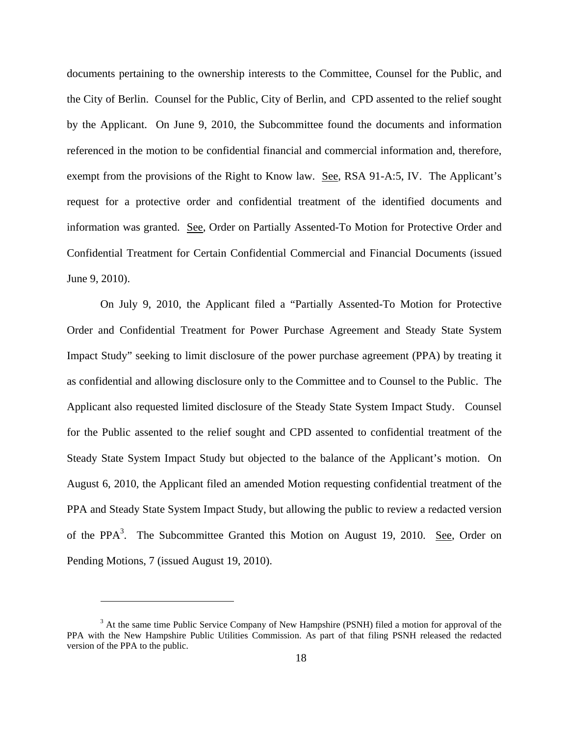documents pertaining to the ownership interests to the Committee, Counsel for the Public, and the City of Berlin. Counsel for the Public, City of Berlin, and CPD assented to the relief sought by the Applicant. On June 9, 2010, the Subcommittee found the documents and information referenced in the motion to be confidential financial and commercial information and, therefore, exempt from the provisions of the Right to Know law. See, RSA 91-A:5, IV. The Applicant's request for a protective order and confidential treatment of the identified documents and information was granted. See, Order on Partially Assented-To Motion for Protective Order and Confidential Treatment for Certain Confidential Commercial and Financial Documents (issued June 9, 2010).

On July 9, 2010, the Applicant filed a "Partially Assented-To Motion for Protective Order and Confidential Treatment for Power Purchase Agreement and Steady State System Impact Study" seeking to limit disclosure of the power purchase agreement (PPA) by treating it as confidential and allowing disclosure only to the Committee and to Counsel to the Public. The Applicant also requested limited disclosure of the Steady State System Impact Study. Counsel for the Public assented to the relief sought and CPD assented to confidential treatment of the Steady State System Impact Study but objected to the balance of the Applicant's motion. On August 6, 2010, the Applicant filed an amended Motion requesting confidential treatment of the PPA and Steady State System Impact Study, but allowing the public to review a redacted version of the PPA<sup>3</sup>. The Subcommittee Granted this Motion on August 19, 2010. <u>See</u>, Order on Pending Motions, 7 (issued August 19, 2010).

1

<sup>&</sup>lt;sup>3</sup> At the same time Public Service Company of New Hampshire (PSNH) filed a motion for approval of the PPA with the New Hampshire Public Utilities Commission. As part of that filing PSNH released the redacted version of the PPA to the public.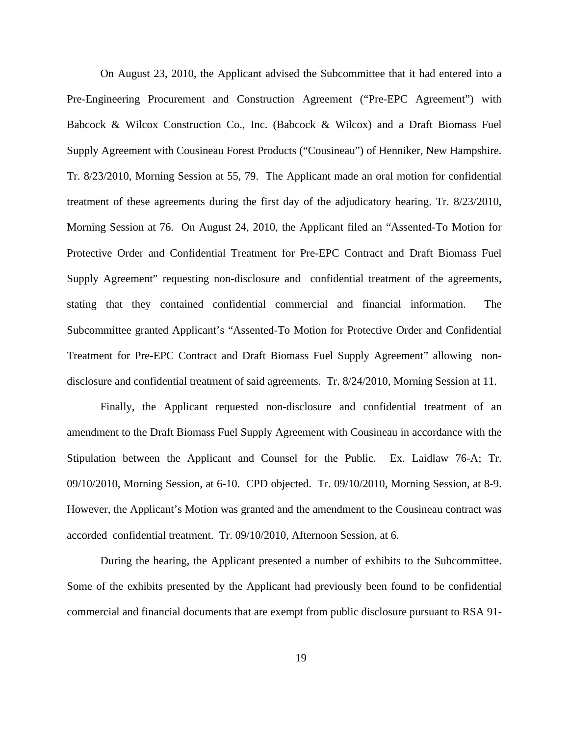On August 23, 2010, the Applicant advised the Subcommittee that it had entered into a Pre-Engineering Procurement and Construction Agreement ("Pre-EPC Agreement") with Babcock & Wilcox Construction Co., Inc. (Babcock & Wilcox) and a Draft Biomass Fuel Supply Agreement with Cousineau Forest Products ("Cousineau") of Henniker, New Hampshire. Tr. 8/23/2010, Morning Session at 55, 79. The Applicant made an oral motion for confidential treatment of these agreements during the first day of the adjudicatory hearing. Tr. 8/23/2010, Morning Session at 76. On August 24, 2010, the Applicant filed an "Assented-To Motion for Protective Order and Confidential Treatment for Pre-EPC Contract and Draft Biomass Fuel Supply Agreement" requesting non-disclosure and confidential treatment of the agreements, stating that they contained confidential commercial and financial information. The Subcommittee granted Applicant's "Assented-To Motion for Protective Order and Confidential Treatment for Pre-EPC Contract and Draft Biomass Fuel Supply Agreement" allowing nondisclosure and confidential treatment of said agreements. Tr. 8/24/2010, Morning Session at 11.

Finally, the Applicant requested non-disclosure and confidential treatment of an amendment to the Draft Biomass Fuel Supply Agreement with Cousineau in accordance with the Stipulation between the Applicant and Counsel for the Public. Ex. Laidlaw 76-A; Tr. 09/10/2010, Morning Session, at 6-10. CPD objected. Tr. 09/10/2010, Morning Session, at 8-9. However, the Applicant's Motion was granted and the amendment to the Cousineau contract was accorded confidential treatment. Tr. 09/10/2010, Afternoon Session, at 6.

During the hearing, the Applicant presented a number of exhibits to the Subcommittee. Some of the exhibits presented by the Applicant had previously been found to be confidential commercial and financial documents that are exempt from public disclosure pursuant to RSA 91-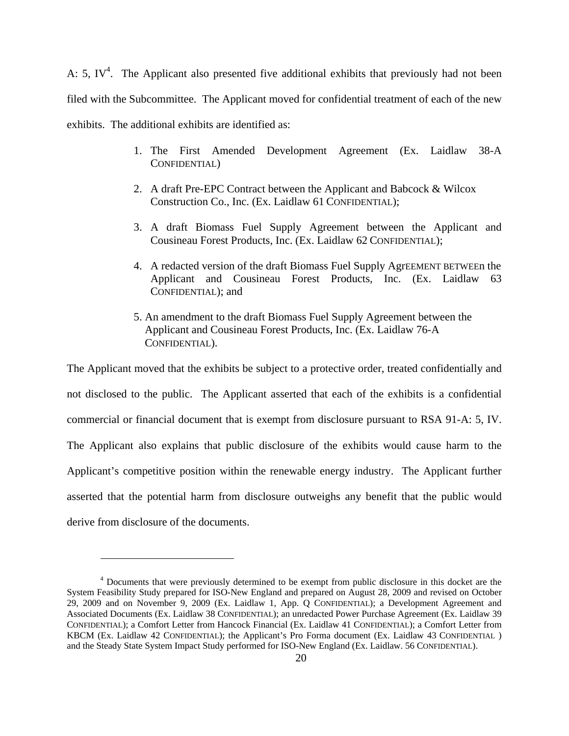A: 5, IV<sup>4</sup>. The Applicant also presented five additional exhibits that previously had not been filed with the Subcommittee. The Applicant moved for confidential treatment of each of the new exhibits. The additional exhibits are identified as:

- 1. The First Amended Development Agreement (Ex. Laidlaw 38-A CONFIDENTIAL)
- 2. A draft Pre-EPC Contract between the Applicant and Babcock & Wilcox Construction Co., Inc. (Ex. Laidlaw 61 CONFIDENTIAL);
- 3. A draft Biomass Fuel Supply Agreement between the Applicant and Cousineau Forest Products, Inc. (Ex. Laidlaw 62 CONFIDENTIAL);
- 4. A redacted version of the draft Biomass Fuel Supply AgrEEMENT BETWEEn the Applicant and Cousineau Forest Products, Inc. (Ex. Laidlaw 63 CONFIDENTIAL); and
- 5. An amendment to the draft Biomass Fuel Supply Agreement between the Applicant and Cousineau Forest Products, Inc. (Ex. Laidlaw 76-A CONFIDENTIAL).

The Applicant moved that the exhibits be subject to a protective order, treated confidentially and not disclosed to the public. The Applicant asserted that each of the exhibits is a confidential commercial or financial document that is exempt from disclosure pursuant to RSA 91-A: 5, IV. The Applicant also explains that public disclosure of the exhibits would cause harm to the Applicant's competitive position within the renewable energy industry. The Applicant further asserted that the potential harm from disclosure outweighs any benefit that the public would derive from disclosure of the documents.

 $\overline{a}$ 

<sup>&</sup>lt;sup>4</sup> Documents that were previously determined to be exempt from public disclosure in this docket are the System Feasibility Study prepared for ISO-New England and prepared on August 28, 2009 and revised on October 29, 2009 and on November 9, 2009 (Ex. Laidlaw 1, App. Q CONFIDENTIAL); a Development Agreement and Associated Documents (Ex. Laidlaw 38 CONFIDENTIAL); an unredacted Power Purchase Agreement (Ex. Laidlaw 39 CONFIDENTIAL); a Comfort Letter from Hancock Financial (Ex. Laidlaw 41 CONFIDENTIAL); a Comfort Letter from KBCM (Ex. Laidlaw 42 CONFIDENTIAL); the Applicant's Pro Forma document (Ex. Laidlaw 43 CONFIDENTIAL ) and the Steady State System Impact Study performed for ISO-New England (Ex. Laidlaw. 56 CONFIDENTIAL).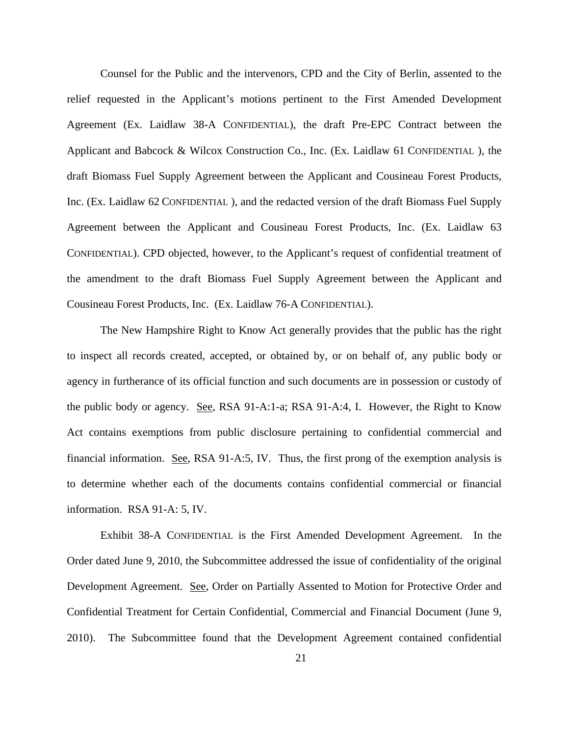Counsel for the Public and the intervenors, CPD and the City of Berlin, assented to the relief requested in the Applicant's motions pertinent to the First Amended Development Agreement (Ex. Laidlaw 38-A CONFIDENTIAL), the draft Pre-EPC Contract between the Applicant and Babcock & Wilcox Construction Co., Inc. (Ex. Laidlaw 61 CONFIDENTIAL ), the draft Biomass Fuel Supply Agreement between the Applicant and Cousineau Forest Products, Inc. (Ex. Laidlaw 62 CONFIDENTIAL ), and the redacted version of the draft Biomass Fuel Supply Agreement between the Applicant and Cousineau Forest Products, Inc. (Ex. Laidlaw 63 CONFIDENTIAL). CPD objected, however, to the Applicant's request of confidential treatment of the amendment to the draft Biomass Fuel Supply Agreement between the Applicant and Cousineau Forest Products, Inc. (Ex. Laidlaw 76-A CONFIDENTIAL).

The New Hampshire Right to Know Act generally provides that the public has the right to inspect all records created, accepted, or obtained by, or on behalf of, any public body or agency in furtherance of its official function and such documents are in possession or custody of the public body or agency. See, RSA 91-A:1-a; RSA 91-A:4, I. However, the Right to Know Act contains exemptions from public disclosure pertaining to confidential commercial and financial information. See, RSA 91-A:5, IV. Thus, the first prong of the exemption analysis is to determine whether each of the documents contains confidential commercial or financial information. RSA 91-A: 5, IV.

Exhibit 38-A CONFIDENTIAL is the First Amended Development Agreement. In the Order dated June 9, 2010, the Subcommittee addressed the issue of confidentiality of the original Development Agreement. See, Order on Partially Assented to Motion for Protective Order and Confidential Treatment for Certain Confidential, Commercial and Financial Document (June 9, 2010). The Subcommittee found that the Development Agreement contained confidential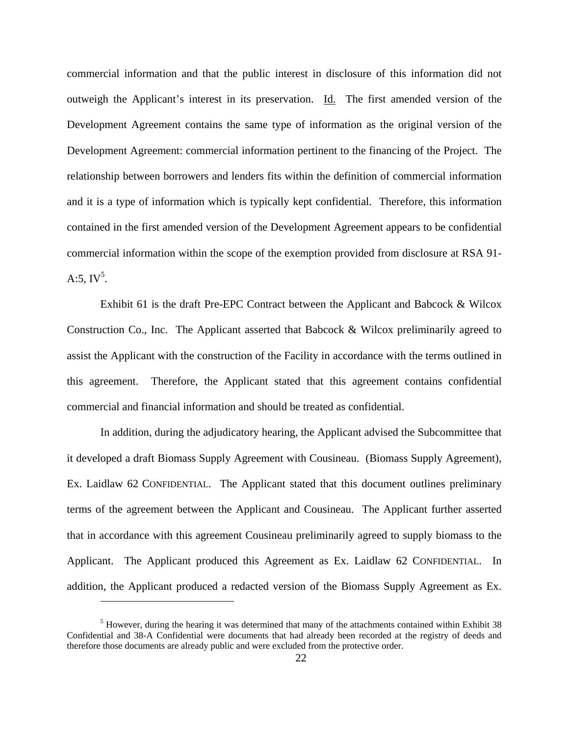commercial information and that the public interest in disclosure of this information did not outweigh the Applicant's interest in its preservation. Id. The first amended version of the Development Agreement contains the same type of information as the original version of the Development Agreement: commercial information pertinent to the financing of the Project. The relationship between borrowers and lenders fits within the definition of commercial information and it is a type of information which is typically kept confidential. Therefore, this information contained in the first amended version of the Development Agreement appears to be confidential commercial information within the scope of the exemption provided from disclosure at RSA 91- A:5,  $IV^5$ .

Exhibit 61 is the draft Pre-EPC Contract between the Applicant and Babcock & Wilcox Construction Co., Inc. The Applicant asserted that Babcock & Wilcox preliminarily agreed to assist the Applicant with the construction of the Facility in accordance with the terms outlined in this agreement. Therefore, the Applicant stated that this agreement contains confidential commercial and financial information and should be treated as confidential.

In addition, during the adjudicatory hearing, the Applicant advised the Subcommittee that it developed a draft Biomass Supply Agreement with Cousineau. (Biomass Supply Agreement), Ex. Laidlaw 62 CONFIDENTIAL. The Applicant stated that this document outlines preliminary terms of the agreement between the Applicant and Cousineau. The Applicant further asserted that in accordance with this agreement Cousineau preliminarily agreed to supply biomass to the Applicant. The Applicant produced this Agreement as Ex. Laidlaw 62 CONFIDENTIAL. In addition, the Applicant produced a redacted version of the Biomass Supply Agreement as Ex.

1

 $<sup>5</sup>$  However, during the hearing it was determined that many of the attachments contained within Exhibit 38</sup> Confidential and 38-A Confidential were documents that had already been recorded at the registry of deeds and therefore those documents are already public and were excluded from the protective order.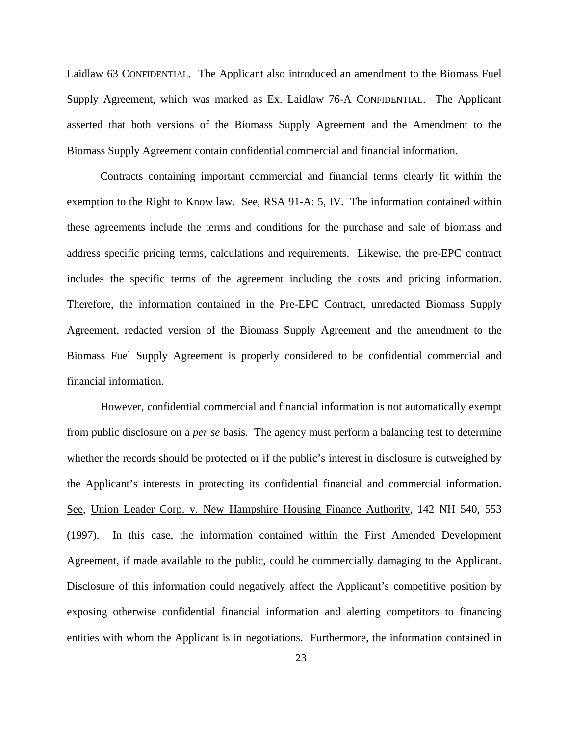Laidlaw 63 CONFIDENTIAL. The Applicant also introduced an amendment to the Biomass Fuel Supply Agreement, which was marked as Ex. Laidlaw 76-A CONFIDENTIAL. The Applicant asserted that both versions of the Biomass Supply Agreement and the Amendment to the Biomass Supply Agreement contain confidential commercial and financial information.

Contracts containing important commercial and financial terms clearly fit within the exemption to the Right to Know law. See, RSA 91-A: 5, IV. The information contained within these agreements include the terms and conditions for the purchase and sale of biomass and address specific pricing terms, calculations and requirements. Likewise, the pre-EPC contract includes the specific terms of the agreement including the costs and pricing information. Therefore, the information contained in the Pre-EPC Contract, unredacted Biomass Supply Agreement, redacted version of the Biomass Supply Agreement and the amendment to the Biomass Fuel Supply Agreement is properly considered to be confidential commercial and financial information.

However, confidential commercial and financial information is not automatically exempt from public disclosure on a *per se* basis. The agency must perform a balancing test to determine whether the records should be protected or if the public's interest in disclosure is outweighed by the Applicant's interests in protecting its confidential financial and commercial information. See, Union Leader Corp. v. New Hampshire Housing Finance Authority, 142 NH 540, 553 (1997). In this case, the information contained within the First Amended Development Agreement, if made available to the public, could be commercially damaging to the Applicant. Disclosure of this information could negatively affect the Applicant's competitive position by exposing otherwise confidential financial information and alerting competitors to financing entities with whom the Applicant is in negotiations. Furthermore, the information contained in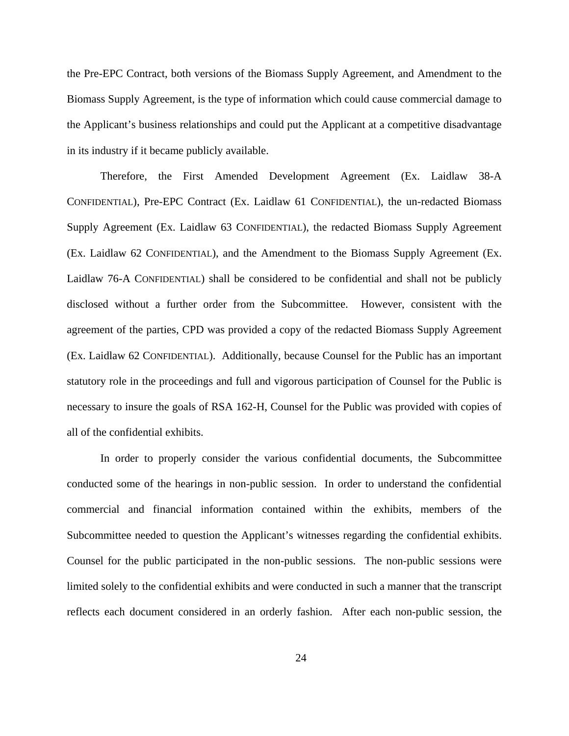the Pre-EPC Contract, both versions of the Biomass Supply Agreement, and Amendment to the Biomass Supply Agreement, is the type of information which could cause commercial damage to the Applicant's business relationships and could put the Applicant at a competitive disadvantage in its industry if it became publicly available.

Therefore, the First Amended Development Agreement (Ex. Laidlaw 38-A CONFIDENTIAL), Pre-EPC Contract (Ex. Laidlaw 61 CONFIDENTIAL), the un-redacted Biomass Supply Agreement (Ex. Laidlaw 63 CONFIDENTIAL), the redacted Biomass Supply Agreement (Ex. Laidlaw 62 CONFIDENTIAL), and the Amendment to the Biomass Supply Agreement (Ex. Laidlaw 76-A CONFIDENTIAL) shall be considered to be confidential and shall not be publicly disclosed without a further order from the Subcommittee. However, consistent with the agreement of the parties, CPD was provided a copy of the redacted Biomass Supply Agreement (Ex. Laidlaw 62 CONFIDENTIAL). Additionally, because Counsel for the Public has an important statutory role in the proceedings and full and vigorous participation of Counsel for the Public is necessary to insure the goals of RSA 162-H, Counsel for the Public was provided with copies of all of the confidential exhibits.

In order to properly consider the various confidential documents, the Subcommittee conducted some of the hearings in non-public session. In order to understand the confidential commercial and financial information contained within the exhibits, members of the Subcommittee needed to question the Applicant's witnesses regarding the confidential exhibits. Counsel for the public participated in the non-public sessions. The non-public sessions were limited solely to the confidential exhibits and were conducted in such a manner that the transcript reflects each document considered in an orderly fashion. After each non-public session, the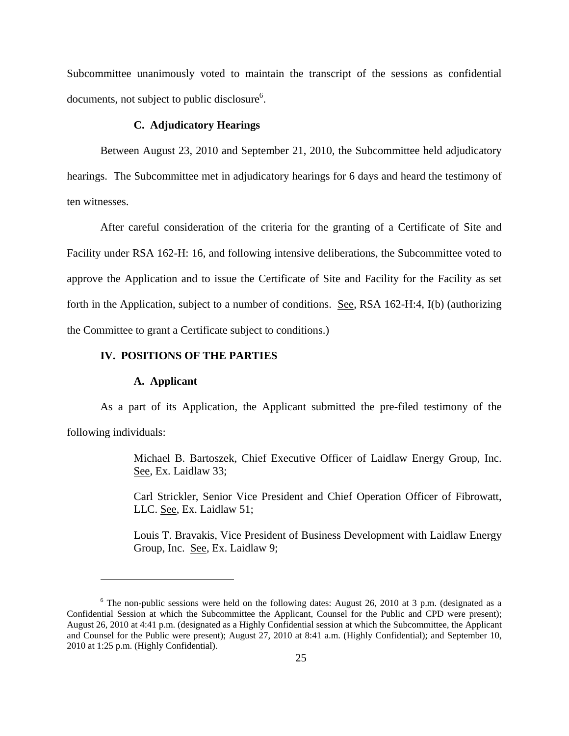Subcommittee unanimously voted to maintain the transcript of the sessions as confidential documents, not subject to public disclosure<sup>6</sup>.

# **C. Adjudicatory Hearings**

Between August 23, 2010 and September 21, 2010, the Subcommittee held adjudicatory hearings. The Subcommittee met in adjudicatory hearings for 6 days and heard the testimony of ten witnesses.

After careful consideration of the criteria for the granting of a Certificate of Site and Facility under RSA 162-H: 16, and following intensive deliberations, the Subcommittee voted to approve the Application and to issue the Certificate of Site and Facility for the Facility as set forth in the Application, subject to a number of conditions. See, RSA 162-H:4, I(b) (authorizing the Committee to grant a Certificate subject to conditions.)

## **IV. POSITIONS OF THE PARTIES**

### **A. Applicant**

 $\overline{a}$ 

As a part of its Application, the Applicant submitted the pre-filed testimony of the following individuals:

> Michael B. Bartoszek, Chief Executive Officer of Laidlaw Energy Group, Inc. See, Ex. Laidlaw 33;

> Carl Strickler, Senior Vice President and Chief Operation Officer of Fibrowatt, LLC. See, Ex. Laidlaw 51;

> Louis T. Bravakis, Vice President of Business Development with Laidlaw Energy Group, Inc. See, Ex. Laidlaw 9;

 $6$  The non-public sessions were held on the following dates: August 26, 2010 at 3 p.m. (designated as a Confidential Session at which the Subcommittee the Applicant, Counsel for the Public and CPD were present); August 26, 2010 at 4:41 p.m. (designated as a Highly Confidential session at which the Subcommittee, the Applicant and Counsel for the Public were present); August 27, 2010 at 8:41 a.m. (Highly Confidential); and September 10, 2010 at 1:25 p.m. (Highly Confidential).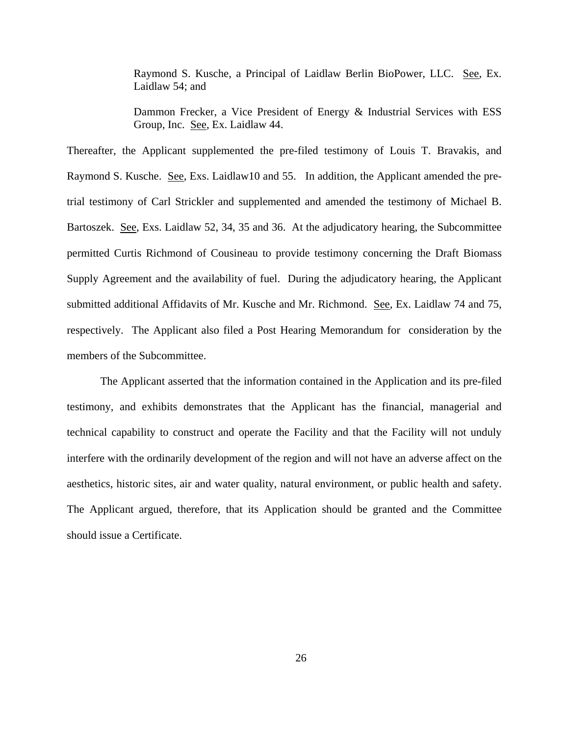Raymond S. Kusche, a Principal of Laidlaw Berlin BioPower, LLC. See, Ex. Laidlaw 54; and

Dammon Frecker, a Vice President of Energy & Industrial Services with ESS Group, Inc. See, Ex. Laidlaw 44.

Thereafter, the Applicant supplemented the pre-filed testimony of Louis T. Bravakis, and Raymond S. Kusche. See, Exs. Laidlaw10 and 55. In addition, the Applicant amended the pretrial testimony of Carl Strickler and supplemented and amended the testimony of Michael B. Bartoszek. See, Exs. Laidlaw 52, 34, 35 and 36. At the adjudicatory hearing, the Subcommittee permitted Curtis Richmond of Cousineau to provide testimony concerning the Draft Biomass Supply Agreement and the availability of fuel. During the adjudicatory hearing, the Applicant submitted additional Affidavits of Mr. Kusche and Mr. Richmond. See, Ex. Laidlaw 74 and 75, respectively. The Applicant also filed a Post Hearing Memorandum for consideration by the members of the Subcommittee.

The Applicant asserted that the information contained in the Application and its pre-filed testimony, and exhibits demonstrates that the Applicant has the financial, managerial and technical capability to construct and operate the Facility and that the Facility will not unduly interfere with the ordinarily development of the region and will not have an adverse affect on the aesthetics, historic sites, air and water quality, natural environment, or public health and safety. The Applicant argued, therefore, that its Application should be granted and the Committee should issue a Certificate.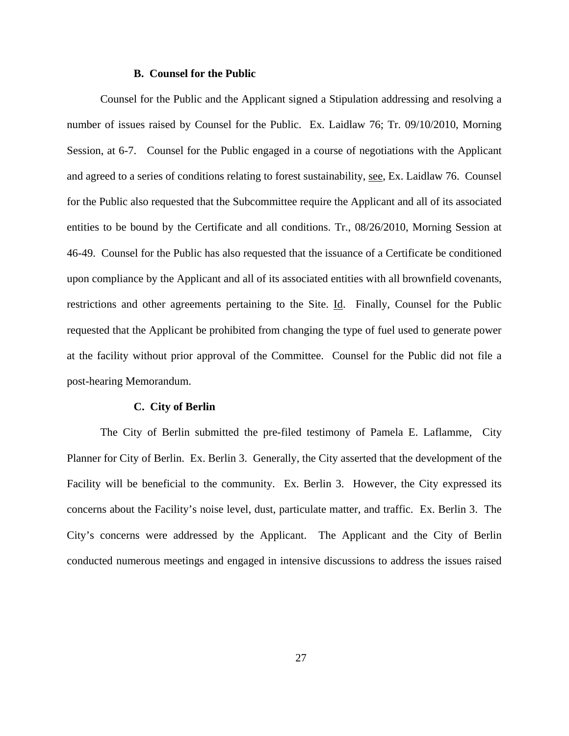#### **B. Counsel for the Public**

Counsel for the Public and the Applicant signed a Stipulation addressing and resolving a number of issues raised by Counsel for the Public. Ex. Laidlaw 76; Tr. 09/10/2010, Morning Session, at 6-7. Counsel for the Public engaged in a course of negotiations with the Applicant and agreed to a series of conditions relating to forest sustainability, see, Ex. Laidlaw 76. Counsel for the Public also requested that the Subcommittee require the Applicant and all of its associated entities to be bound by the Certificate and all conditions. Tr., 08/26/2010, Morning Session at 46-49. Counsel for the Public has also requested that the issuance of a Certificate be conditioned upon compliance by the Applicant and all of its associated entities with all brownfield covenants, restrictions and other agreements pertaining to the Site. Id. Finally, Counsel for the Public requested that the Applicant be prohibited from changing the type of fuel used to generate power at the facility without prior approval of the Committee. Counsel for the Public did not file a post-hearing Memorandum.

#### **C. City of Berlin**

The City of Berlin submitted the pre-filed testimony of Pamela E. Laflamme, City Planner for City of Berlin. Ex. Berlin 3. Generally, the City asserted that the development of the Facility will be beneficial to the community. Ex. Berlin 3. However, the City expressed its concerns about the Facility's noise level, dust, particulate matter, and traffic. Ex. Berlin 3. The City's concerns were addressed by the Applicant. The Applicant and the City of Berlin conducted numerous meetings and engaged in intensive discussions to address the issues raised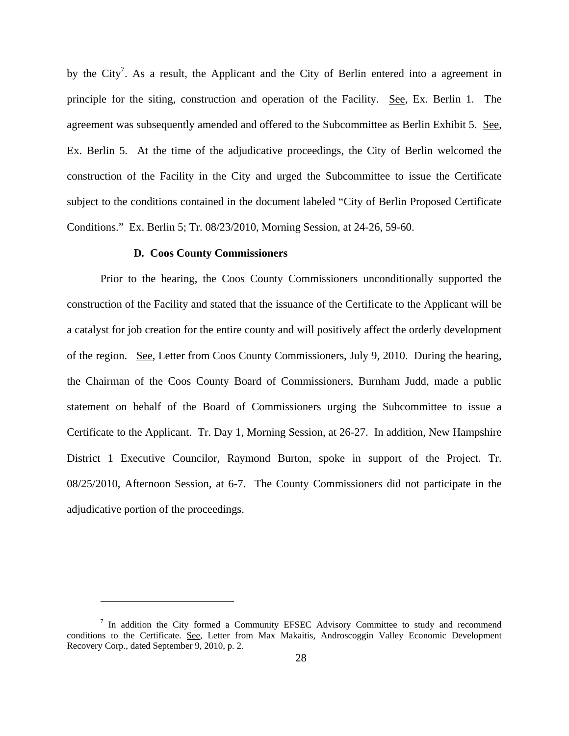by the City<sup>7</sup>. As a result, the Applicant and the City of Berlin entered into a agreement in principle for the siting, construction and operation of the Facility. See, Ex. Berlin 1. The agreement was subsequently amended and offered to the Subcommittee as Berlin Exhibit 5. See, Ex. Berlin 5. At the time of the adjudicative proceedings, the City of Berlin welcomed the construction of the Facility in the City and urged the Subcommittee to issue the Certificate subject to the conditions contained in the document labeled "City of Berlin Proposed Certificate Conditions." Ex. Berlin 5; Tr. 08/23/2010, Morning Session, at 24-26, 59-60.

# **D***.* **Coos County Commissioners**

 $\overline{a}$ 

Prior to the hearing, the Coos County Commissioners unconditionally supported the construction of the Facility and stated that the issuance of the Certificate to the Applicant will be a catalyst for job creation for the entire county and will positively affect the orderly development of the region. See, Letter from Coos County Commissioners, July 9, 2010. During the hearing, the Chairman of the Coos County Board of Commissioners, Burnham Judd, made a public statement on behalf of the Board of Commissioners urging the Subcommittee to issue a Certificate to the Applicant. Tr. Day 1, Morning Session, at 26-27. In addition, New Hampshire District 1 Executive Councilor, Raymond Burton, spoke in support of the Project. Tr. 08/25/2010, Afternoon Session, at 6-7. The County Commissioners did not participate in the adjudicative portion of the proceedings.

<sup>&</sup>lt;sup>7</sup> In addition the City formed a Community EFSEC Advisory Committee to study and recommend conditions to the Certificate. See, Letter from Max Makaitis, Androscoggin Valley Economic Development Recovery Corp., dated September 9, 2010, p. 2.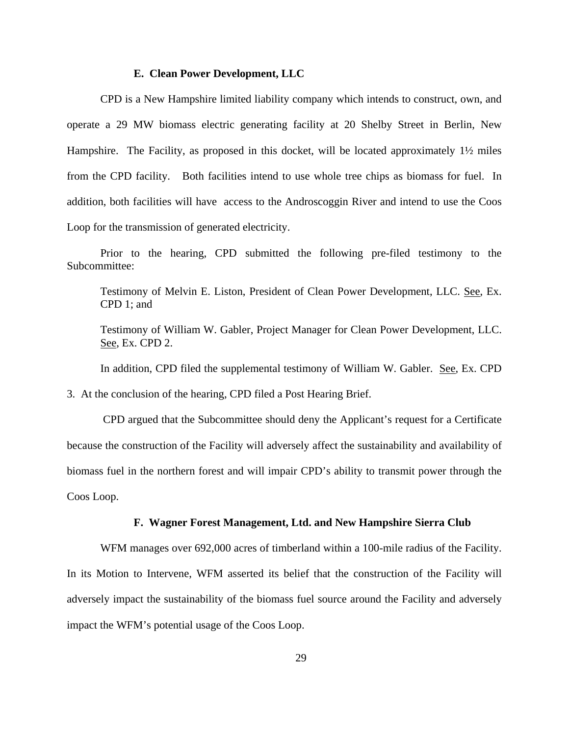## **E. Clean Power Development, LLC**

CPD is a New Hampshire limited liability company which intends to construct, own, and operate a 29 MW biomass electric generating facility at 20 Shelby Street in Berlin, New Hampshire. The Facility, as proposed in this docket, will be located approximately 1<sup>1</sup>/<sub>2</sub> miles from the CPD facility. Both facilities intend to use whole tree chips as biomass for fuel. In addition, both facilities will have access to the Androscoggin River and intend to use the Coos Loop for the transmission of generated electricity.

Prior to the hearing, CPD submitted the following pre-filed testimony to the Subcommittee:

Testimony of Melvin E. Liston, President of Clean Power Development, LLC. See, Ex. CPD 1; and

Testimony of William W. Gabler, Project Manager for Clean Power Development, LLC. See, Ex. CPD 2.

In addition, CPD filed the supplemental testimony of William W. Gabler. See, Ex. CPD

3. At the conclusion of the hearing, CPD filed a Post Hearing Brief.

 CPD argued that the Subcommittee should deny the Applicant's request for a Certificate because the construction of the Facility will adversely affect the sustainability and availability of biomass fuel in the northern forest and will impair CPD's ability to transmit power through the Coos Loop.

## **F. Wagner Forest Management, Ltd. and New Hampshire Sierra Club**

WFM manages over 692,000 acres of timberland within a 100-mile radius of the Facility. In its Motion to Intervene, WFM asserted its belief that the construction of the Facility will adversely impact the sustainability of the biomass fuel source around the Facility and adversely impact the WFM's potential usage of the Coos Loop.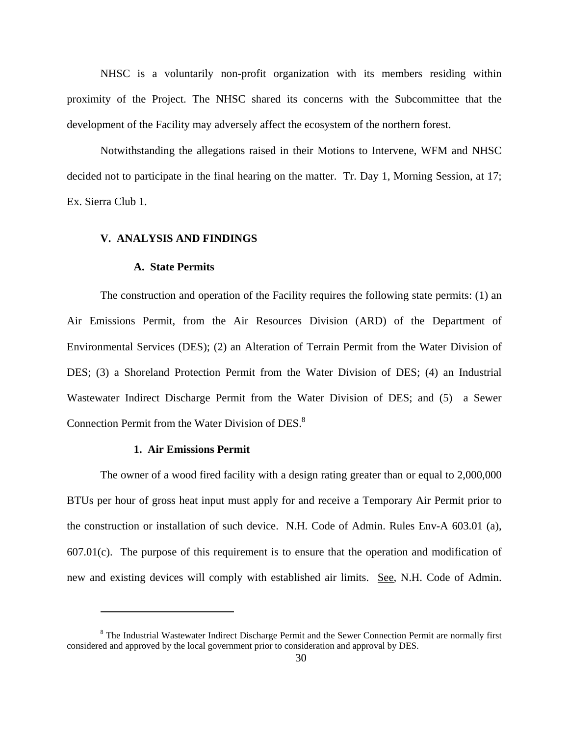NHSC is a voluntarily non-profit organization with its members residing within proximity of the Project. The NHSC shared its concerns with the Subcommittee that the development of the Facility may adversely affect the ecosystem of the northern forest.

Notwithstanding the allegations raised in their Motions to Intervene, WFM and NHSC decided not to participate in the final hearing on the matter. Tr. Day 1, Morning Session, at 17; Ex. Sierra Club 1.

#### **V. ANALYSIS AND FINDINGS**

#### **A. State Permits**

The construction and operation of the Facility requires the following state permits: (1) an Air Emissions Permit, from the Air Resources Division (ARD) of the Department of Environmental Services (DES); (2) an Alteration of Terrain Permit from the Water Division of DES; (3) a Shoreland Protection Permit from the Water Division of DES; (4) an Industrial Wastewater Indirect Discharge Permit from the Water Division of DES; and (5) a Sewer Connection Permit from the Water Division of DES.<sup>8</sup>

#### **1. Air Emissions Permit**

 $\overline{a}$ 

The owner of a wood fired facility with a design rating greater than or equal to 2,000,000 BTUs per hour of gross heat input must apply for and receive a Temporary Air Permit prior to the construction or installation of such device. N.H. Code of Admin. Rules Env-A 603.01 (a), 607.01(c). The purpose of this requirement is to ensure that the operation and modification of new and existing devices will comply with established air limits. See, N.H. Code of Admin.

<sup>&</sup>lt;sup>8</sup> The Industrial Wastewater Indirect Discharge Permit and the Sewer Connection Permit are normally first considered and approved by the local government prior to consideration and approval by DES.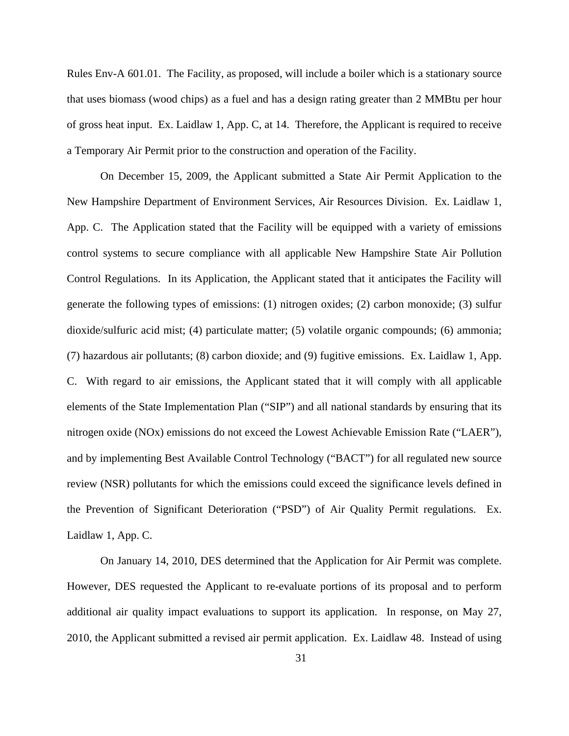Rules Env-A 601.01. The Facility, as proposed, will include a boiler which is a stationary source that uses biomass (wood chips) as a fuel and has a design rating greater than 2 MMBtu per hour of gross heat input. Ex. Laidlaw 1, App. C, at 14. Therefore, the Applicant is required to receive a Temporary Air Permit prior to the construction and operation of the Facility.

On December 15, 2009, the Applicant submitted a State Air Permit Application to the New Hampshire Department of Environment Services, Air Resources Division. Ex. Laidlaw 1, App. C. The Application stated that the Facility will be equipped with a variety of emissions control systems to secure compliance with all applicable New Hampshire State Air Pollution Control Regulations. In its Application, the Applicant stated that it anticipates the Facility will generate the following types of emissions: (1) nitrogen oxides; (2) carbon monoxide; (3) sulfur dioxide/sulfuric acid mist; (4) particulate matter; (5) volatile organic compounds; (6) ammonia; (7) hazardous air pollutants; (8) carbon dioxide; and (9) fugitive emissions. Ex. Laidlaw 1, App. C. With regard to air emissions, the Applicant stated that it will comply with all applicable elements of the State Implementation Plan ("SIP") and all national standards by ensuring that its nitrogen oxide (NOx) emissions do not exceed the Lowest Achievable Emission Rate ("LAER"), and by implementing Best Available Control Technology ("BACT") for all regulated new source review (NSR) pollutants for which the emissions could exceed the significance levels defined in the Prevention of Significant Deterioration ("PSD") of Air Quality Permit regulations. Ex. Laidlaw 1, App. C.

On January 14, 2010, DES determined that the Application for Air Permit was complete. However, DES requested the Applicant to re-evaluate portions of its proposal and to perform additional air quality impact evaluations to support its application. In response, on May 27, 2010, the Applicant submitted a revised air permit application. Ex. Laidlaw 48. Instead of using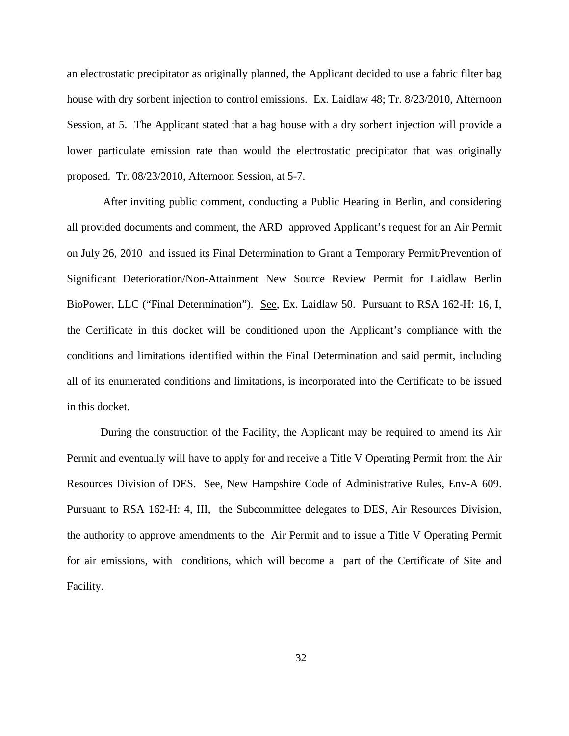an electrostatic precipitator as originally planned, the Applicant decided to use a fabric filter bag house with dry sorbent injection to control emissions. Ex. Laidlaw 48; Tr. 8/23/2010, Afternoon Session, at 5. The Applicant stated that a bag house with a dry sorbent injection will provide a lower particulate emission rate than would the electrostatic precipitator that was originally proposed. Tr. 08/23/2010, Afternoon Session, at 5-7.

 After inviting public comment, conducting a Public Hearing in Berlin, and considering all provided documents and comment, the ARD approved Applicant's request for an Air Permit on July 26, 2010 and issued its Final Determination to Grant a Temporary Permit/Prevention of Significant Deterioration/Non-Attainment New Source Review Permit for Laidlaw Berlin BioPower, LLC ("Final Determination"). See, Ex. Laidlaw 50. Pursuant to RSA 162-H: 16, I, the Certificate in this docket will be conditioned upon the Applicant's compliance with the conditions and limitations identified within the Final Determination and said permit, including all of its enumerated conditions and limitations, is incorporated into the Certificate to be issued in this docket.

During the construction of the Facility, the Applicant may be required to amend its Air Permit and eventually will have to apply for and receive a Title V Operating Permit from the Air Resources Division of DES. See, New Hampshire Code of Administrative Rules, Env-A 609. Pursuant to RSA 162-H: 4, III, the Subcommittee delegates to DES, Air Resources Division, the authority to approve amendments to the Air Permit and to issue a Title V Operating Permit for air emissions, with conditions, which will become a part of the Certificate of Site and Facility.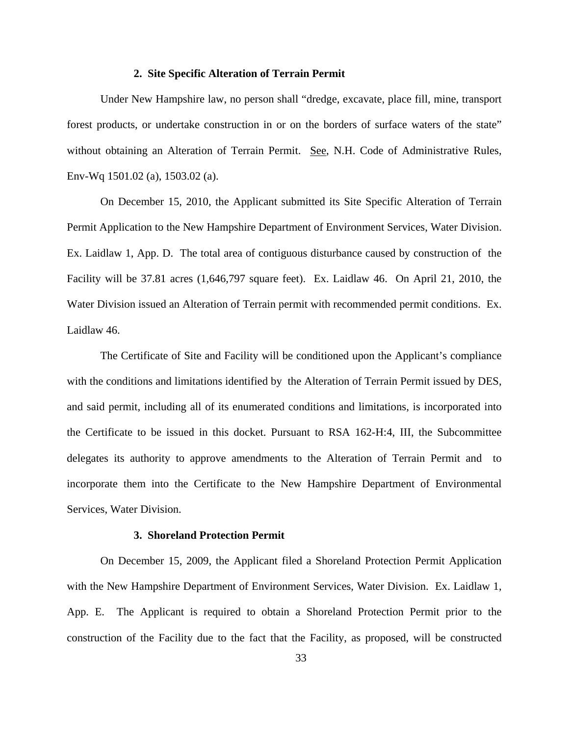## **2. Site Specific Alteration of Terrain Permit**

Under New Hampshire law, no person shall "dredge, excavate, place fill, mine, transport forest products, or undertake construction in or on the borders of surface waters of the state" without obtaining an Alteration of Terrain Permit. See, N.H. Code of Administrative Rules, Env-Wq 1501.02 (a), 1503.02 (a).

On December 15, 2010, the Applicant submitted its Site Specific Alteration of Terrain Permit Application to the New Hampshire Department of Environment Services, Water Division. Ex. Laidlaw 1, App. D. The total area of contiguous disturbance caused by construction of the Facility will be 37.81 acres (1,646,797 square feet). Ex. Laidlaw 46. On April 21, 2010, the Water Division issued an Alteration of Terrain permit with recommended permit conditions. Ex. Laidlaw 46.

The Certificate of Site and Facility will be conditioned upon the Applicant's compliance with the conditions and limitations identified by the Alteration of Terrain Permit issued by DES, and said permit, including all of its enumerated conditions and limitations, is incorporated into the Certificate to be issued in this docket. Pursuant to RSA 162-H:4, III, the Subcommittee delegates its authority to approve amendments to the Alteration of Terrain Permit and to incorporate them into the Certificate to the New Hampshire Department of Environmental Services, Water Division.

#### **3. Shoreland Protection Permit**

On December 15, 2009, the Applicant filed a Shoreland Protection Permit Application with the New Hampshire Department of Environment Services, Water Division. Ex. Laidlaw 1, App. E. The Applicant is required to obtain a Shoreland Protection Permit prior to the construction of the Facility due to the fact that the Facility, as proposed, will be constructed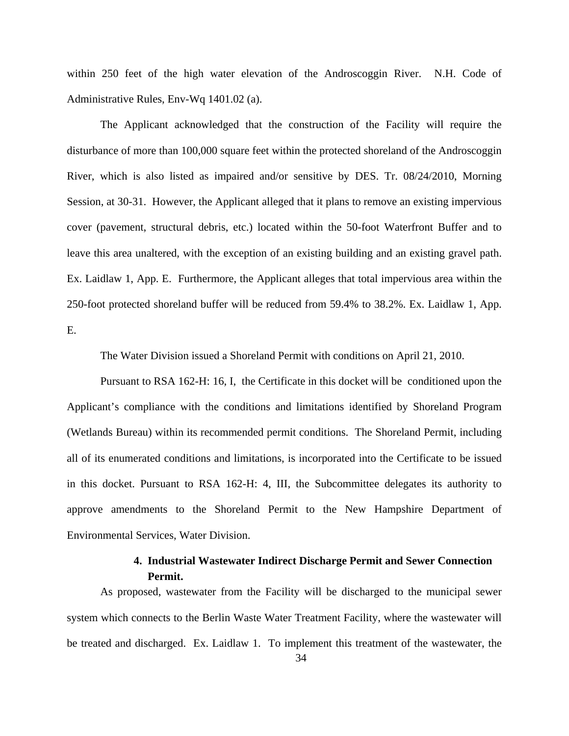within 250 feet of the high water elevation of the Androscoggin River. N.H. Code of Administrative Rules, Env-Wq 1401.02 (a).

The Applicant acknowledged that the construction of the Facility will require the disturbance of more than 100,000 square feet within the protected shoreland of the Androscoggin River, which is also listed as impaired and/or sensitive by DES. Tr. 08/24/2010, Morning Session, at 30-31. However, the Applicant alleged that it plans to remove an existing impervious cover (pavement, structural debris, etc.) located within the 50-foot Waterfront Buffer and to leave this area unaltered, with the exception of an existing building and an existing gravel path. Ex. Laidlaw 1, App. E. Furthermore, the Applicant alleges that total impervious area within the 250-foot protected shoreland buffer will be reduced from 59.4% to 38.2%. Ex. Laidlaw 1, App. E.

The Water Division issued a Shoreland Permit with conditions on April 21, 2010.

Pursuant to RSA 162-H: 16, I, the Certificate in this docket will be conditioned upon the Applicant's compliance with the conditions and limitations identified by Shoreland Program (Wetlands Bureau) within its recommended permit conditions. The Shoreland Permit, including all of its enumerated conditions and limitations, is incorporated into the Certificate to be issued in this docket. Pursuant to RSA 162-H: 4, III, the Subcommittee delegates its authority to approve amendments to the Shoreland Permit to the New Hampshire Department of Environmental Services, Water Division.

# **4. Industrial Wastewater Indirect Discharge Permit and Sewer Connection Permit.**

As proposed, wastewater from the Facility will be discharged to the municipal sewer system which connects to the Berlin Waste Water Treatment Facility, where the wastewater will be treated and discharged.Ex. Laidlaw 1. To implement this treatment of the wastewater, the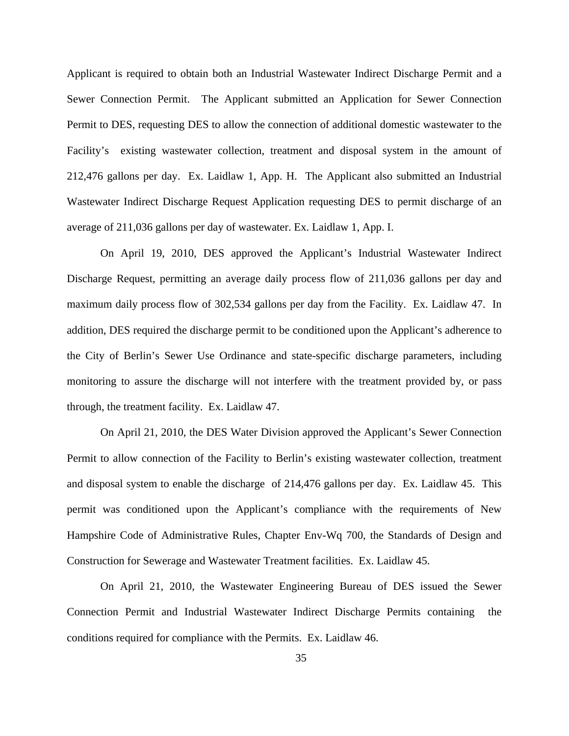Applicant is required to obtain both an Industrial Wastewater Indirect Discharge Permit and a Sewer Connection Permit. The Applicant submitted an Application for Sewer Connection Permit to DES, requesting DES to allow the connection of additional domestic wastewater to the Facility's existing wastewater collection, treatment and disposal system in the amount of 212,476 gallons per day. Ex. Laidlaw 1, App. H. The Applicant also submitted an Industrial Wastewater Indirect Discharge Request Application requesting DES to permit discharge of an average of 211,036 gallons per day of wastewater. Ex. Laidlaw 1, App. I.

On April 19, 2010, DES approved the Applicant's Industrial Wastewater Indirect Discharge Request, permitting an average daily process flow of 211,036 gallons per day and maximum daily process flow of 302,534 gallons per day from the Facility. Ex. Laidlaw 47. In addition, DES required the discharge permit to be conditioned upon the Applicant's adherence to the City of Berlin's Sewer Use Ordinance and state-specific discharge parameters, including monitoring to assure the discharge will not interfere with the treatment provided by, or pass through, the treatment facility. Ex. Laidlaw 47.

On April 21, 2010, the DES Water Division approved the Applicant's Sewer Connection Permit to allow connection of the Facility to Berlin's existing wastewater collection, treatment and disposal system to enable the discharge of 214,476 gallons per day. Ex. Laidlaw 45. This permit was conditioned upon the Applicant's compliance with the requirements of New Hampshire Code of Administrative Rules, Chapter Env-Wq 700, the Standards of Design and Construction for Sewerage and Wastewater Treatment facilities. Ex. Laidlaw 45.

On April 21, 2010, the Wastewater Engineering Bureau of DES issued the Sewer Connection Permit and Industrial Wastewater Indirect Discharge Permits containing the conditions required for compliance with the Permits. Ex. Laidlaw 46.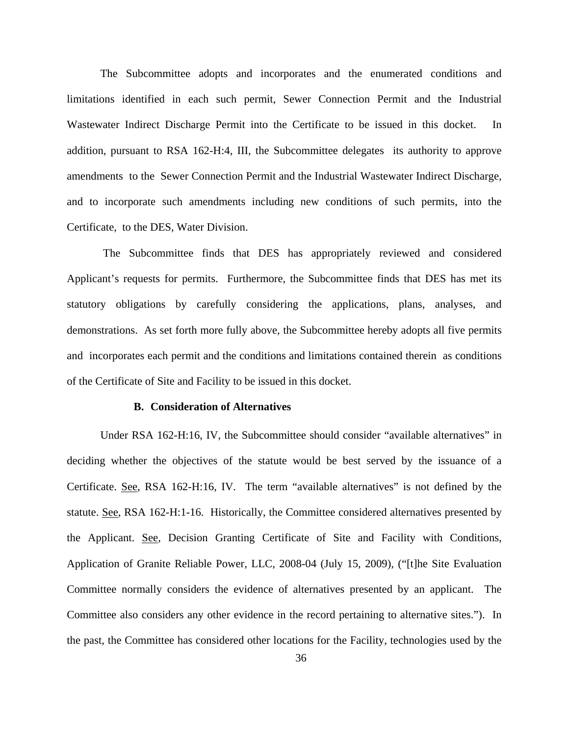The Subcommittee adopts and incorporates and the enumerated conditions and limitations identified in each such permit, Sewer Connection Permit and the Industrial Wastewater Indirect Discharge Permit into the Certificate to be issued in this docket. In addition, pursuant to RSA 162-H:4, III, the Subcommittee delegates its authority to approve amendments to the Sewer Connection Permit and the Industrial Wastewater Indirect Discharge, and to incorporate such amendments including new conditions of such permits, into the Certificate, to the DES, Water Division.

 The Subcommittee finds that DES has appropriately reviewed and considered Applicant's requests for permits. Furthermore, the Subcommittee finds that DES has met its statutory obligations by carefully considering the applications, plans, analyses, and demonstrations. As set forth more fully above, the Subcommittee hereby adopts all five permits and incorporates each permit and the conditions and limitations contained therein as conditions of the Certificate of Site and Facility to be issued in this docket.

#### **B. Consideration of Alternatives**

Under RSA 162-H:16, IV, the Subcommittee should consider "available alternatives" in deciding whether the objectives of the statute would be best served by the issuance of a Certificate. See, RSA 162-H:16, IV. The term "available alternatives" is not defined by the statute. See, RSA 162-H:1-16. Historically, the Committee considered alternatives presented by the Applicant. See, Decision Granting Certificate of Site and Facility with Conditions, Application of Granite Reliable Power, LLC, 2008-04 (July 15, 2009), ("[t]he Site Evaluation Committee normally considers the evidence of alternatives presented by an applicant. The Committee also considers any other evidence in the record pertaining to alternative sites."). In the past, the Committee has considered other locations for the Facility, technologies used by the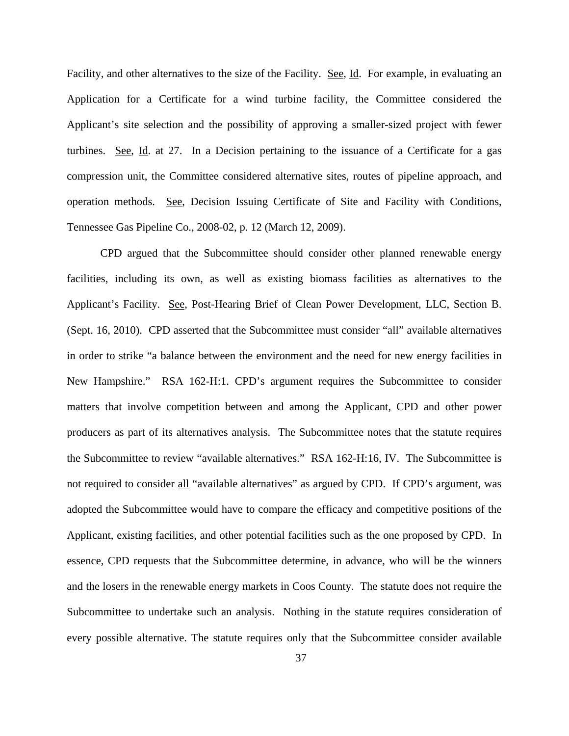Facility, and other alternatives to the size of the Facility. See, Id. For example, in evaluating an Application for a Certificate for a wind turbine facility, the Committee considered the Applicant's site selection and the possibility of approving a smaller-sized project with fewer turbines. See, Id. at 27. In a Decision pertaining to the issuance of a Certificate for a gas compression unit, the Committee considered alternative sites, routes of pipeline approach, and operation methods. See, Decision Issuing Certificate of Site and Facility with Conditions, Tennessee Gas Pipeline Co., 2008-02, p. 12 (March 12, 2009).

CPD argued that the Subcommittee should consider other planned renewable energy facilities, including its own, as well as existing biomass facilities as alternatives to the Applicant's Facility. See, Post-Hearing Brief of Clean Power Development, LLC, Section B. (Sept. 16, 2010). CPD asserted that the Subcommittee must consider "all" available alternatives in order to strike "a balance between the environment and the need for new energy facilities in New Hampshire." RSA 162-H:1. CPD's argument requires the Subcommittee to consider matters that involve competition between and among the Applicant, CPD and other power producers as part of its alternatives analysis. The Subcommittee notes that the statute requires the Subcommittee to review "available alternatives." RSA 162-H:16, IV. The Subcommittee is not required to consider all "available alternatives" as argued by CPD. If CPD's argument, was adopted the Subcommittee would have to compare the efficacy and competitive positions of the Applicant, existing facilities, and other potential facilities such as the one proposed by CPD. In essence, CPD requests that the Subcommittee determine, in advance, who will be the winners and the losers in the renewable energy markets in Coos County. The statute does not require the Subcommittee to undertake such an analysis. Nothing in the statute requires consideration of every possible alternative. The statute requires only that the Subcommittee consider available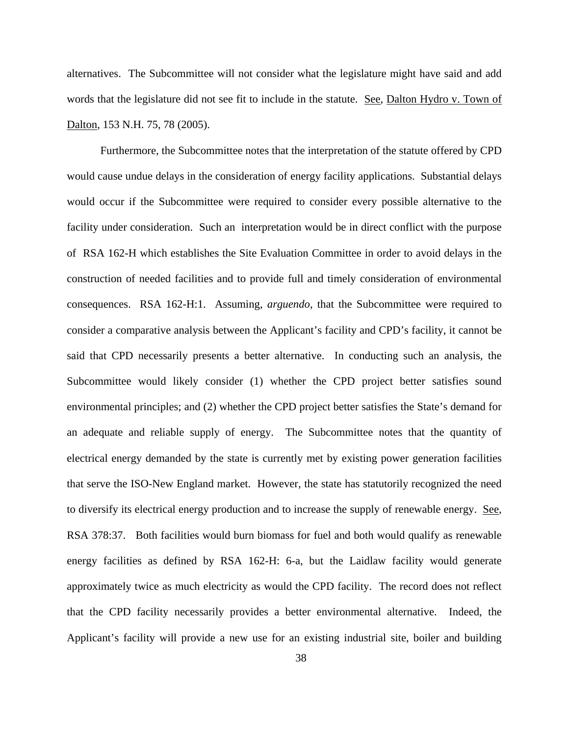alternatives. The Subcommittee will not consider what the legislature might have said and add words that the legislature did not see fit to include in the statute. See, Dalton Hydro v. Town of Dalton, 153 N.H. 75, 78 (2005).

Furthermore, the Subcommittee notes that the interpretation of the statute offered by CPD would cause undue delays in the consideration of energy facility applications. Substantial delays would occur if the Subcommittee were required to consider every possible alternative to the facility under consideration. Such an interpretation would be in direct conflict with the purpose of RSA 162-H which establishes the Site Evaluation Committee in order to avoid delays in the construction of needed facilities and to provide full and timely consideration of environmental consequences. RSA 162-H:1. Assuming, *arguendo*, that the Subcommittee were required to consider a comparative analysis between the Applicant's facility and CPD's facility, it cannot be said that CPD necessarily presents a better alternative. In conducting such an analysis, the Subcommittee would likely consider (1) whether the CPD project better satisfies sound environmental principles; and (2) whether the CPD project better satisfies the State's demand for an adequate and reliable supply of energy. The Subcommittee notes that the quantity of electrical energy demanded by the state is currently met by existing power generation facilities that serve the ISO-New England market. However, the state has statutorily recognized the need to diversify its electrical energy production and to increase the supply of renewable energy. See, RSA 378:37. Both facilities would burn biomass for fuel and both would qualify as renewable energy facilities as defined by RSA 162-H: 6-a, but the Laidlaw facility would generate approximately twice as much electricity as would the CPD facility. The record does not reflect that the CPD facility necessarily provides a better environmental alternative. Indeed, the Applicant's facility will provide a new use for an existing industrial site, boiler and building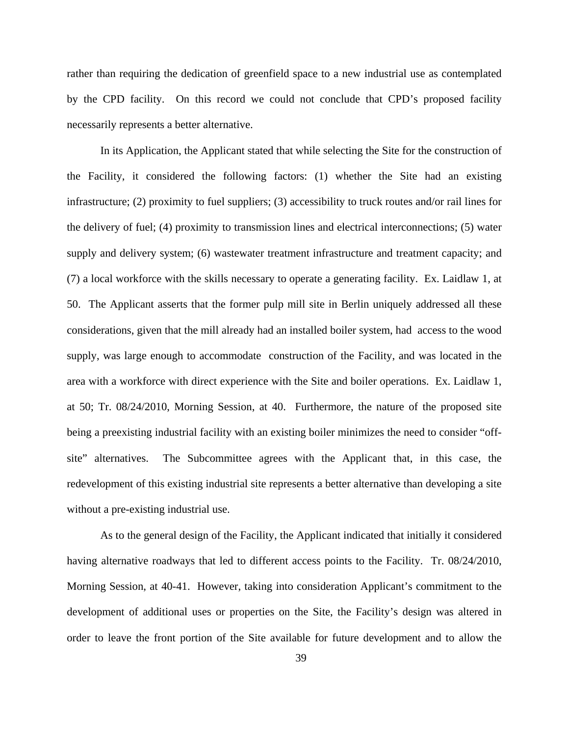rather than requiring the dedication of greenfield space to a new industrial use as contemplated by the CPD facility. On this record we could not conclude that CPD's proposed facility necessarily represents a better alternative.

In its Application, the Applicant stated that while selecting the Site for the construction of the Facility, it considered the following factors: (1) whether the Site had an existing infrastructure; (2) proximity to fuel suppliers; (3) accessibility to truck routes and/or rail lines for the delivery of fuel; (4) proximity to transmission lines and electrical interconnections; (5) water supply and delivery system; (6) wastewater treatment infrastructure and treatment capacity; and (7) a local workforce with the skills necessary to operate a generating facility. Ex. Laidlaw 1, at 50. The Applicant asserts that the former pulp mill site in Berlin uniquely addressed all these considerations, given that the mill already had an installed boiler system, had access to the wood supply, was large enough to accommodate construction of the Facility, and was located in the area with a workforce with direct experience with the Site and boiler operations. Ex. Laidlaw 1, at 50; Tr. 08/24/2010, Morning Session, at 40. Furthermore, the nature of the proposed site being a preexisting industrial facility with an existing boiler minimizes the need to consider "offsite" alternatives. The Subcommittee agrees with the Applicant that, in this case, the redevelopment of this existing industrial site represents a better alternative than developing a site without a pre-existing industrial use.

As to the general design of the Facility, the Applicant indicated that initially it considered having alternative roadways that led to different access points to the Facility. Tr. 08/24/2010, Morning Session, at 40-41. However, taking into consideration Applicant's commitment to the development of additional uses or properties on the Site, the Facility's design was altered in order to leave the front portion of the Site available for future development and to allow the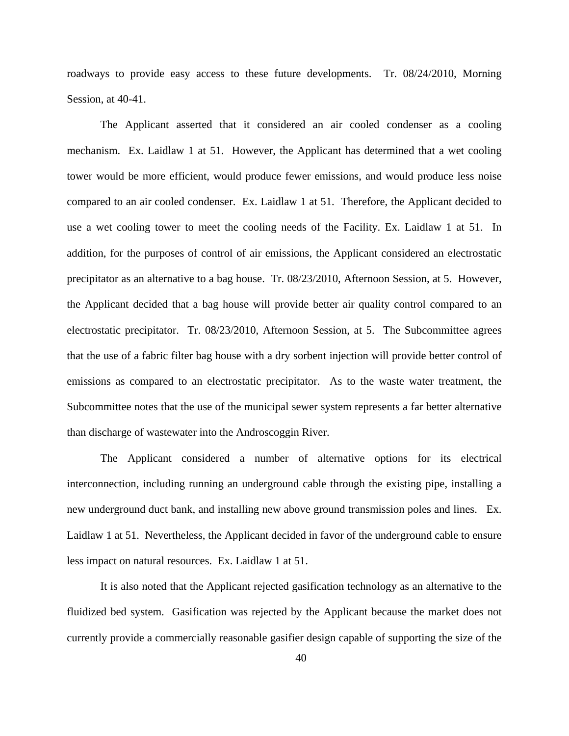roadways to provide easy access to these future developments. Tr. 08/24/2010, Morning Session, at 40-41.

The Applicant asserted that it considered an air cooled condenser as a cooling mechanism. Ex. Laidlaw 1 at 51. However, the Applicant has determined that a wet cooling tower would be more efficient, would produce fewer emissions, and would produce less noise compared to an air cooled condenser. Ex. Laidlaw 1 at 51. Therefore, the Applicant decided to use a wet cooling tower to meet the cooling needs of the Facility. Ex. Laidlaw 1 at 51. In addition, for the purposes of control of air emissions, the Applicant considered an electrostatic precipitator as an alternative to a bag house. Tr. 08/23/2010, Afternoon Session, at 5. However, the Applicant decided that a bag house will provide better air quality control compared to an electrostatic precipitator. Tr. 08/23/2010, Afternoon Session, at 5. The Subcommittee agrees that the use of a fabric filter bag house with a dry sorbent injection will provide better control of emissions as compared to an electrostatic precipitator. As to the waste water treatment, the Subcommittee notes that the use of the municipal sewer system represents a far better alternative than discharge of wastewater into the Androscoggin River.

The Applicant considered a number of alternative options for its electrical interconnection, including running an underground cable through the existing pipe, installing a new underground duct bank, and installing new above ground transmission poles and lines. Ex. Laidlaw 1 at 51. Nevertheless, the Applicant decided in favor of the underground cable to ensure less impact on natural resources. Ex. Laidlaw 1 at 51.

It is also noted that the Applicant rejected gasification technology as an alternative to the fluidized bed system. Gasification was rejected by the Applicant because the market does not currently provide a commercially reasonable gasifier design capable of supporting the size of the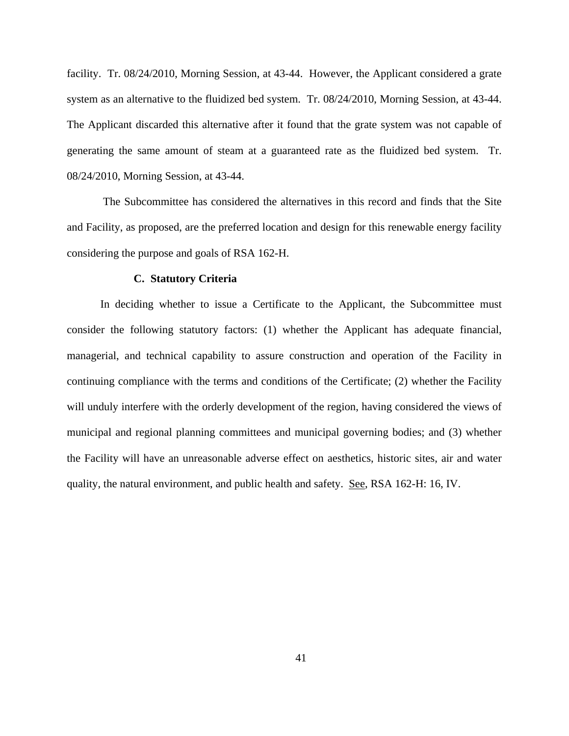facility. Tr. 08/24/2010, Morning Session, at 43-44. However, the Applicant considered a grate system as an alternative to the fluidized bed system. Tr. 08/24/2010, Morning Session, at 43-44. The Applicant discarded this alternative after it found that the grate system was not capable of generating the same amount of steam at a guaranteed rate as the fluidized bed system. Tr. 08/24/2010, Morning Session, at 43-44.

 The Subcommittee has considered the alternatives in this record and finds that the Site and Facility, as proposed, are the preferred location and design for this renewable energy facility considering the purpose and goals of RSA 162-H.

## **C. Statutory Criteria**

In deciding whether to issue a Certificate to the Applicant, the Subcommittee must consider the following statutory factors: (1) whether the Applicant has adequate financial, managerial, and technical capability to assure construction and operation of the Facility in continuing compliance with the terms and conditions of the Certificate; (2) whether the Facility will unduly interfere with the orderly development of the region, having considered the views of municipal and regional planning committees and municipal governing bodies; and (3) whether the Facility will have an unreasonable adverse effect on aesthetics, historic sites, air and water quality, the natural environment, and public health and safety. See, RSA 162-H: 16, IV.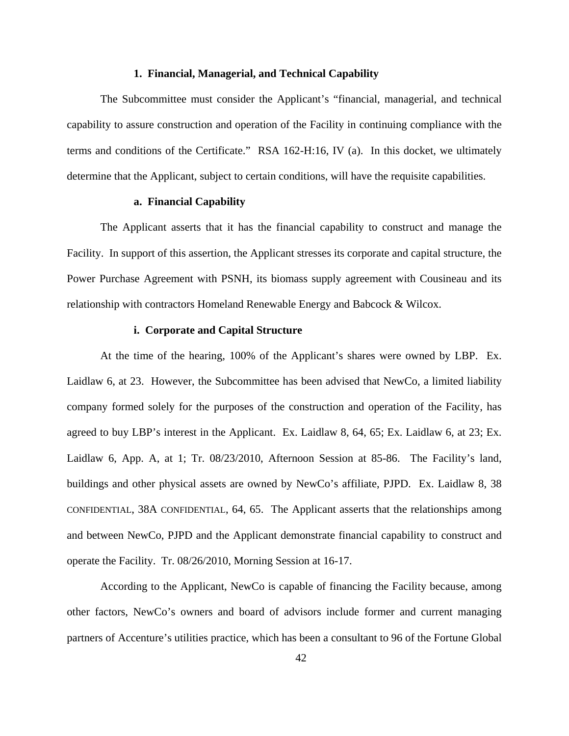#### **1. Financial, Managerial, and Technical Capability**

The Subcommittee must consider the Applicant's "financial, managerial, and technical capability to assure construction and operation of the Facility in continuing compliance with the terms and conditions of the Certificate." RSA 162-H:16, IV (a). In this docket, we ultimately determine that the Applicant, subject to certain conditions, will have the requisite capabilities.

# **a. Financial Capability**

The Applicant asserts that it has the financial capability to construct and manage the Facility. In support of this assertion, the Applicant stresses its corporate and capital structure, the Power Purchase Agreement with PSNH, its biomass supply agreement with Cousineau and its relationship with contractors Homeland Renewable Energy and Babcock & Wilcox.

# **i. Corporate and Capital Structure**

At the time of the hearing, 100% of the Applicant's shares were owned by LBP. Ex. Laidlaw 6, at 23. However, the Subcommittee has been advised that NewCo, a limited liability company formed solely for the purposes of the construction and operation of the Facility, has agreed to buy LBP's interest in the Applicant. Ex. Laidlaw 8, 64, 65; Ex. Laidlaw 6, at 23; Ex. Laidlaw 6, App. A, at 1; Tr. 08/23/2010, Afternoon Session at 85-86. The Facility's land, buildings and other physical assets are owned by NewCo's affiliate, PJPD. Ex. Laidlaw 8, 38 CONFIDENTIAL, 38A CONFIDENTIAL, 64, 65. The Applicant asserts that the relationships among and between NewCo, PJPD and the Applicant demonstrate financial capability to construct and operate the Facility. Tr. 08/26/2010, Morning Session at 16-17.

According to the Applicant, NewCo is capable of financing the Facility because, among other factors, NewCo's owners and board of advisors include former and current managing partners of Accenture's utilities practice, which has been a consultant to 96 of the Fortune Global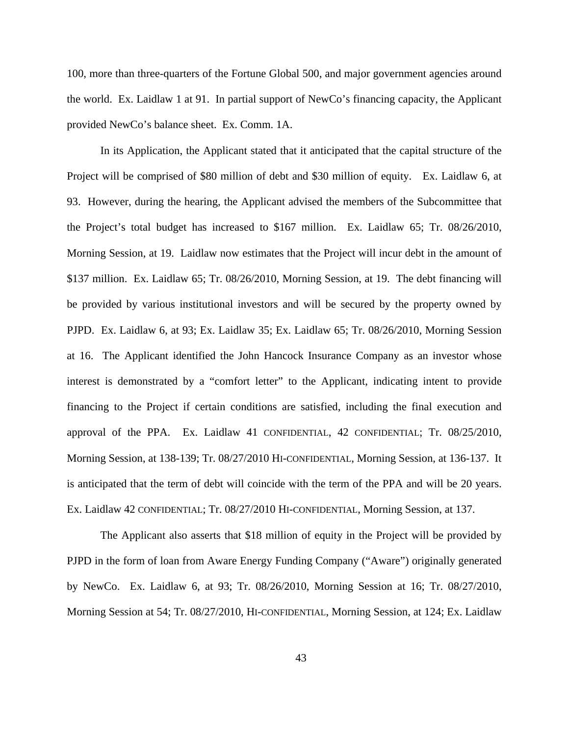100, more than three-quarters of the Fortune Global 500, and major government agencies around the world. Ex. Laidlaw 1 at 91. In partial support of NewCo's financing capacity, the Applicant provided NewCo's balance sheet. Ex. Comm. 1A.

In its Application, the Applicant stated that it anticipated that the capital structure of the Project will be comprised of \$80 million of debt and \$30 million of equity. Ex. Laidlaw 6, at 93. However, during the hearing, the Applicant advised the members of the Subcommittee that the Project's total budget has increased to \$167 million. Ex. Laidlaw 65; Tr. 08/26/2010, Morning Session, at 19. Laidlaw now estimates that the Project will incur debt in the amount of \$137 million. Ex. Laidlaw 65; Tr. 08/26/2010, Morning Session, at 19. The debt financing will be provided by various institutional investors and will be secured by the property owned by PJPD. Ex. Laidlaw 6, at 93; Ex. Laidlaw 35; Ex. Laidlaw 65; Tr. 08/26/2010, Morning Session at 16. The Applicant identified the John Hancock Insurance Company as an investor whose interest is demonstrated by a "comfort letter" to the Applicant, indicating intent to provide financing to the Project if certain conditions are satisfied, including the final execution and approval of the PPA. Ex. Laidlaw 41 CONFIDENTIAL, 42 CONFIDENTIAL; Tr. 08/25/2010, Morning Session, at 138-139; Tr. 08/27/2010 HI-CONFIDENTIAL, Morning Session, at 136-137. It is anticipated that the term of debt will coincide with the term of the PPA and will be 20 years. Ex. Laidlaw 42 CONFIDENTIAL; Tr. 08/27/2010 HI-CONFIDENTIAL, Morning Session, at 137.

The Applicant also asserts that \$18 million of equity in the Project will be provided by PJPD in the form of loan from Aware Energy Funding Company ("Aware") originally generated by NewCo. Ex. Laidlaw 6, at 93; Tr. 08/26/2010, Morning Session at 16; Tr. 08/27/2010, Morning Session at 54; Tr. 08/27/2010, HI-CONFIDENTIAL, Morning Session, at 124; Ex. Laidlaw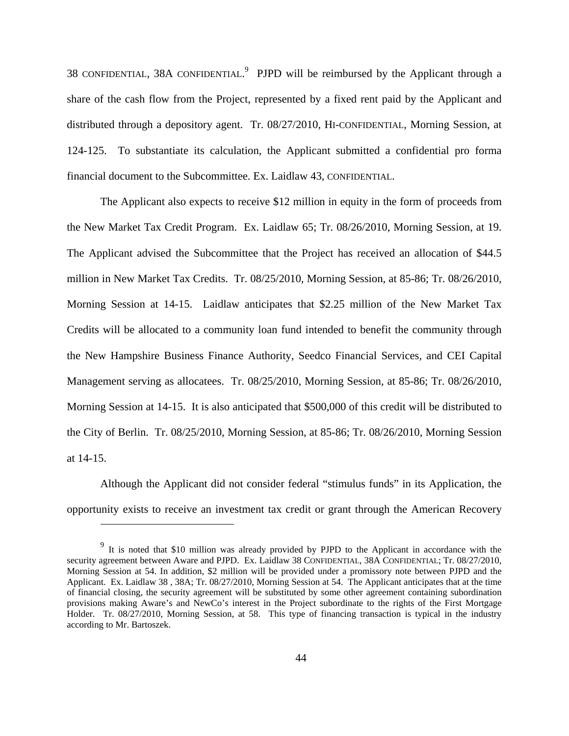38 CONFIDENTIAL, 38A CONFIDENTIAL.<sup>9</sup> PJPD will be reimbursed by the Applicant through a share of the cash flow from the Project, represented by a fixed rent paid by the Applicant and distributed through a depository agent. Tr. 08/27/2010, HI-CONFIDENTIAL, Morning Session, at 124-125. To substantiate its calculation, the Applicant submitted a confidential pro forma financial document to the Subcommittee. Ex. Laidlaw 43, CONFIDENTIAL.

The Applicant also expects to receive \$12 million in equity in the form of proceeds from the New Market Tax Credit Program. Ex. Laidlaw 65; Tr. 08/26/2010, Morning Session, at 19. The Applicant advised the Subcommittee that the Project has received an allocation of \$44.5 million in New Market Tax Credits. Tr. 08/25/2010, Morning Session, at 85-86; Tr. 08/26/2010, Morning Session at 14-15. Laidlaw anticipates that \$2.25 million of the New Market Tax Credits will be allocated to a community loan fund intended to benefit the community through the New Hampshire Business Finance Authority, Seedco Financial Services, and CEI Capital Management serving as allocatees. Tr. 08/25/2010, Morning Session, at 85-86; Tr. 08/26/2010, Morning Session at 14-15. It is also anticipated that \$500,000 of this credit will be distributed to the City of Berlin. Tr. 08/25/2010, Morning Session, at 85-86; Tr. 08/26/2010, Morning Session at 14-15.

Although the Applicant did not consider federal "stimulus funds" in its Application, the opportunity exists to receive an investment tax credit or grant through the American Recovery

 $\overline{a}$ 

 $9\,$  It is noted that \$10 million was already provided by PJPD to the Applicant in accordance with the security agreement between Aware and PJPD. Ex. Laidlaw 38 CONFIDENTIAL, 38A CONFIDENTIAL; Tr. 08/27/2010, Morning Session at 54. In addition, \$2 million will be provided under a promissory note between PJPD and the Applicant. Ex. Laidlaw 38 , 38A; Tr. 08/27/2010, Morning Session at 54. The Applicant anticipates that at the time of financial closing, the security agreement will be substituted by some other agreement containing subordination provisions making Aware's and NewCo's interest in the Project subordinate to the rights of the First Mortgage Holder. Tr. 08/27/2010, Morning Session, at 58. This type of financing transaction is typical in the industry according to Mr. Bartoszek.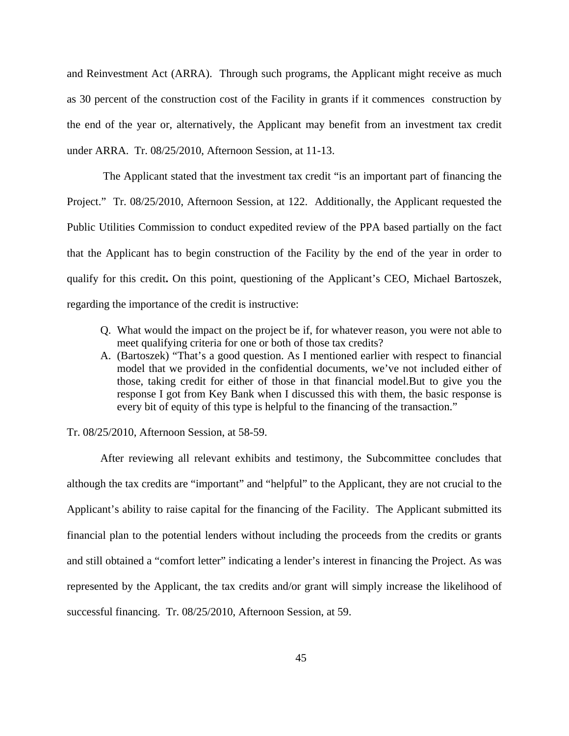and Reinvestment Act (ARRA). Through such programs, the Applicant might receive as much as 30 percent of the construction cost of the Facility in grants if it commences construction by the end of the year or, alternatively, the Applicant may benefit from an investment tax credit under ARRA. Tr. 08/25/2010, Afternoon Session, at 11-13.

 The Applicant stated that the investment tax credit "is an important part of financing the Project." Tr. 08/25/2010, Afternoon Session, at 122. Additionally, the Applicant requested the Public Utilities Commission to conduct expedited review of the PPA based partially on the fact that the Applicant has to begin construction of the Facility by the end of the year in order to qualify for this credit**.** On this point, questioning of the Applicant's CEO, Michael Bartoszek, regarding the importance of the credit is instructive:

- Q. What would the impact on the project be if, for whatever reason, you were not able to meet qualifying criteria for one or both of those tax credits?
- A. (Bartoszek) "That's a good question. As I mentioned earlier with respect to financial model that we provided in the confidential documents, we've not included either of those, taking credit for either of those in that financial model.But to give you the response I got from Key Bank when I discussed this with them, the basic response is every bit of equity of this type is helpful to the financing of the transaction."

Tr. 08/25/2010, Afternoon Session, at 58-59.

After reviewing all relevant exhibits and testimony, the Subcommittee concludes that although the tax credits are "important" and "helpful" to the Applicant, they are not crucial to the Applicant's ability to raise capital for the financing of the Facility. The Applicant submitted its financial plan to the potential lenders without including the proceeds from the credits or grants and still obtained a "comfort letter" indicating a lender's interest in financing the Project. As was represented by the Applicant, the tax credits and/or grant will simply increase the likelihood of successful financing. Tr. 08/25/2010, Afternoon Session, at 59.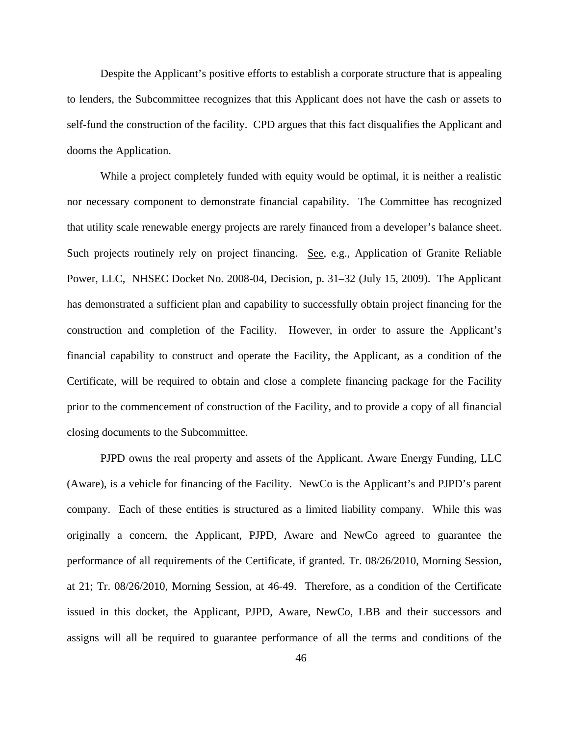Despite the Applicant's positive efforts to establish a corporate structure that is appealing to lenders, the Subcommittee recognizes that this Applicant does not have the cash or assets to self-fund the construction of the facility. CPD argues that this fact disqualifies the Applicant and dooms the Application.

While a project completely funded with equity would be optimal, it is neither a realistic nor necessary component to demonstrate financial capability. The Committee has recognized that utility scale renewable energy projects are rarely financed from a developer's balance sheet. Such projects routinely rely on project financing. See, e.g., Application of Granite Reliable Power, LLC, NHSEC Docket No. 2008-04, Decision, p. 31–32 (July 15, 2009). The Applicant has demonstrated a sufficient plan and capability to successfully obtain project financing for the construction and completion of the Facility. However, in order to assure the Applicant's financial capability to construct and operate the Facility, the Applicant, as a condition of the Certificate, will be required to obtain and close a complete financing package for the Facility prior to the commencement of construction of the Facility, and to provide a copy of all financial closing documents to the Subcommittee.

PJPD owns the real property and assets of the Applicant. Aware Energy Funding, LLC (Aware), is a vehicle for financing of the Facility. NewCo is the Applicant's and PJPD's parent company. Each of these entities is structured as a limited liability company. While this was originally a concern, the Applicant, PJPD, Aware and NewCo agreed to guarantee the performance of all requirements of the Certificate, if granted. Tr. 08/26/2010, Morning Session, at 21; Tr. 08/26/2010, Morning Session, at 46-49. Therefore, as a condition of the Certificate issued in this docket, the Applicant, PJPD, Aware, NewCo, LBB and their successors and assigns will all be required to guarantee performance of all the terms and conditions of the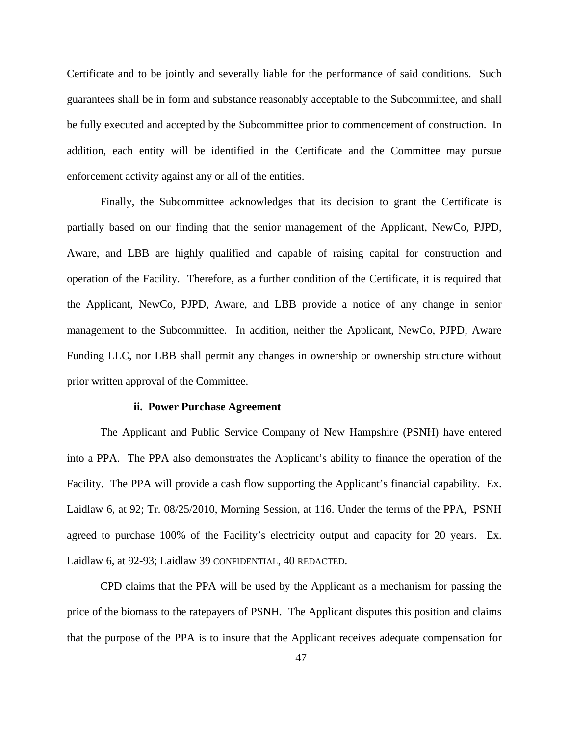Certificate and to be jointly and severally liable for the performance of said conditions. Such guarantees shall be in form and substance reasonably acceptable to the Subcommittee, and shall be fully executed and accepted by the Subcommittee prior to commencement of construction. In addition, each entity will be identified in the Certificate and the Committee may pursue enforcement activity against any or all of the entities.

Finally, the Subcommittee acknowledges that its decision to grant the Certificate is partially based on our finding that the senior management of the Applicant, NewCo, PJPD, Aware, and LBB are highly qualified and capable of raising capital for construction and operation of the Facility. Therefore, as a further condition of the Certificate, it is required that the Applicant, NewCo, PJPD, Aware, and LBB provide a notice of any change in senior management to the Subcommittee. In addition, neither the Applicant, NewCo, PJPD, Aware Funding LLC, nor LBB shall permit any changes in ownership or ownership structure without prior written approval of the Committee.

#### **ii. Power Purchase Agreement**

The Applicant and Public Service Company of New Hampshire (PSNH) have entered into a PPA. The PPA also demonstrates the Applicant's ability to finance the operation of the Facility. The PPA will provide a cash flow supporting the Applicant's financial capability. Ex. Laidlaw 6, at 92; Tr. 08/25/2010, Morning Session, at 116. Under the terms of the PPA, PSNH agreed to purchase 100% of the Facility's electricity output and capacity for 20 years. Ex. Laidlaw 6, at 92-93; Laidlaw 39 CONFIDENTIAL, 40 REDACTED.

CPD claims that the PPA will be used by the Applicant as a mechanism for passing the price of the biomass to the ratepayers of PSNH. The Applicant disputes this position and claims that the purpose of the PPA is to insure that the Applicant receives adequate compensation for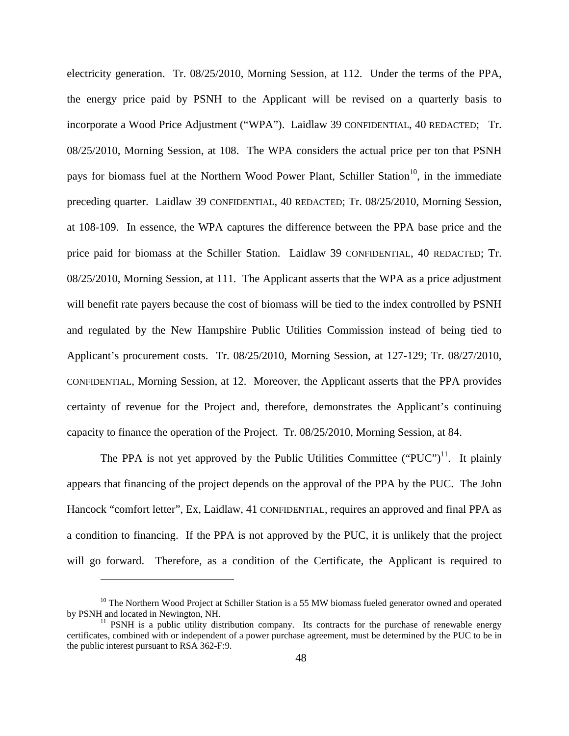electricity generation. Tr. 08/25/2010, Morning Session, at 112. Under the terms of the PPA, the energy price paid by PSNH to the Applicant will be revised on a quarterly basis to incorporate a Wood Price Adjustment ("WPA"). Laidlaw 39 CONFIDENTIAL, 40 REDACTED; Tr. 08/25/2010, Morning Session, at 108. The WPA considers the actual price per ton that PSNH pays for biomass fuel at the Northern Wood Power Plant, Schiller Station<sup>10</sup>, in the immediate preceding quarter. Laidlaw 39 CONFIDENTIAL, 40 REDACTED; Tr. 08/25/2010, Morning Session, at 108-109. In essence, the WPA captures the difference between the PPA base price and the price paid for biomass at the Schiller Station. Laidlaw 39 CONFIDENTIAL, 40 REDACTED; Tr. 08/25/2010, Morning Session, at 111. The Applicant asserts that the WPA as a price adjustment will benefit rate payers because the cost of biomass will be tied to the index controlled by PSNH and regulated by the New Hampshire Public Utilities Commission instead of being tied to Applicant's procurement costs. Tr. 08/25/2010, Morning Session, at 127-129; Tr. 08/27/2010, CONFIDENTIAL, Morning Session, at 12. Moreover, the Applicant asserts that the PPA provides certainty of revenue for the Project and, therefore, demonstrates the Applicant's continuing capacity to finance the operation of the Project. Tr. 08/25/2010, Morning Session, at 84.

The PPA is not yet approved by the Public Utilities Committee ("PUC")<sup>11</sup>. It plainly appears that financing of the project depends on the approval of the PPA by the PUC. The John Hancock "comfort letter", Ex, Laidlaw, 41 CONFIDENTIAL, requires an approved and final PPA as a condition to financing. If the PPA is not approved by the PUC, it is unlikely that the project will go forward. Therefore, as a condition of the Certificate, the Applicant is required to

 $\overline{a}$ 

<sup>&</sup>lt;sup>10</sup> The Northern Wood Project at Schiller Station is a 55 MW biomass fueled generator owned and operated by PSNH and located in Newington, NH.

 $11$  PSNH is a public utility distribution company. Its contracts for the purchase of renewable energy certificates, combined with or independent of a power purchase agreement, must be determined by the PUC to be in the public interest pursuant to RSA 362-F:9.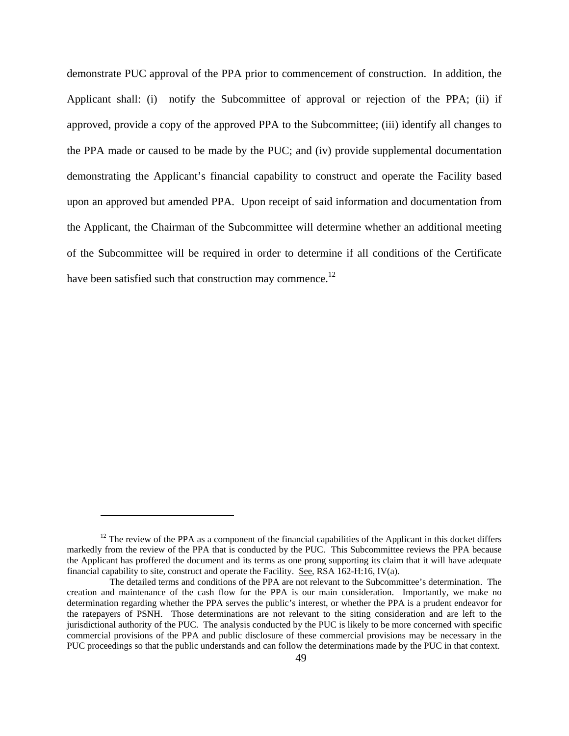demonstrate PUC approval of the PPA prior to commencement of construction. In addition, the Applicant shall: (i) notify the Subcommittee of approval or rejection of the PPA; (ii) if approved, provide a copy of the approved PPA to the Subcommittee; (iii) identify all changes to the PPA made or caused to be made by the PUC; and (iv) provide supplemental documentation demonstrating the Applicant's financial capability to construct and operate the Facility based upon an approved but amended PPA. Upon receipt of said information and documentation from the Applicant, the Chairman of the Subcommittee will determine whether an additional meeting of the Subcommittee will be required in order to determine if all conditions of the Certificate have been satisfied such that construction may commence.<sup>12</sup>

 $\overline{a}$ 

 $12$  The review of the PPA as a component of the financial capabilities of the Applicant in this docket differs markedly from the review of the PPA that is conducted by the PUC. This Subcommittee reviews the PPA because the Applicant has proffered the document and its terms as one prong supporting its claim that it will have adequate financial capability to site, construct and operate the Facility. See, RSA 162-H:16, IV(a).

The detailed terms and conditions of the PPA are not relevant to the Subcommittee's determination. The creation and maintenance of the cash flow for the PPA is our main consideration. Importantly, we make no determination regarding whether the PPA serves the public's interest, or whether the PPA is a prudent endeavor for the ratepayers of PSNH. Those determinations are not relevant to the siting consideration and are left to the jurisdictional authority of the PUC. The analysis conducted by the PUC is likely to be more concerned with specific commercial provisions of the PPA and public disclosure of these commercial provisions may be necessary in the PUC proceedings so that the public understands and can follow the determinations made by the PUC in that context.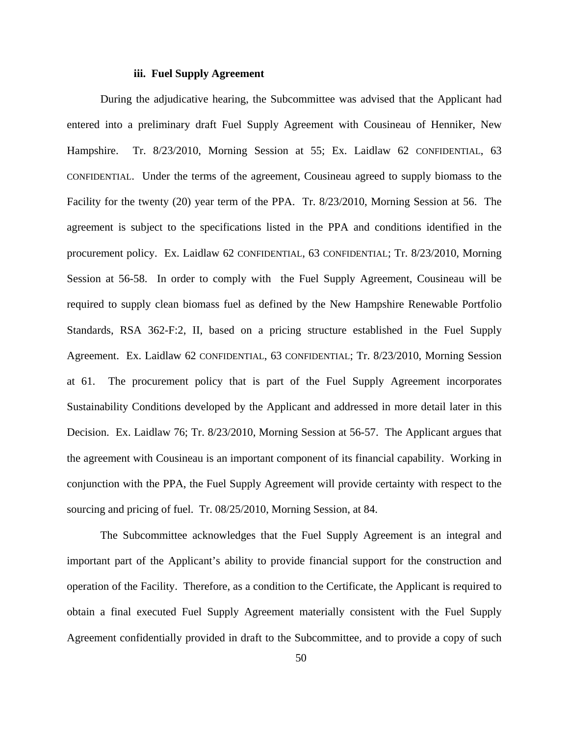# **iii. Fuel Supply Agreement**

During the adjudicative hearing, the Subcommittee was advised that the Applicant had entered into a preliminary draft Fuel Supply Agreement with Cousineau of Henniker, New Hampshire. Tr. 8/23/2010, Morning Session at 55; Ex. Laidlaw 62 CONFIDENTIAL, 63 CONFIDENTIAL. Under the terms of the agreement, Cousineau agreed to supply biomass to the Facility for the twenty (20) year term of the PPA. Tr. 8/23/2010, Morning Session at 56. The agreement is subject to the specifications listed in the PPA and conditions identified in the procurement policy. Ex. Laidlaw 62 CONFIDENTIAL, 63 CONFIDENTIAL; Tr. 8/23/2010, Morning Session at 56-58. In order to comply with the Fuel Supply Agreement, Cousineau will be required to supply clean biomass fuel as defined by the New Hampshire Renewable Portfolio Standards, RSA 362-F:2, II, based on a pricing structure established in the Fuel Supply Agreement. Ex. Laidlaw 62 CONFIDENTIAL, 63 CONFIDENTIAL; Tr. 8/23/2010, Morning Session at 61. The procurement policy that is part of the Fuel Supply Agreement incorporates Sustainability Conditions developed by the Applicant and addressed in more detail later in this Decision. Ex. Laidlaw 76; Tr. 8/23/2010, Morning Session at 56-57. The Applicant argues that the agreement with Cousineau is an important component of its financial capability. Working in conjunction with the PPA, the Fuel Supply Agreement will provide certainty with respect to the sourcing and pricing of fuel. Tr. 08/25/2010, Morning Session, at 84.

The Subcommittee acknowledges that the Fuel Supply Agreement is an integral and important part of the Applicant's ability to provide financial support for the construction and operation of the Facility. Therefore, as a condition to the Certificate, the Applicant is required to obtain a final executed Fuel Supply Agreement materially consistent with the Fuel Supply Agreement confidentially provided in draft to the Subcommittee, and to provide a copy of such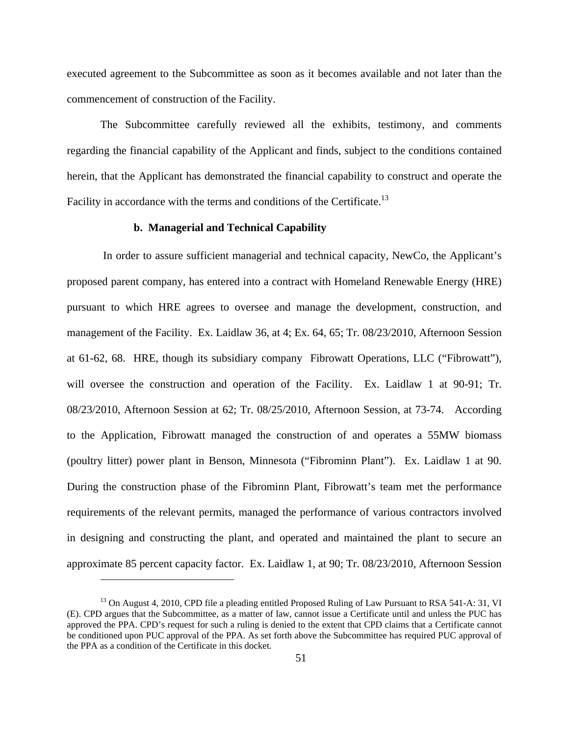executed agreement to the Subcommittee as soon as it becomes available and not later than the commencement of construction of the Facility.

The Subcommittee carefully reviewed all the exhibits, testimony, and comments regarding the financial capability of the Applicant and finds, subject to the conditions contained herein, that the Applicant has demonstrated the financial capability to construct and operate the Facility in accordance with the terms and conditions of the Certificate.<sup>13</sup>

#### **b. Managerial and Technical Capability**

 In order to assure sufficient managerial and technical capacity, NewCo, the Applicant's proposed parent company, has entered into a contract with Homeland Renewable Energy (HRE) pursuant to which HRE agrees to oversee and manage the development, construction, and management of the Facility. Ex. Laidlaw 36, at 4; Ex. 64, 65; Tr. 08/23/2010, Afternoon Session at 61-62, 68. HRE, though its subsidiary company Fibrowatt Operations, LLC ("Fibrowatt"), will oversee the construction and operation of the Facility. Ex. Laidlaw 1 at 90-91; Tr. 08/23/2010, Afternoon Session at 62; Tr. 08/25/2010, Afternoon Session, at 73-74. According to the Application, Fibrowatt managed the construction of and operates a 55MW biomass (poultry litter) power plant in Benson, Minnesota ("Fibrominn Plant"). Ex. Laidlaw 1 at 90. During the construction phase of the Fibrominn Plant, Fibrowatt's team met the performance requirements of the relevant permits, managed the performance of various contractors involved in designing and constructing the plant, and operated and maintained the plant to secure an approximate 85 percent capacity factor. Ex. Laidlaw 1, at 90; Tr. 08/23/2010, Afternoon Session

 $\overline{a}$ 

<sup>&</sup>lt;sup>13</sup> On August 4, 2010, CPD file a pleading entitled Proposed Ruling of Law Pursuant to RSA 541-A: 31, VI (E). CPD argues that the Subcommittee, as a matter of law, cannot issue a Certificate until and unless the PUC has approved the PPA. CPD's request for such a ruling is denied to the extent that CPD claims that a Certificate cannot be conditioned upon PUC approval of the PPA. As set forth above the Subcommittee has required PUC approval of the PPA as a condition of the Certificate in this docket.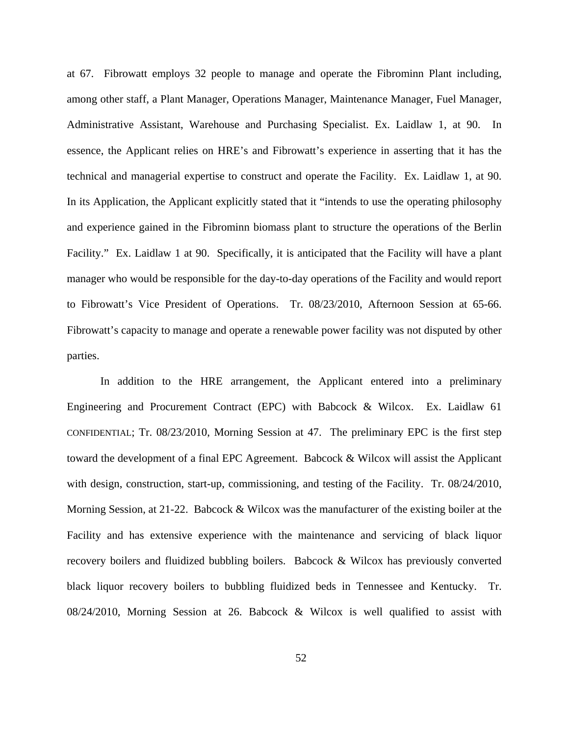at 67. Fibrowatt employs 32 people to manage and operate the Fibrominn Plant including, among other staff, a Plant Manager, Operations Manager, Maintenance Manager, Fuel Manager, Administrative Assistant, Warehouse and Purchasing Specialist. Ex. Laidlaw 1, at 90. In essence, the Applicant relies on HRE's and Fibrowatt's experience in asserting that it has the technical and managerial expertise to construct and operate the Facility. Ex. Laidlaw 1, at 90. In its Application, the Applicant explicitly stated that it "intends to use the operating philosophy and experience gained in the Fibrominn biomass plant to structure the operations of the Berlin Facility." Ex. Laidlaw 1 at 90. Specifically, it is anticipated that the Facility will have a plant manager who would be responsible for the day-to-day operations of the Facility and would report to Fibrowatt's Vice President of Operations. Tr. 08/23/2010, Afternoon Session at 65-66. Fibrowatt's capacity to manage and operate a renewable power facility was not disputed by other parties.

In addition to the HRE arrangement, the Applicant entered into a preliminary Engineering and Procurement Contract (EPC) with Babcock & Wilcox. Ex. Laidlaw 61 CONFIDENTIAL; Tr. 08/23/2010, Morning Session at 47. The preliminary EPC is the first step toward the development of a final EPC Agreement. Babcock & Wilcox will assist the Applicant with design, construction, start-up, commissioning, and testing of the Facility. Tr. 08/24/2010, Morning Session, at 21-22. Babcock & Wilcox was the manufacturer of the existing boiler at the Facility and has extensive experience with the maintenance and servicing of black liquor recovery boilers and fluidized bubbling boilers. Babcock & Wilcox has previously converted black liquor recovery boilers to bubbling fluidized beds in Tennessee and Kentucky. Tr. 08/24/2010, Morning Session at 26. Babcock & Wilcox is well qualified to assist with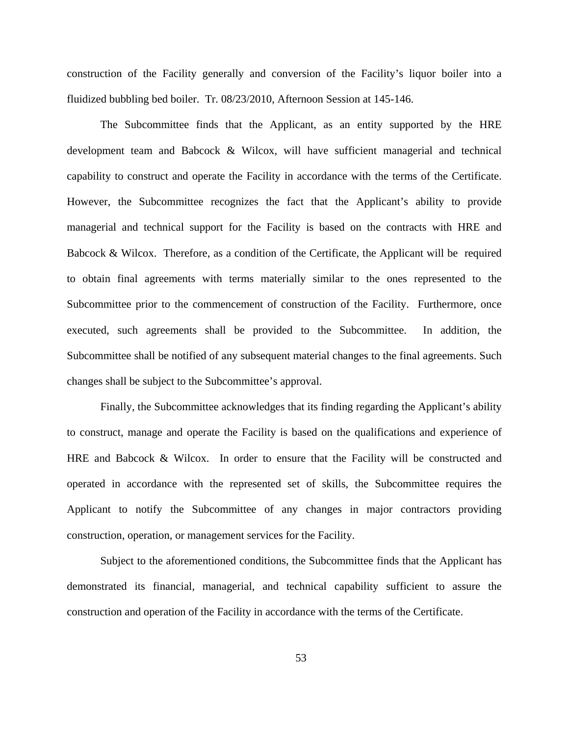construction of the Facility generally and conversion of the Facility's liquor boiler into a fluidized bubbling bed boiler. Tr. 08/23/2010, Afternoon Session at 145-146.

The Subcommittee finds that the Applicant, as an entity supported by the HRE development team and Babcock & Wilcox, will have sufficient managerial and technical capability to construct and operate the Facility in accordance with the terms of the Certificate. However, the Subcommittee recognizes the fact that the Applicant's ability to provide managerial and technical support for the Facility is based on the contracts with HRE and Babcock & Wilcox. Therefore, as a condition of the Certificate, the Applicant will be required to obtain final agreements with terms materially similar to the ones represented to the Subcommittee prior to the commencement of construction of the Facility. Furthermore, once executed, such agreements shall be provided to the Subcommittee. In addition, the Subcommittee shall be notified of any subsequent material changes to the final agreements. Such changes shall be subject to the Subcommittee's approval.

Finally, the Subcommittee acknowledges that its finding regarding the Applicant's ability to construct, manage and operate the Facility is based on the qualifications and experience of HRE and Babcock & Wilcox. In order to ensure that the Facility will be constructed and operated in accordance with the represented set of skills, the Subcommittee requires the Applicant to notify the Subcommittee of any changes in major contractors providing construction, operation, or management services for the Facility.

Subject to the aforementioned conditions, the Subcommittee finds that the Applicant has demonstrated its financial, managerial, and technical capability sufficient to assure the construction and operation of the Facility in accordance with the terms of the Certificate.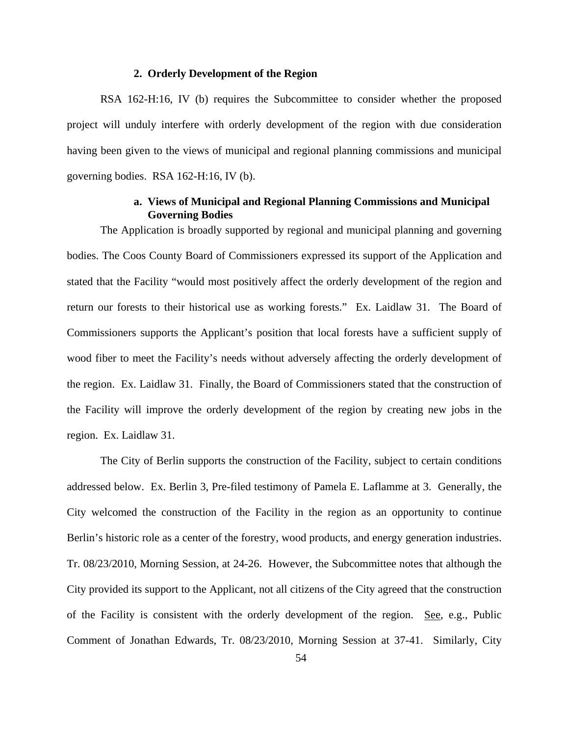# **2. Orderly Development of the Region**

RSA 162-H:16, IV (b) requires the Subcommittee to consider whether the proposed project will unduly interfere with orderly development of the region with due consideration having been given to the views of municipal and regional planning commissions and municipal governing bodies. RSA 162-H:16, IV (b).

# **a. Views of Municipal and Regional Planning Commissions and Municipal Governing Bodies**

The Application is broadly supported by regional and municipal planning and governing bodies. The Coos County Board of Commissioners expressed its support of the Application and stated that the Facility "would most positively affect the orderly development of the region and return our forests to their historical use as working forests." Ex. Laidlaw 31. The Board of Commissioners supports the Applicant's position that local forests have a sufficient supply of wood fiber to meet the Facility's needs without adversely affecting the orderly development of the region. Ex. Laidlaw 31. Finally, the Board of Commissioners stated that the construction of the Facility will improve the orderly development of the region by creating new jobs in the region. Ex. Laidlaw 31.

The City of Berlin supports the construction of the Facility, subject to certain conditions addressed below. Ex. Berlin 3, Pre-filed testimony of Pamela E. Laflamme at 3. Generally, the City welcomed the construction of the Facility in the region as an opportunity to continue Berlin's historic role as a center of the forestry, wood products, and energy generation industries. Tr. 08/23/2010, Morning Session, at 24-26. However, the Subcommittee notes that although the City provided its support to the Applicant, not all citizens of the City agreed that the construction of the Facility is consistent with the orderly development of the region. See, e.g., Public Comment of Jonathan Edwards, Tr. 08/23/2010, Morning Session at 37-41. Similarly, City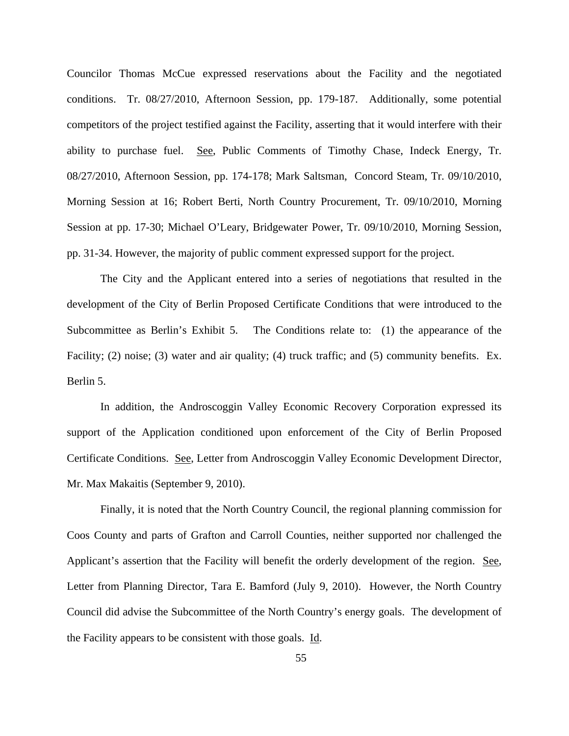Councilor Thomas McCue expressed reservations about the Facility and the negotiated conditions. Tr. 08/27/2010, Afternoon Session, pp. 179-187. Additionally, some potential competitors of the project testified against the Facility, asserting that it would interfere with their ability to purchase fuel. See, Public Comments of Timothy Chase, Indeck Energy, Tr. 08/27/2010, Afternoon Session, pp. 174-178; Mark Saltsman, Concord Steam, Tr. 09/10/2010, Morning Session at 16; Robert Berti, North Country Procurement, Tr. 09/10/2010, Morning Session at pp. 17-30; Michael O'Leary, Bridgewater Power, Tr. 09/10/2010, Morning Session, pp. 31-34. However, the majority of public comment expressed support for the project.

The City and the Applicant entered into a series of negotiations that resulted in the development of the City of Berlin Proposed Certificate Conditions that were introduced to the Subcommittee as Berlin's Exhibit 5. The Conditions relate to: (1) the appearance of the Facility; (2) noise; (3) water and air quality; (4) truck traffic; and (5) community benefits. Ex. Berlin 5.

In addition, the Androscoggin Valley Economic Recovery Corporation expressed its support of the Application conditioned upon enforcement of the City of Berlin Proposed Certificate Conditions. See, Letter from Androscoggin Valley Economic Development Director, Mr. Max Makaitis (September 9, 2010).

Finally, it is noted that the North Country Council, the regional planning commission for Coos County and parts of Grafton and Carroll Counties, neither supported nor challenged the Applicant's assertion that the Facility will benefit the orderly development of the region. See, Letter from Planning Director, Tara E. Bamford (July 9, 2010). However, the North Country Council did advise the Subcommittee of the North Country's energy goals. The development of the Facility appears to be consistent with those goals. Id.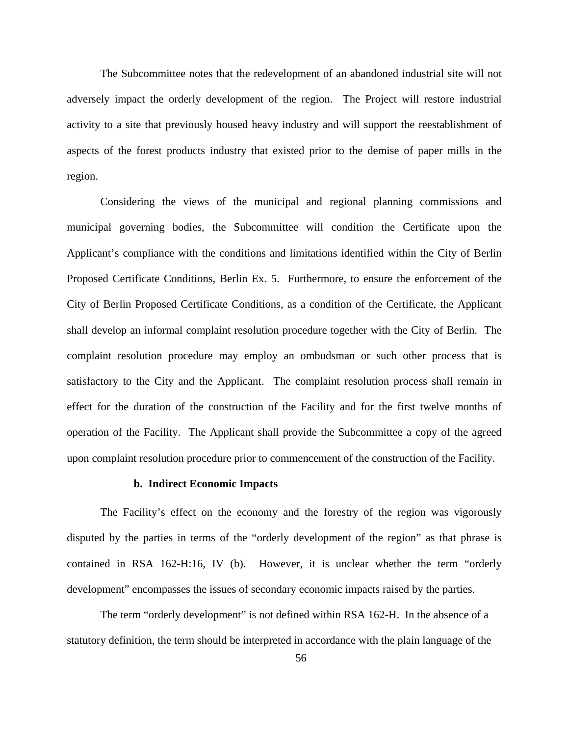The Subcommittee notes that the redevelopment of an abandoned industrial site will not adversely impact the orderly development of the region. The Project will restore industrial activity to a site that previously housed heavy industry and will support the reestablishment of aspects of the forest products industry that existed prior to the demise of paper mills in the region.

Considering the views of the municipal and regional planning commissions and municipal governing bodies, the Subcommittee will condition the Certificate upon the Applicant's compliance with the conditions and limitations identified within the City of Berlin Proposed Certificate Conditions, Berlin Ex. 5. Furthermore, to ensure the enforcement of the City of Berlin Proposed Certificate Conditions, as a condition of the Certificate, the Applicant shall develop an informal complaint resolution procedure together with the City of Berlin. The complaint resolution procedure may employ an ombudsman or such other process that is satisfactory to the City and the Applicant. The complaint resolution process shall remain in effect for the duration of the construction of the Facility and for the first twelve months of operation of the Facility. The Applicant shall provide the Subcommittee a copy of the agreed upon complaint resolution procedure prior to commencement of the construction of the Facility.

#### **b. Indirect Economic Impacts**

The Facility's effect on the economy and the forestry of the region was vigorously disputed by the parties in terms of the "orderly development of the region" as that phrase is contained in RSA 162-H:16, IV (b). However, it is unclear whether the term "orderly development" encompasses the issues of secondary economic impacts raised by the parties.

The term "orderly development" is not defined within RSA 162-H. In the absence of a statutory definition, the term should be interpreted in accordance with the plain language of the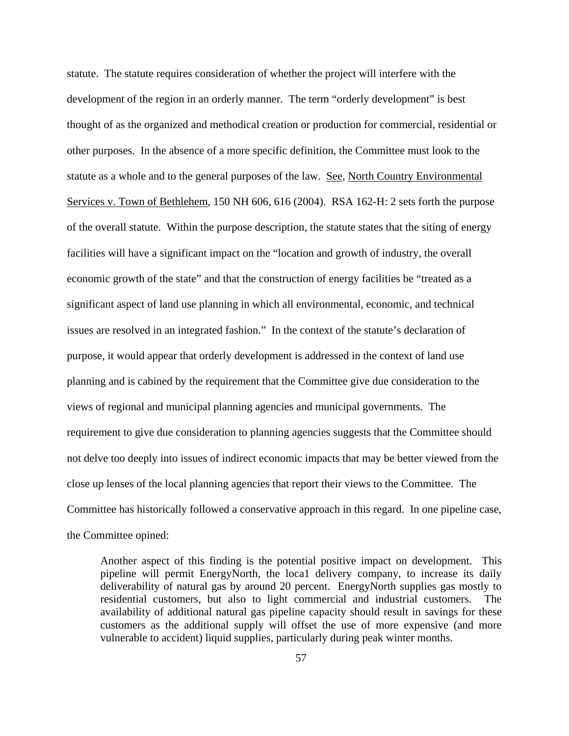statute. The statute requires consideration of whether the project will interfere with the development of the region in an orderly manner. The term "orderly development" is best thought of as the organized and methodical creation or production for commercial, residential or other purposes. In the absence of a more specific definition, the Committee must look to the statute as a whole and to the general purposes of the law. See, North Country Environmental Services v. Town of Bethlehem, 150 NH 606, 616 (2004). RSA 162-H: 2 sets forth the purpose of the overall statute. Within the purpose description, the statute states that the siting of energy facilities will have a significant impact on the "location and growth of industry, the overall economic growth of the state" and that the construction of energy facilities be "treated as a significant aspect of land use planning in which all environmental, economic, and technical issues are resolved in an integrated fashion." In the context of the statute's declaration of purpose, it would appear that orderly development is addressed in the context of land use planning and is cabined by the requirement that the Committee give due consideration to the views of regional and municipal planning agencies and municipal governments. The requirement to give due consideration to planning agencies suggests that the Committee should not delve too deeply into issues of indirect economic impacts that may be better viewed from the close up lenses of the local planning agencies that report their views to the Committee. The Committee has historically followed a conservative approach in this regard. In one pipeline case, the Committee opined:

Another aspect of this finding is the potential positive impact on development. This pipeline will permit EnergyNorth, the loca1 delivery company, to increase its daily deliverability of natural gas by around 20 percent. EnergyNorth supplies gas mostly to residential customers, but also to light commercial and industrial customers. The availability of additional natural gas pipeline capacity should result in savings for these customers as the additional supply will offset the use of more expensive (and more vulnerable to accident) liquid supplies, particularly during peak winter months.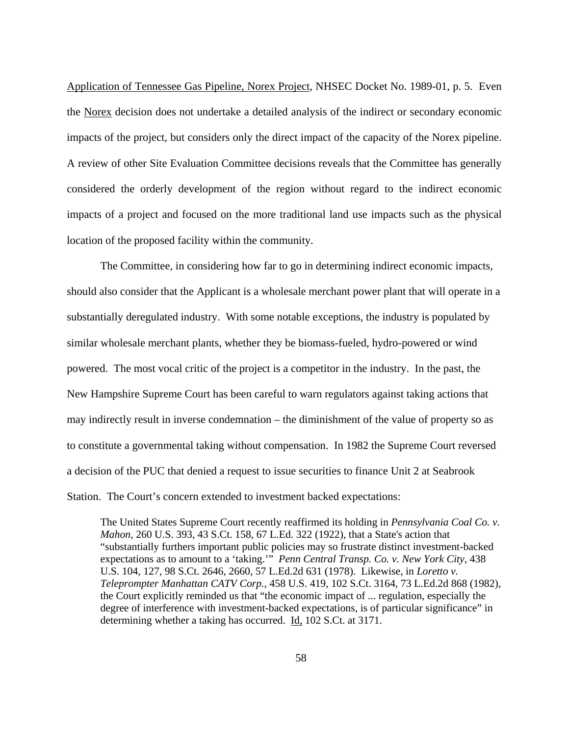Application of Tennessee Gas Pipeline, Norex Project, NHSEC Docket No. 1989-01, p. 5. Even the Norex decision does not undertake a detailed analysis of the indirect or secondary economic impacts of the project, but considers only the direct impact of the capacity of the Norex pipeline. A review of other Site Evaluation Committee decisions reveals that the Committee has generally considered the orderly development of the region without regard to the indirect economic impacts of a project and focused on the more traditional land use impacts such as the physical location of the proposed facility within the community.

The Committee, in considering how far to go in determining indirect economic impacts, should also consider that the Applicant is a wholesale merchant power plant that will operate in a substantially deregulated industry. With some notable exceptions, the industry is populated by similar wholesale merchant plants, whether they be biomass-fueled, hydro-powered or wind powered. The most vocal critic of the project is a competitor in the industry. In the past, the New Hampshire Supreme Court has been careful to warn regulators against taking actions that may indirectly result in inverse condemnation – the diminishment of the value of property so as to constitute a governmental taking without compensation. In 1982 the Supreme Court reversed a decision of the PUC that denied a request to issue securities to finance Unit 2 at Seabrook Station. The Court's concern extended to investment backed expectations:

The United States Supreme Court recently reaffirmed its holding in *Pennsylvania Coal Co. v. Mahon,* 260 U.S. 393, 43 S.Ct. 158, 67 L.Ed. 322 (1922), that a State's action that "substantially furthers important public policies may so frustrate distinct investment-backed expectations as to amount to a 'taking.'" *Penn Central Transp. Co. v. New York City*, 438 U.S. 104, 127, 98 S.Ct. 2646, 2660, 57 L.Ed.2d 631 (1978). Likewise, in *Loretto v. Teleprompter Manhattan CATV Corp.,* 458 U.S. 419, 102 S.Ct. 3164, 73 L.Ed.2d 868 (1982), the Court explicitly reminded us that "the economic impact of ... regulation, especially the degree of interference with investment-backed expectations, is of particular significance" in determining whether a taking has occurred. Id, 102 S.Ct. at 3171.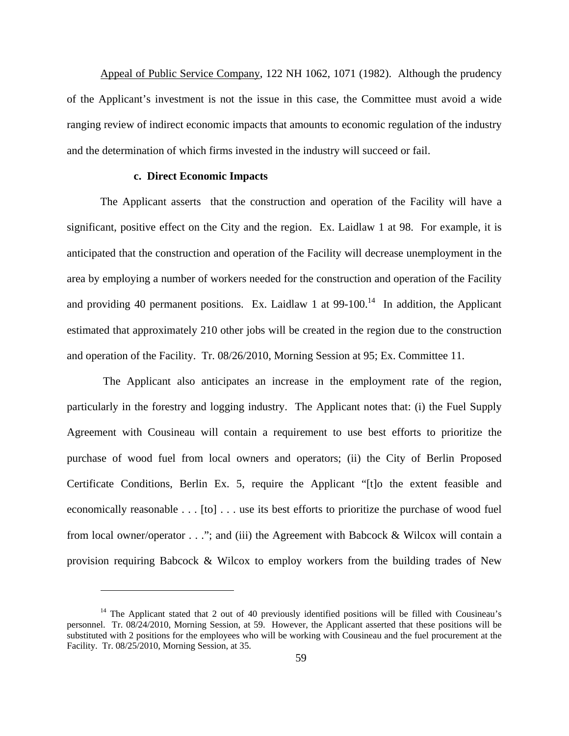Appeal of Public Service Company, 122 NH 1062, 1071 (1982). Although the prudency of the Applicant's investment is not the issue in this case, the Committee must avoid a wide ranging review of indirect economic impacts that amounts to economic regulation of the industry and the determination of which firms invested in the industry will succeed or fail.

# **c. Direct Economic Impacts**

 $\overline{a}$ 

The Applicant asserts that the construction and operation of the Facility will have a significant, positive effect on the City and the region. Ex. Laidlaw 1 at 98. For example, it is anticipated that the construction and operation of the Facility will decrease unemployment in the area by employing a number of workers needed for the construction and operation of the Facility and providing 40 permanent positions. Ex. Laidlaw 1 at  $99-100$ .<sup>14</sup> In addition, the Applicant estimated that approximately 210 other jobs will be created in the region due to the construction and operation of the Facility. Tr. 08/26/2010, Morning Session at 95; Ex. Committee 11.

 The Applicant also anticipates an increase in the employment rate of the region, particularly in the forestry and logging industry. The Applicant notes that: (i) the Fuel Supply Agreement with Cousineau will contain a requirement to use best efforts to prioritize the purchase of wood fuel from local owners and operators; (ii) the City of Berlin Proposed Certificate Conditions, Berlin Ex. 5, require the Applicant "[t]o the extent feasible and economically reasonable . . . [to] . . . use its best efforts to prioritize the purchase of wood fuel from local owner/operator . . ."; and (iii) the Agreement with Babcock & Wilcox will contain a provision requiring Babcock & Wilcox to employ workers from the building trades of New

<sup>&</sup>lt;sup>14</sup> The Applicant stated that 2 out of 40 previously identified positions will be filled with Cousineau's personnel. Tr. 08/24/2010, Morning Session, at 59. However, the Applicant asserted that these positions will be substituted with 2 positions for the employees who will be working with Cousineau and the fuel procurement at the Facility. Tr. 08/25/2010, Morning Session, at 35.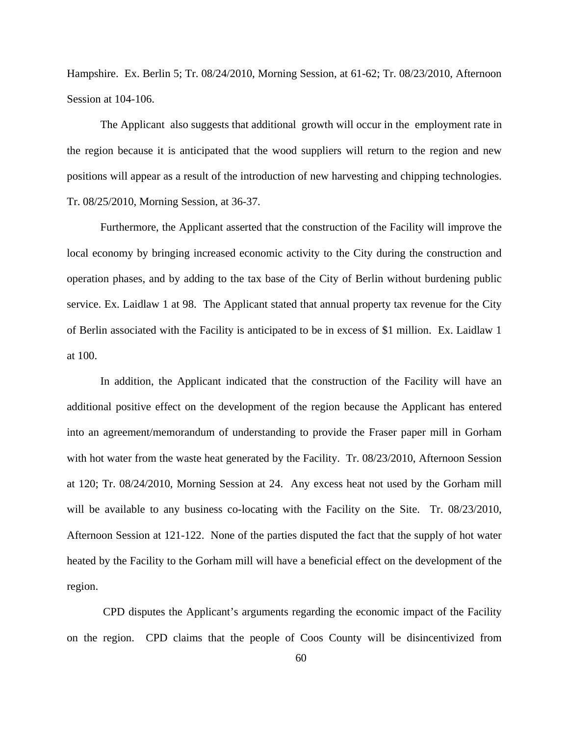Hampshire. Ex. Berlin 5; Tr. 08/24/2010, Morning Session, at 61-62; Tr. 08/23/2010, Afternoon Session at 104-106.

The Applicant also suggests that additional growth will occur in the employment rate in the region because it is anticipated that the wood suppliers will return to the region and new positions will appear as a result of the introduction of new harvesting and chipping technologies. Tr. 08/25/2010, Morning Session, at 36-37.

Furthermore, the Applicant asserted that the construction of the Facility will improve the local economy by bringing increased economic activity to the City during the construction and operation phases, and by adding to the tax base of the City of Berlin without burdening public service. Ex. Laidlaw 1 at 98. The Applicant stated that annual property tax revenue for the City of Berlin associated with the Facility is anticipated to be in excess of \$1 million. Ex. Laidlaw 1 at 100.

In addition, the Applicant indicated that the construction of the Facility will have an additional positive effect on the development of the region because the Applicant has entered into an agreement/memorandum of understanding to provide the Fraser paper mill in Gorham with hot water from the waste heat generated by the Facility. Tr. 08/23/2010, Afternoon Session at 120; Tr. 08/24/2010, Morning Session at 24. Any excess heat not used by the Gorham mill will be available to any business co-locating with the Facility on the Site. Tr. 08/23/2010, Afternoon Session at 121-122. None of the parties disputed the fact that the supply of hot water heated by the Facility to the Gorham mill will have a beneficial effect on the development of the region.

 CPD disputes the Applicant's arguments regarding the economic impact of the Facility on the region. CPD claims that the people of Coos County will be disincentivized from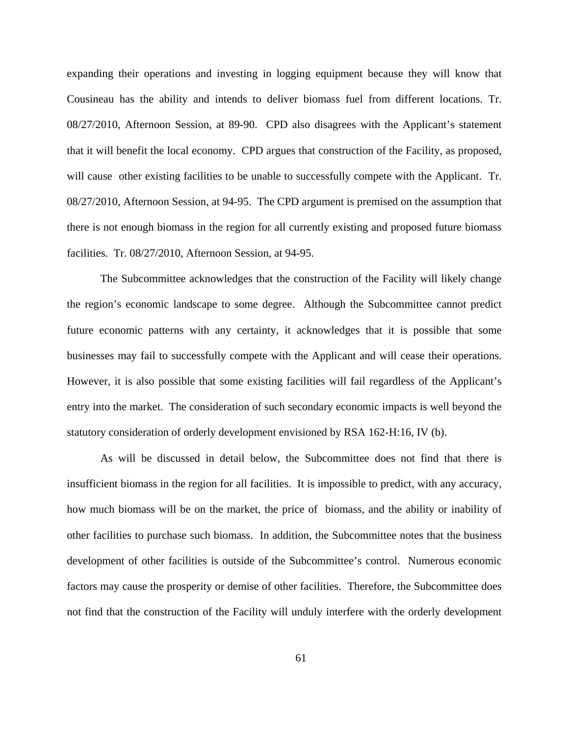expanding their operations and investing in logging equipment because they will know that Cousineau has the ability and intends to deliver biomass fuel from different locations. Tr. 08/27/2010, Afternoon Session, at 89-90. CPD also disagrees with the Applicant's statement that it will benefit the local economy. CPD argues that construction of the Facility, as proposed, will cause other existing facilities to be unable to successfully compete with the Applicant. Tr. 08/27/2010, Afternoon Session, at 94-95. The CPD argument is premised on the assumption that there is not enough biomass in the region for all currently existing and proposed future biomass facilities. Tr. 08/27/2010, Afternoon Session, at 94-95.

The Subcommittee acknowledges that the construction of the Facility will likely change the region's economic landscape to some degree. Although the Subcommittee cannot predict future economic patterns with any certainty, it acknowledges that it is possible that some businesses may fail to successfully compete with the Applicant and will cease their operations. However, it is also possible that some existing facilities will fail regardless of the Applicant's entry into the market. The consideration of such secondary economic impacts is well beyond the statutory consideration of orderly development envisioned by RSA 162-H:16, IV (b).

As will be discussed in detail below, the Subcommittee does not find that there is insufficient biomass in the region for all facilities. It is impossible to predict, with any accuracy, how much biomass will be on the market, the price of biomass, and the ability or inability of other facilities to purchase such biomass. In addition, the Subcommittee notes that the business development of other facilities is outside of the Subcommittee's control. Numerous economic factors may cause the prosperity or demise of other facilities. Therefore, the Subcommittee does not find that the construction of the Facility will unduly interfere with the orderly development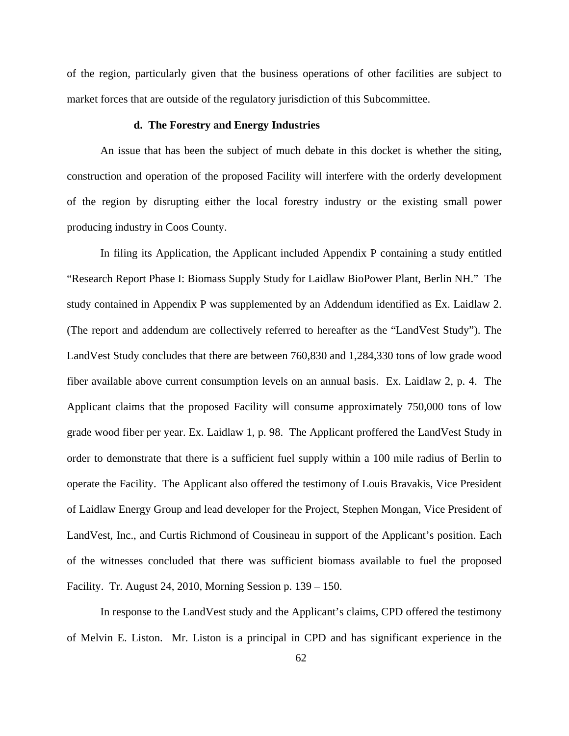of the region, particularly given that the business operations of other facilities are subject to market forces that are outside of the regulatory jurisdiction of this Subcommittee.

# **d. The Forestry and Energy Industries**

An issue that has been the subject of much debate in this docket is whether the siting, construction and operation of the proposed Facility will interfere with the orderly development of the region by disrupting either the local forestry industry or the existing small power producing industry in Coos County.

In filing its Application, the Applicant included Appendix P containing a study entitled "Research Report Phase I: Biomass Supply Study for Laidlaw BioPower Plant, Berlin NH." The study contained in Appendix P was supplemented by an Addendum identified as Ex. Laidlaw 2. (The report and addendum are collectively referred to hereafter as the "LandVest Study"). The LandVest Study concludes that there are between 760,830 and 1,284,330 tons of low grade wood fiber available above current consumption levels on an annual basis. Ex. Laidlaw 2, p. 4. The Applicant claims that the proposed Facility will consume approximately 750,000 tons of low grade wood fiber per year. Ex. Laidlaw 1, p. 98. The Applicant proffered the LandVest Study in order to demonstrate that there is a sufficient fuel supply within a 100 mile radius of Berlin to operate the Facility. The Applicant also offered the testimony of Louis Bravakis, Vice President of Laidlaw Energy Group and lead developer for the Project, Stephen Mongan, Vice President of LandVest, Inc., and Curtis Richmond of Cousineau in support of the Applicant's position. Each of the witnesses concluded that there was sufficient biomass available to fuel the proposed Facility. Tr. August 24, 2010, Morning Session p. 139 – 150.

In response to the LandVest study and the Applicant's claims, CPD offered the testimony of Melvin E. Liston. Mr. Liston is a principal in CPD and has significant experience in the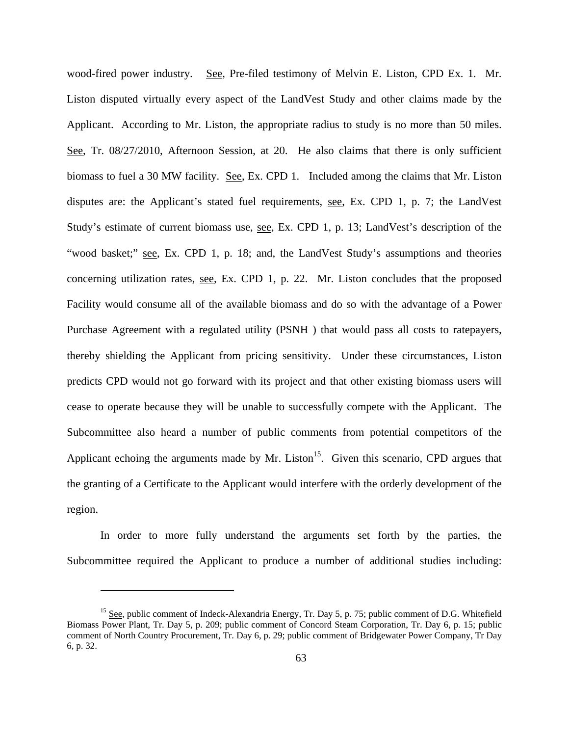wood-fired power industry. See, Pre-filed testimony of Melvin E. Liston, CPD Ex. 1. Mr. Liston disputed virtually every aspect of the LandVest Study and other claims made by the Applicant. According to Mr. Liston, the appropriate radius to study is no more than 50 miles. See, Tr. 08/27/2010, Afternoon Session, at 20. He also claims that there is only sufficient biomass to fuel a 30 MW facility. See, Ex. CPD 1. Included among the claims that Mr. Liston disputes are: the Applicant's stated fuel requirements, see, Ex. CPD 1, p. 7; the LandVest Study's estimate of current biomass use, see, Ex. CPD 1, p. 13; LandVest's description of the "wood basket;" see, Ex. CPD 1, p. 18; and, the LandVest Study's assumptions and theories concerning utilization rates, see, Ex. CPD 1, p. 22. Mr. Liston concludes that the proposed Facility would consume all of the available biomass and do so with the advantage of a Power Purchase Agreement with a regulated utility (PSNH ) that would pass all costs to ratepayers, thereby shielding the Applicant from pricing sensitivity. Under these circumstances, Liston predicts CPD would not go forward with its project and that other existing biomass users will cease to operate because they will be unable to successfully compete with the Applicant. The Subcommittee also heard a number of public comments from potential competitors of the Applicant echoing the arguments made by Mr. Liston<sup>15</sup>. Given this scenario, CPD argues that the granting of a Certificate to the Applicant would interfere with the orderly development of the region.

In order to more fully understand the arguments set forth by the parties, the Subcommittee required the Applicant to produce a number of additional studies including:

1

<sup>&</sup>lt;sup>15</sup> See, public comment of Indeck-Alexandria Energy, Tr. Day 5, p. 75; public comment of D.G. Whitefield Biomass Power Plant, Tr. Day 5, p. 209; public comment of Concord Steam Corporation, Tr. Day 6, p. 15; public comment of North Country Procurement, Tr. Day 6, p. 29; public comment of Bridgewater Power Company, Tr Day 6, p. 32.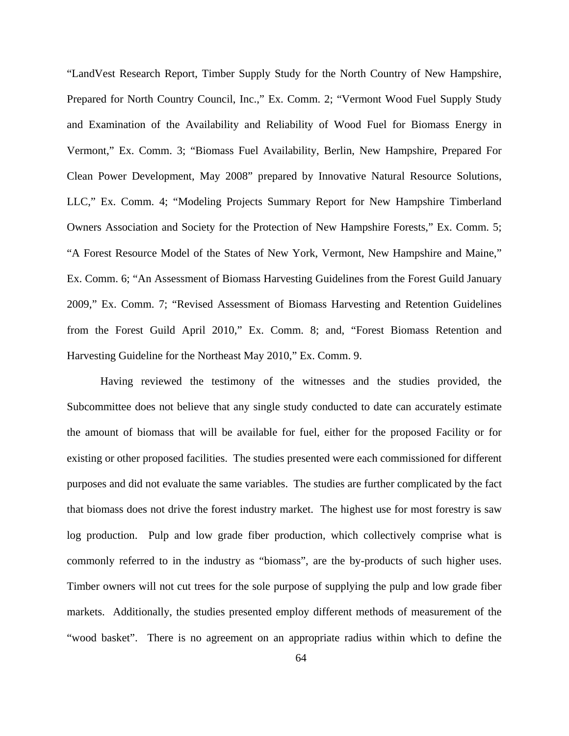"LandVest Research Report, Timber Supply Study for the North Country of New Hampshire, Prepared for North Country Council, Inc.," Ex. Comm. 2; "Vermont Wood Fuel Supply Study and Examination of the Availability and Reliability of Wood Fuel for Biomass Energy in Vermont," Ex. Comm. 3; "Biomass Fuel Availability, Berlin, New Hampshire, Prepared For Clean Power Development, May 2008" prepared by Innovative Natural Resource Solutions, LLC," Ex. Comm. 4; "Modeling Projects Summary Report for New Hampshire Timberland Owners Association and Society for the Protection of New Hampshire Forests," Ex. Comm. 5; "A Forest Resource Model of the States of New York, Vermont, New Hampshire and Maine," Ex. Comm. 6; "An Assessment of Biomass Harvesting Guidelines from the Forest Guild January 2009," Ex. Comm. 7; "Revised Assessment of Biomass Harvesting and Retention Guidelines from the Forest Guild April 2010," Ex. Comm. 8; and, "Forest Biomass Retention and Harvesting Guideline for the Northeast May 2010," Ex. Comm. 9.

Having reviewed the testimony of the witnesses and the studies provided, the Subcommittee does not believe that any single study conducted to date can accurately estimate the amount of biomass that will be available for fuel, either for the proposed Facility or for existing or other proposed facilities. The studies presented were each commissioned for different purposes and did not evaluate the same variables. The studies are further complicated by the fact that biomass does not drive the forest industry market. The highest use for most forestry is saw log production. Pulp and low grade fiber production, which collectively comprise what is commonly referred to in the industry as "biomass", are the by-products of such higher uses. Timber owners will not cut trees for the sole purpose of supplying the pulp and low grade fiber markets. Additionally, the studies presented employ different methods of measurement of the "wood basket". There is no agreement on an appropriate radius within which to define the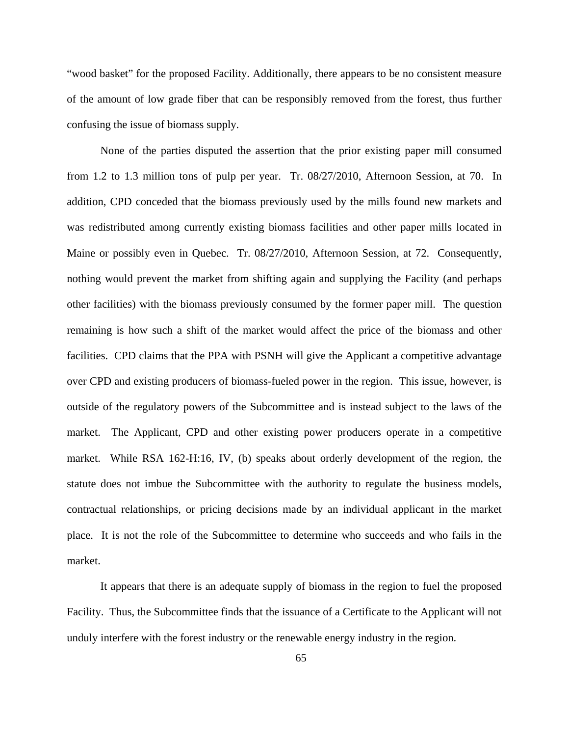"wood basket" for the proposed Facility. Additionally, there appears to be no consistent measure of the amount of low grade fiber that can be responsibly removed from the forest, thus further confusing the issue of biomass supply.

None of the parties disputed the assertion that the prior existing paper mill consumed from 1.2 to 1.3 million tons of pulp per year. Tr. 08/27/2010, Afternoon Session, at 70. In addition, CPD conceded that the biomass previously used by the mills found new markets and was redistributed among currently existing biomass facilities and other paper mills located in Maine or possibly even in Quebec. Tr. 08/27/2010, Afternoon Session, at 72. Consequently, nothing would prevent the market from shifting again and supplying the Facility (and perhaps other facilities) with the biomass previously consumed by the former paper mill. The question remaining is how such a shift of the market would affect the price of the biomass and other facilities. CPD claims that the PPA with PSNH will give the Applicant a competitive advantage over CPD and existing producers of biomass-fueled power in the region. This issue, however, is outside of the regulatory powers of the Subcommittee and is instead subject to the laws of the market. The Applicant, CPD and other existing power producers operate in a competitive market. While RSA 162-H:16, IV, (b) speaks about orderly development of the region, the statute does not imbue the Subcommittee with the authority to regulate the business models, contractual relationships, or pricing decisions made by an individual applicant in the market place. It is not the role of the Subcommittee to determine who succeeds and who fails in the market.

It appears that there is an adequate supply of biomass in the region to fuel the proposed Facility. Thus, the Subcommittee finds that the issuance of a Certificate to the Applicant will not unduly interfere with the forest industry or the renewable energy industry in the region.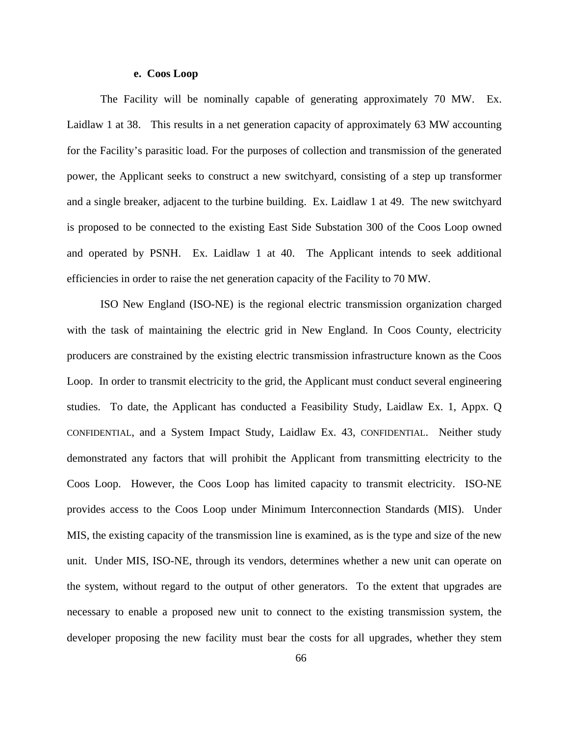#### **e. Coos Loop**

The Facility will be nominally capable of generating approximately 70 MW. Ex. Laidlaw 1 at 38. This results in a net generation capacity of approximately 63 MW accounting for the Facility's parasitic load. For the purposes of collection and transmission of the generated power, the Applicant seeks to construct a new switchyard, consisting of a step up transformer and a single breaker, adjacent to the turbine building. Ex. Laidlaw 1 at 49. The new switchyard is proposed to be connected to the existing East Side Substation 300 of the Coos Loop owned and operated by PSNH. Ex. Laidlaw 1 at 40. The Applicant intends to seek additional efficiencies in order to raise the net generation capacity of the Facility to 70 MW.

ISO New England (ISO-NE) is the regional electric transmission organization charged with the task of maintaining the electric grid in New England. In Coos County, electricity producers are constrained by the existing electric transmission infrastructure known as the Coos Loop. In order to transmit electricity to the grid, the Applicant must conduct several engineering studies. To date, the Applicant has conducted a Feasibility Study, Laidlaw Ex. 1, Appx. Q CONFIDENTIAL, and a System Impact Study, Laidlaw Ex. 43, CONFIDENTIAL. Neither study demonstrated any factors that will prohibit the Applicant from transmitting electricity to the Coos Loop. However, the Coos Loop has limited capacity to transmit electricity. ISO-NE provides access to the Coos Loop under Minimum Interconnection Standards (MIS). Under MIS, the existing capacity of the transmission line is examined, as is the type and size of the new unit. Under MIS, ISO-NE, through its vendors, determines whether a new unit can operate on the system, without regard to the output of other generators. To the extent that upgrades are necessary to enable a proposed new unit to connect to the existing transmission system, the developer proposing the new facility must bear the costs for all upgrades, whether they stem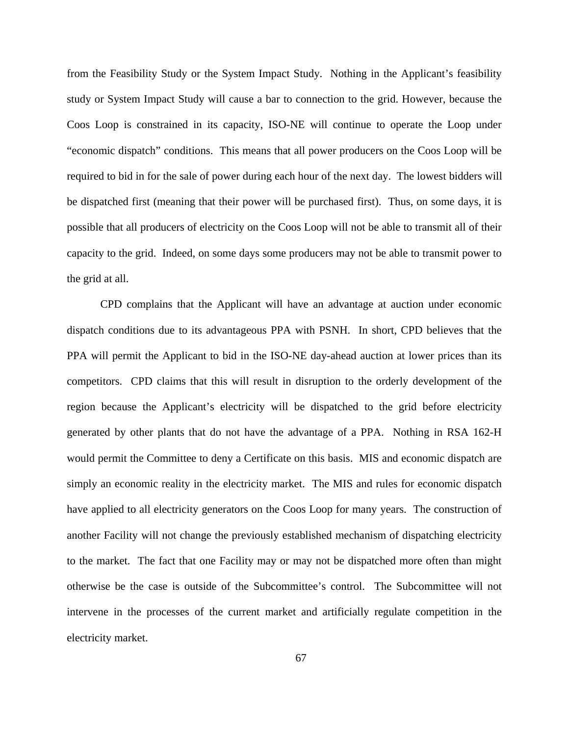from the Feasibility Study or the System Impact Study. Nothing in the Applicant's feasibility study or System Impact Study will cause a bar to connection to the grid. However, because the Coos Loop is constrained in its capacity, ISO-NE will continue to operate the Loop under "economic dispatch" conditions. This means that all power producers on the Coos Loop will be required to bid in for the sale of power during each hour of the next day. The lowest bidders will be dispatched first (meaning that their power will be purchased first). Thus, on some days, it is possible that all producers of electricity on the Coos Loop will not be able to transmit all of their capacity to the grid. Indeed, on some days some producers may not be able to transmit power to the grid at all.

CPD complains that the Applicant will have an advantage at auction under economic dispatch conditions due to its advantageous PPA with PSNH. In short, CPD believes that the PPA will permit the Applicant to bid in the ISO-NE day-ahead auction at lower prices than its competitors. CPD claims that this will result in disruption to the orderly development of the region because the Applicant's electricity will be dispatched to the grid before electricity generated by other plants that do not have the advantage of a PPA. Nothing in RSA 162-H would permit the Committee to deny a Certificate on this basis. MIS and economic dispatch are simply an economic reality in the electricity market. The MIS and rules for economic dispatch have applied to all electricity generators on the Coos Loop for many years. The construction of another Facility will not change the previously established mechanism of dispatching electricity to the market. The fact that one Facility may or may not be dispatched more often than might otherwise be the case is outside of the Subcommittee's control. The Subcommittee will not intervene in the processes of the current market and artificially regulate competition in the electricity market.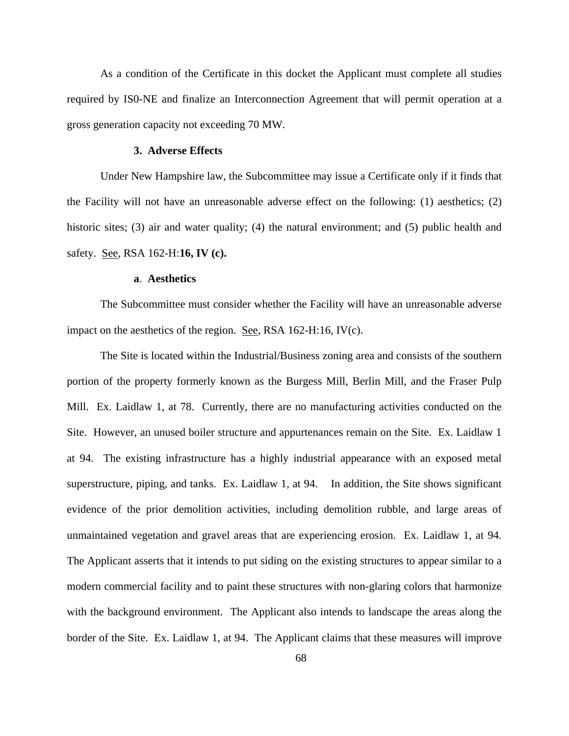As a condition of the Certificate in this docket the Applicant must complete all studies required by IS0-NE and finalize an Interconnection Agreement that will permit operation at a gross generation capacity not exceeding 70 MW.

### **3. Adverse Effects**

Under New Hampshire law, the Subcommittee may issue a Certificate only if it finds that the Facility will not have an unreasonable adverse effect on the following: (1) aesthetics; (2) historic sites; (3) air and water quality; (4) the natural environment; and (5) public health and safety. See, RSA 162-H:**16, IV (c).** 

## **a**. **Aesthetics**

The Subcommittee must consider whether the Facility will have an unreasonable adverse impact on the aesthetics of the region. See, RSA 162-H:16, IV(c).

The Site is located within the Industrial/Business zoning area and consists of the southern portion of the property formerly known as the Burgess Mill, Berlin Mill, and the Fraser Pulp Mill. Ex. Laidlaw 1, at 78. Currently, there are no manufacturing activities conducted on the Site. However, an unused boiler structure and appurtenances remain on the Site. Ex. Laidlaw 1 at 94. The existing infrastructure has a highly industrial appearance with an exposed metal superstructure, piping, and tanks. Ex. Laidlaw 1, at 94. In addition, the Site shows significant evidence of the prior demolition activities, including demolition rubble, and large areas of unmaintained vegetation and gravel areas that are experiencing erosion. Ex. Laidlaw 1, at 94. The Applicant asserts that it intends to put siding on the existing structures to appear similar to a modern commercial facility and to paint these structures with non-glaring colors that harmonize with the background environment. The Applicant also intends to landscape the areas along the border of the Site. Ex. Laidlaw 1, at 94. The Applicant claims that these measures will improve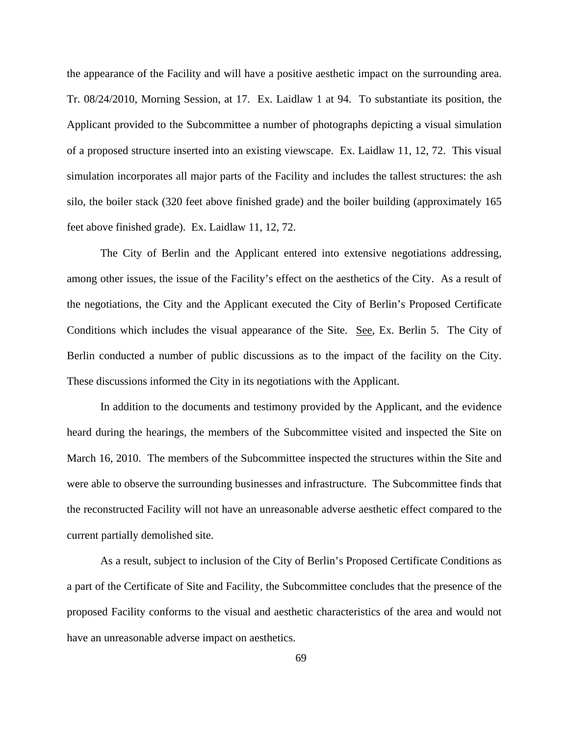the appearance of the Facility and will have a positive aesthetic impact on the surrounding area. Tr. 08/24/2010, Morning Session, at 17. Ex. Laidlaw 1 at 94. To substantiate its position, the Applicant provided to the Subcommittee a number of photographs depicting a visual simulation of a proposed structure inserted into an existing viewscape. Ex. Laidlaw 11, 12, 72. This visual simulation incorporates all major parts of the Facility and includes the tallest structures: the ash silo, the boiler stack (320 feet above finished grade) and the boiler building (approximately 165 feet above finished grade). Ex. Laidlaw 11, 12, 72.

The City of Berlin and the Applicant entered into extensive negotiations addressing, among other issues, the issue of the Facility's effect on the aesthetics of the City. As a result of the negotiations, the City and the Applicant executed the City of Berlin's Proposed Certificate Conditions which includes the visual appearance of the Site. See, Ex. Berlin 5. The City of Berlin conducted a number of public discussions as to the impact of the facility on the City. These discussions informed the City in its negotiations with the Applicant.

In addition to the documents and testimony provided by the Applicant, and the evidence heard during the hearings, the members of the Subcommittee visited and inspected the Site on March 16, 2010. The members of the Subcommittee inspected the structures within the Site and were able to observe the surrounding businesses and infrastructure. The Subcommittee finds that the reconstructed Facility will not have an unreasonable adverse aesthetic effect compared to the current partially demolished site.

As a result, subject to inclusion of the City of Berlin's Proposed Certificate Conditions as a part of the Certificate of Site and Facility, the Subcommittee concludes that the presence of the proposed Facility conforms to the visual and aesthetic characteristics of the area and would not have an unreasonable adverse impact on aesthetics.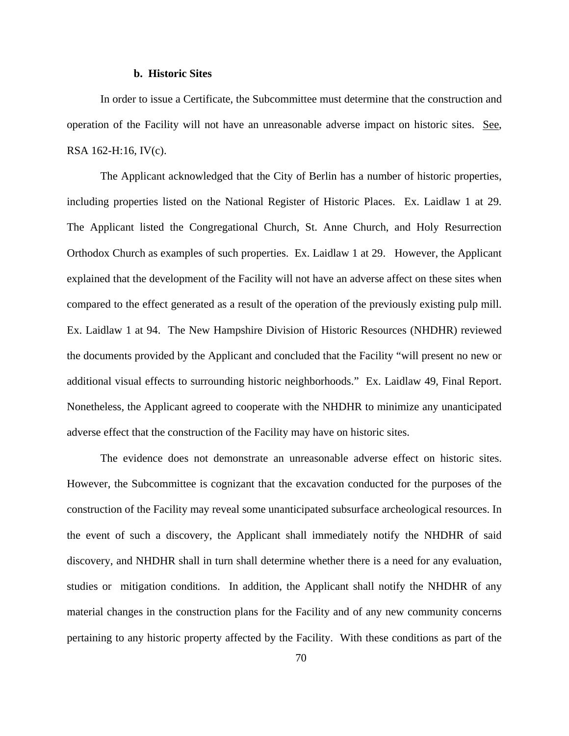# **b. Historic Sites**

In order to issue a Certificate, the Subcommittee must determine that the construction and operation of the Facility will not have an unreasonable adverse impact on historic sites. See, RSA 162-H:16, IV(c).

The Applicant acknowledged that the City of Berlin has a number of historic properties, including properties listed on the National Register of Historic Places. Ex. Laidlaw 1 at 29. The Applicant listed the Congregational Church, St. Anne Church, and Holy Resurrection Orthodox Church as examples of such properties. Ex. Laidlaw 1 at 29. However, the Applicant explained that the development of the Facility will not have an adverse affect on these sites when compared to the effect generated as a result of the operation of the previously existing pulp mill. Ex. Laidlaw 1 at 94. The New Hampshire Division of Historic Resources (NHDHR) reviewed the documents provided by the Applicant and concluded that the Facility "will present no new or additional visual effects to surrounding historic neighborhoods." Ex. Laidlaw 49, Final Report. Nonetheless, the Applicant agreed to cooperate with the NHDHR to minimize any unanticipated adverse effect that the construction of the Facility may have on historic sites.

The evidence does not demonstrate an unreasonable adverse effect on historic sites. However, the Subcommittee is cognizant that the excavation conducted for the purposes of the construction of the Facility may reveal some unanticipated subsurface archeological resources. In the event of such a discovery, the Applicant shall immediately notify the NHDHR of said discovery, and NHDHR shall in turn shall determine whether there is a need for any evaluation, studies or mitigation conditions. In addition, the Applicant shall notify the NHDHR of any material changes in the construction plans for the Facility and of any new community concerns pertaining to any historic property affected by the Facility. With these conditions as part of the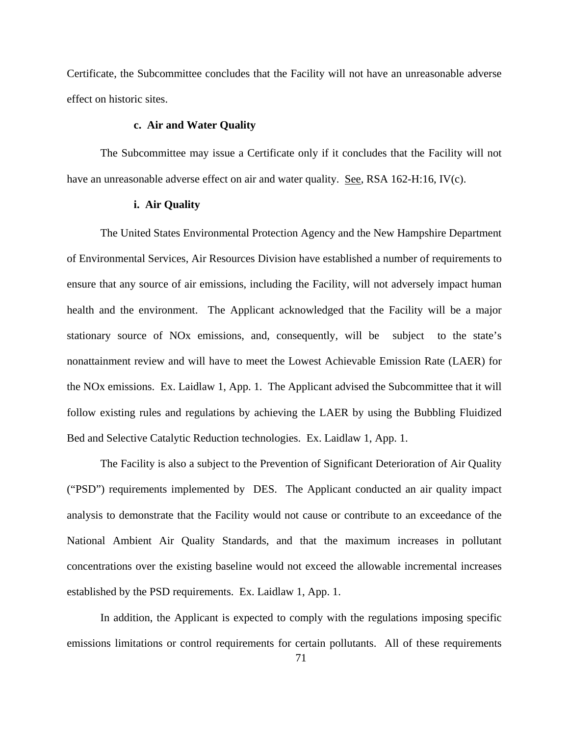Certificate, the Subcommittee concludes that the Facility will not have an unreasonable adverse effect on historic sites.

# **c. Air and Water Quality**

The Subcommittee may issue a Certificate only if it concludes that the Facility will not have an unreasonable adverse effect on air and water quality. See, RSA 162-H:16, IV(c).

# **i. Air Quality**

The United States Environmental Protection Agency and the New Hampshire Department of Environmental Services, Air Resources Division have established a number of requirements to ensure that any source of air emissions, including the Facility, will not adversely impact human health and the environment. The Applicant acknowledged that the Facility will be a major stationary source of NOx emissions, and, consequently, will be subject to the state's nonattainment review and will have to meet the Lowest Achievable Emission Rate (LAER) for the NOx emissions. Ex. Laidlaw 1, App. 1. The Applicant advised the Subcommittee that it will follow existing rules and regulations by achieving the LAER by using the Bubbling Fluidized Bed and Selective Catalytic Reduction technologies. Ex. Laidlaw 1, App. 1.

The Facility is also a subject to the Prevention of Significant Deterioration of Air Quality ("PSD") requirements implemented by DES. The Applicant conducted an air quality impact analysis to demonstrate that the Facility would not cause or contribute to an exceedance of the National Ambient Air Quality Standards, and that the maximum increases in pollutant concentrations over the existing baseline would not exceed the allowable incremental increases established by the PSD requirements. Ex. Laidlaw 1, App. 1.

In addition, the Applicant is expected to comply with the regulations imposing specific emissions limitations or control requirements for certain pollutants. All of these requirements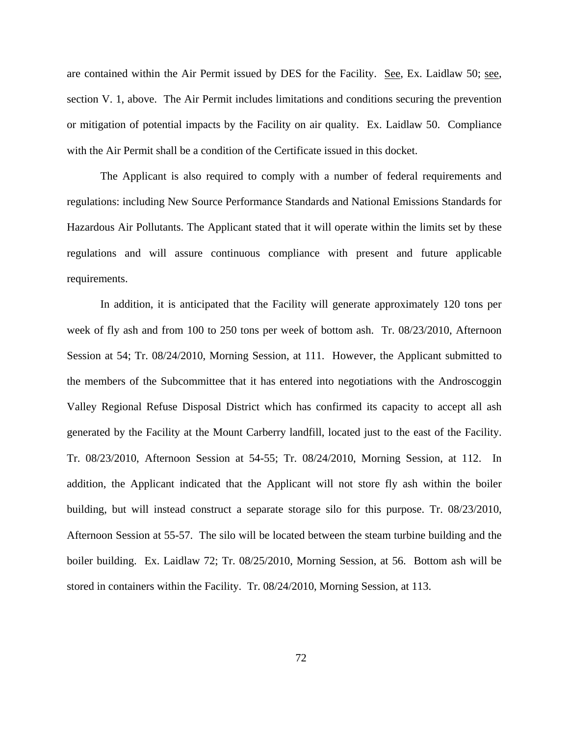are contained within the Air Permit issued by DES for the Facility. See, Ex. Laidlaw 50; see, section V. 1, above. The Air Permit includes limitations and conditions securing the prevention or mitigation of potential impacts by the Facility on air quality. Ex. Laidlaw 50. Compliance with the Air Permit shall be a condition of the Certificate issued in this docket.

The Applicant is also required to comply with a number of federal requirements and regulations: including New Source Performance Standards and National Emissions Standards for Hazardous Air Pollutants. The Applicant stated that it will operate within the limits set by these regulations and will assure continuous compliance with present and future applicable requirements.

In addition, it is anticipated that the Facility will generate approximately 120 tons per week of fly ash and from 100 to 250 tons per week of bottom ash. Tr. 08/23/2010, Afternoon Session at 54; Tr. 08/24/2010, Morning Session, at 111. However, the Applicant submitted to the members of the Subcommittee that it has entered into negotiations with the Androscoggin Valley Regional Refuse Disposal District which has confirmed its capacity to accept all ash generated by the Facility at the Mount Carberry landfill, located just to the east of the Facility. Tr. 08/23/2010, Afternoon Session at 54-55; Tr. 08/24/2010, Morning Session, at 112. In addition, the Applicant indicated that the Applicant will not store fly ash within the boiler building, but will instead construct a separate storage silo for this purpose. Tr. 08/23/2010, Afternoon Session at 55-57. The silo will be located between the steam turbine building and the boiler building. Ex. Laidlaw 72; Tr. 08/25/2010, Morning Session, at 56. Bottom ash will be stored in containers within the Facility. Tr. 08/24/2010, Morning Session, at 113.

72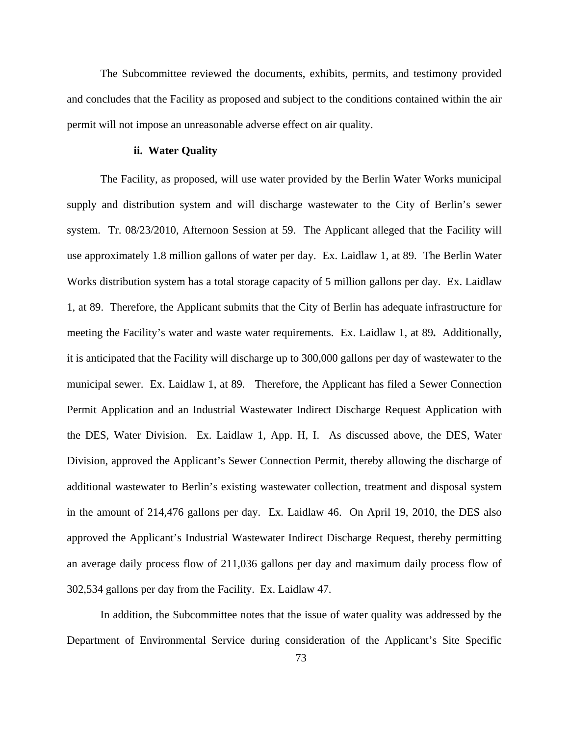The Subcommittee reviewed the documents, exhibits, permits, and testimony provided and concludes that the Facility as proposed and subject to the conditions contained within the air permit will not impose an unreasonable adverse effect on air quality.

### **ii. Water Quality**

The Facility, as proposed, will use water provided by the Berlin Water Works municipal supply and distribution system and will discharge wastewater to the City of Berlin's sewer system. Tr. 08/23/2010, Afternoon Session at 59. The Applicant alleged that the Facility will use approximately 1.8 million gallons of water per day. Ex. Laidlaw 1, at 89. The Berlin Water Works distribution system has a total storage capacity of 5 million gallons per day. Ex. Laidlaw 1, at 89. Therefore, the Applicant submits that the City of Berlin has adequate infrastructure for meeting the Facility's water and waste water requirements. Ex. Laidlaw 1, at 89**.** Additionally, it is anticipated that the Facility will discharge up to 300,000 gallons per day of wastewater to the municipal sewer. Ex. Laidlaw 1, at 89. Therefore, the Applicant has filed a Sewer Connection Permit Application and an Industrial Wastewater Indirect Discharge Request Application with the DES, Water Division. Ex. Laidlaw 1, App. H, I. As discussed above, the DES, Water Division, approved the Applicant's Sewer Connection Permit, thereby allowing the discharge of additional wastewater to Berlin's existing wastewater collection, treatment and disposal system in the amount of 214,476 gallons per day. Ex. Laidlaw 46. On April 19, 2010, the DES also approved the Applicant's Industrial Wastewater Indirect Discharge Request, thereby permitting an average daily process flow of 211,036 gallons per day and maximum daily process flow of 302,534 gallons per day from the Facility. Ex. Laidlaw 47.

In addition, the Subcommittee notes that the issue of water quality was addressed by the Department of Environmental Service during consideration of the Applicant's Site Specific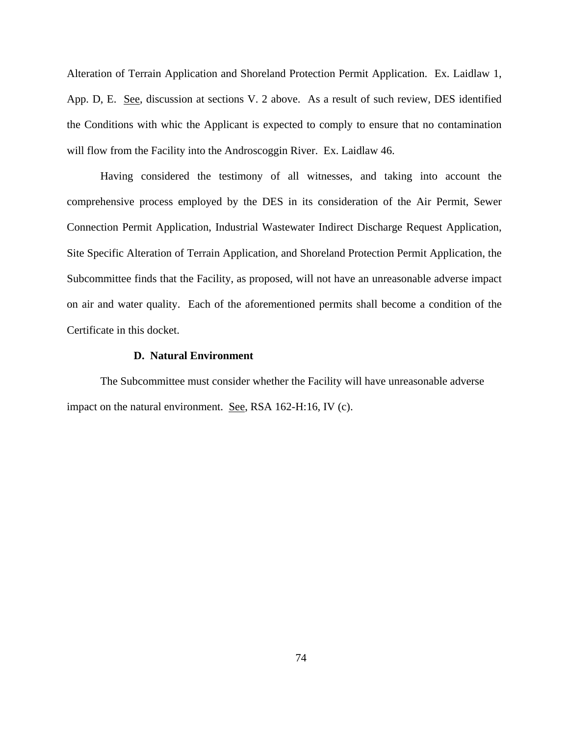Alteration of Terrain Application and Shoreland Protection Permit Application. Ex. Laidlaw 1, App. D, E. See, discussion at sections V. 2 above. As a result of such review, DES identified the Conditions with whic the Applicant is expected to comply to ensure that no contamination will flow from the Facility into the Androscoggin River. Ex. Laidlaw 46.

Having considered the testimony of all witnesses, and taking into account the comprehensive process employed by the DES in its consideration of the Air Permit, Sewer Connection Permit Application, Industrial Wastewater Indirect Discharge Request Application, Site Specific Alteration of Terrain Application, and Shoreland Protection Permit Application, the Subcommittee finds that the Facility, as proposed, will not have an unreasonable adverse impact on air and water quality. Each of the aforementioned permits shall become a condition of the Certificate in this docket.

### **D. Natural Environment**

The Subcommittee must consider whether the Facility will have unreasonable adverse impact on the natural environment. See, RSA 162-H:16, IV (c).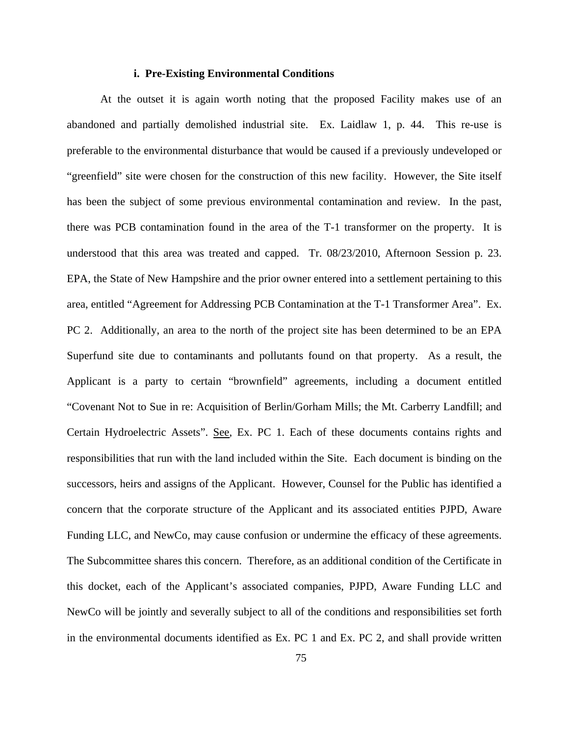### **i. Pre-Existing Environmental Conditions**

At the outset it is again worth noting that the proposed Facility makes use of an abandoned and partially demolished industrial site. Ex. Laidlaw 1, p. 44. This re-use is preferable to the environmental disturbance that would be caused if a previously undeveloped or "greenfield" site were chosen for the construction of this new facility. However, the Site itself has been the subject of some previous environmental contamination and review. In the past, there was PCB contamination found in the area of the T-1 transformer on the property. It is understood that this area was treated and capped. Tr. 08/23/2010, Afternoon Session p. 23. EPA, the State of New Hampshire and the prior owner entered into a settlement pertaining to this area, entitled "Agreement for Addressing PCB Contamination at the T-1 Transformer Area". Ex. PC 2. Additionally, an area to the north of the project site has been determined to be an EPA Superfund site due to contaminants and pollutants found on that property. As a result, the Applicant is a party to certain "brownfield" agreements, including a document entitled "Covenant Not to Sue in re: Acquisition of Berlin/Gorham Mills; the Mt. Carberry Landfill; and Certain Hydroelectric Assets". See, Ex. PC 1. Each of these documents contains rights and responsibilities that run with the land included within the Site. Each document is binding on the successors, heirs and assigns of the Applicant. However, Counsel for the Public has identified a concern that the corporate structure of the Applicant and its associated entities PJPD, Aware Funding LLC, and NewCo, may cause confusion or undermine the efficacy of these agreements. The Subcommittee shares this concern. Therefore, as an additional condition of the Certificate in this docket, each of the Applicant's associated companies, PJPD, Aware Funding LLC and NewCo will be jointly and severally subject to all of the conditions and responsibilities set forth in the environmental documents identified as Ex. PC 1 and Ex. PC 2, and shall provide written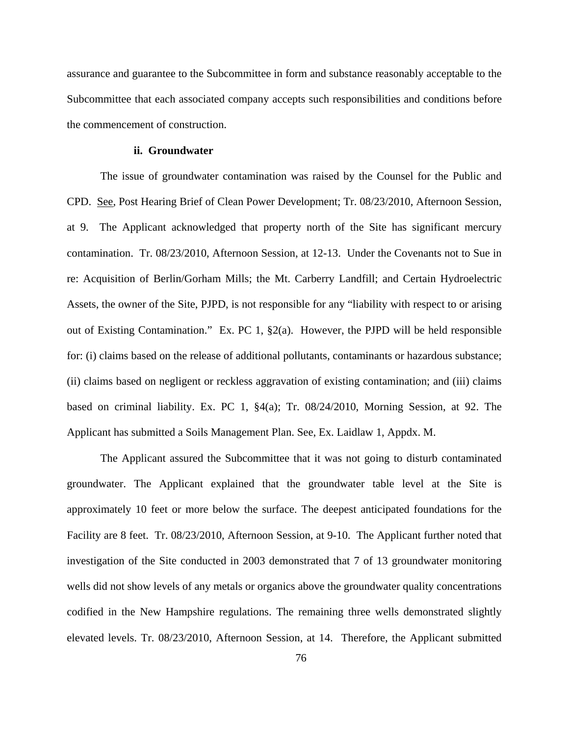assurance and guarantee to the Subcommittee in form and substance reasonably acceptable to the Subcommittee that each associated company accepts such responsibilities and conditions before the commencement of construction.

### **ii. Groundwater**

The issue of groundwater contamination was raised by the Counsel for the Public and CPD. See, Post Hearing Brief of Clean Power Development; Tr. 08/23/2010, Afternoon Session, at 9. The Applicant acknowledged that property north of the Site has significant mercury contamination. Tr. 08/23/2010, Afternoon Session, at 12-13. Under the Covenants not to Sue in re: Acquisition of Berlin/Gorham Mills; the Mt. Carberry Landfill; and Certain Hydroelectric Assets, the owner of the Site, PJPD, is not responsible for any "liability with respect to or arising out of Existing Contamination." Ex. PC 1, §2(a). However, the PJPD will be held responsible for: (i) claims based on the release of additional pollutants, contaminants or hazardous substance; (ii) claims based on negligent or reckless aggravation of existing contamination; and (iii) claims based on criminal liability. Ex. PC 1, §4(a); Tr. 08/24/2010, Morning Session, at 92. The Applicant has submitted a Soils Management Plan. See, Ex. Laidlaw 1, Appdx. M.

The Applicant assured the Subcommittee that it was not going to disturb contaminated groundwater. The Applicant explained that the groundwater table level at the Site is approximately 10 feet or more below the surface. The deepest anticipated foundations for the Facility are 8 feet. Tr. 08/23/2010, Afternoon Session, at 9-10. The Applicant further noted that investigation of the Site conducted in 2003 demonstrated that 7 of 13 groundwater monitoring wells did not show levels of any metals or organics above the groundwater quality concentrations codified in the New Hampshire regulations. The remaining three wells demonstrated slightly elevated levels. Tr. 08/23/2010, Afternoon Session, at 14. Therefore, the Applicant submitted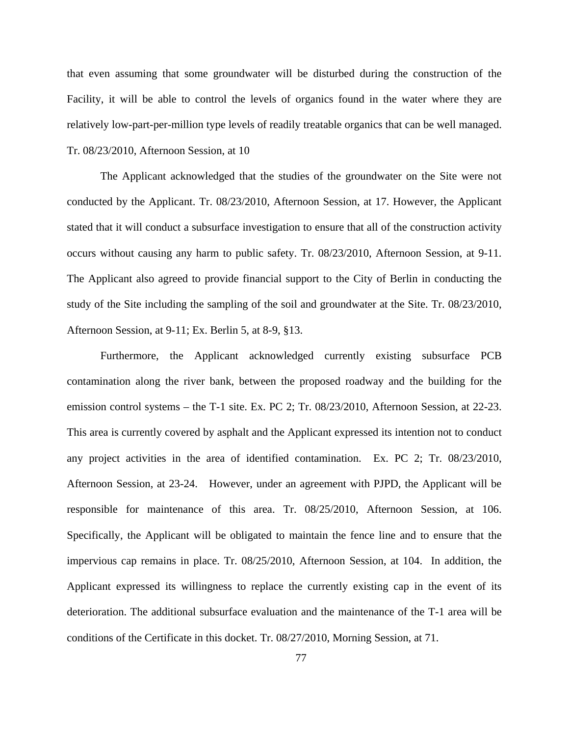that even assuming that some groundwater will be disturbed during the construction of the Facility, it will be able to control the levels of organics found in the water where they are relatively low-part-per-million type levels of readily treatable organics that can be well managed. Tr. 08/23/2010, Afternoon Session, at 10

The Applicant acknowledged that the studies of the groundwater on the Site were not conducted by the Applicant. Tr. 08/23/2010, Afternoon Session, at 17. However, the Applicant stated that it will conduct a subsurface investigation to ensure that all of the construction activity occurs without causing any harm to public safety. Tr. 08/23/2010, Afternoon Session, at 9-11. The Applicant also agreed to provide financial support to the City of Berlin in conducting the study of the Site including the sampling of the soil and groundwater at the Site. Tr. 08/23/2010, Afternoon Session, at 9-11; Ex. Berlin 5, at 8-9, §13.

Furthermore, the Applicant acknowledged currently existing subsurface PCB contamination along the river bank, between the proposed roadway and the building for the emission control systems – the T-1 site. Ex. PC 2; Tr. 08/23/2010, Afternoon Session, at 22-23. This area is currently covered by asphalt and the Applicant expressed its intention not to conduct any project activities in the area of identified contamination. Ex. PC 2; Tr. 08/23/2010, Afternoon Session, at 23-24. However, under an agreement with PJPD, the Applicant will be responsible for maintenance of this area. Tr. 08/25/2010, Afternoon Session, at 106. Specifically, the Applicant will be obligated to maintain the fence line and to ensure that the impervious cap remains in place. Tr. 08/25/2010, Afternoon Session, at 104. In addition, the Applicant expressed its willingness to replace the currently existing cap in the event of its deterioration. The additional subsurface evaluation and the maintenance of the T-1 area will be conditions of the Certificate in this docket. Tr. 08/27/2010, Morning Session, at 71.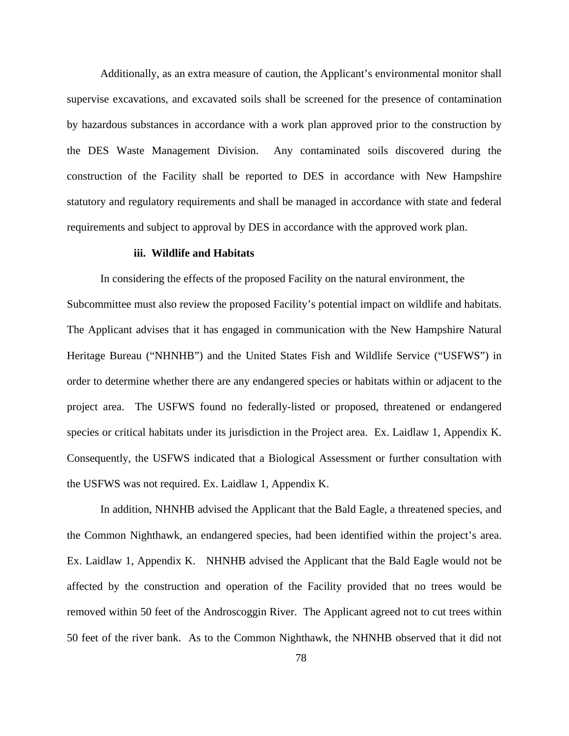Additionally, as an extra measure of caution, the Applicant's environmental monitor shall supervise excavations, and excavated soils shall be screened for the presence of contamination by hazardous substances in accordance with a work plan approved prior to the construction by the DES Waste Management Division. Any contaminated soils discovered during the construction of the Facility shall be reported to DES in accordance with New Hampshire statutory and regulatory requirements and shall be managed in accordance with state and federal requirements and subject to approval by DES in accordance with the approved work plan.

### **iii. Wildlife and Habitats**

In considering the effects of the proposed Facility on the natural environment, the Subcommittee must also review the proposed Facility's potential impact on wildlife and habitats. The Applicant advises that it has engaged in communication with the New Hampshire Natural Heritage Bureau ("NHNHB") and the United States Fish and Wildlife Service ("USFWS") in order to determine whether there are any endangered species or habitats within or adjacent to the project area. The USFWS found no federally-listed or proposed, threatened or endangered species or critical habitats under its jurisdiction in the Project area. Ex. Laidlaw 1, Appendix K. Consequently, the USFWS indicated that a Biological Assessment or further consultation with the USFWS was not required. Ex. Laidlaw 1, Appendix K.

In addition, NHNHB advised the Applicant that the Bald Eagle, a threatened species, and the Common Nighthawk, an endangered species, had been identified within the project's area. Ex. Laidlaw 1, Appendix K. NHNHB advised the Applicant that the Bald Eagle would not be affected by the construction and operation of the Facility provided that no trees would be removed within 50 feet of the Androscoggin River. The Applicant agreed not to cut trees within 50 feet of the river bank. As to the Common Nighthawk, the NHNHB observed that it did not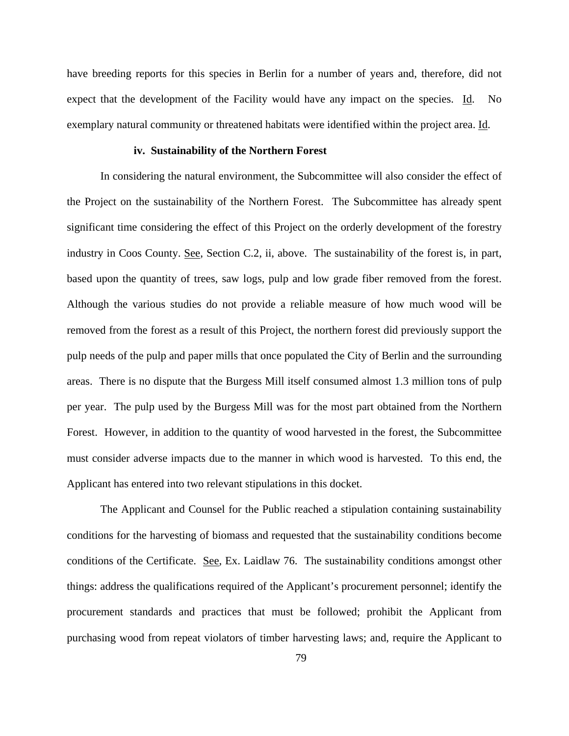have breeding reports for this species in Berlin for a number of years and, therefore, did not expect that the development of the Facility would have any impact on the species. Id. No exemplary natural community or threatened habitats were identified within the project area. Id.

### **iv. Sustainability of the Northern Forest**

In considering the natural environment, the Subcommittee will also consider the effect of the Project on the sustainability of the Northern Forest. The Subcommittee has already spent significant time considering the effect of this Project on the orderly development of the forestry industry in Coos County. See, Section C.2, ii, above. The sustainability of the forest is, in part, based upon the quantity of trees, saw logs, pulp and low grade fiber removed from the forest. Although the various studies do not provide a reliable measure of how much wood will be removed from the forest as a result of this Project, the northern forest did previously support the pulp needs of the pulp and paper mills that once populated the City of Berlin and the surrounding areas. There is no dispute that the Burgess Mill itself consumed almost 1.3 million tons of pulp per year. The pulp used by the Burgess Mill was for the most part obtained from the Northern Forest. However, in addition to the quantity of wood harvested in the forest, the Subcommittee must consider adverse impacts due to the manner in which wood is harvested. To this end, the Applicant has entered into two relevant stipulations in this docket.

The Applicant and Counsel for the Public reached a stipulation containing sustainability conditions for the harvesting of biomass and requested that the sustainability conditions become conditions of the Certificate. See, Ex. Laidlaw 76. The sustainability conditions amongst other things: address the qualifications required of the Applicant's procurement personnel; identify the procurement standards and practices that must be followed; prohibit the Applicant from purchasing wood from repeat violators of timber harvesting laws; and, require the Applicant to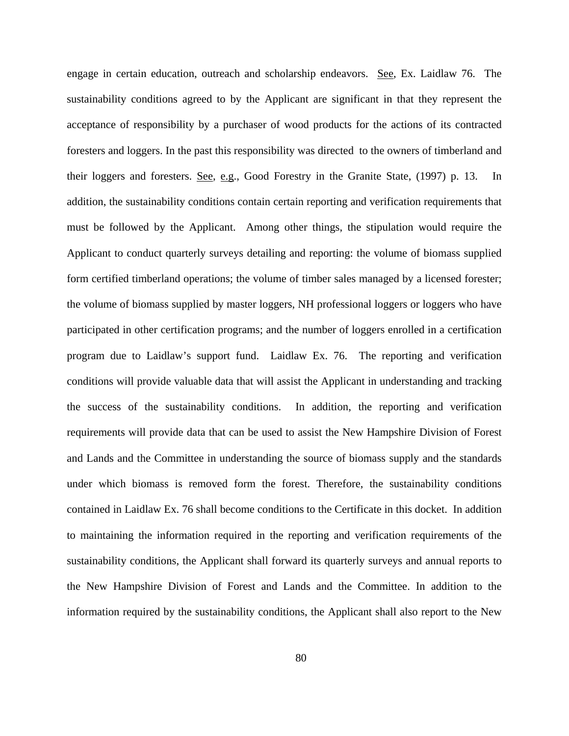engage in certain education, outreach and scholarship endeavors. See, Ex. Laidlaw 76. The sustainability conditions agreed to by the Applicant are significant in that they represent the acceptance of responsibility by a purchaser of wood products for the actions of its contracted foresters and loggers. In the past this responsibility was directed to the owners of timberland and their loggers and foresters. See, e.g., Good Forestry in the Granite State, (1997) p. 13. In addition, the sustainability conditions contain certain reporting and verification requirements that must be followed by the Applicant. Among other things, the stipulation would require the Applicant to conduct quarterly surveys detailing and reporting: the volume of biomass supplied form certified timberland operations; the volume of timber sales managed by a licensed forester; the volume of biomass supplied by master loggers, NH professional loggers or loggers who have participated in other certification programs; and the number of loggers enrolled in a certification program due to Laidlaw's support fund. Laidlaw Ex. 76. The reporting and verification conditions will provide valuable data that will assist the Applicant in understanding and tracking the success of the sustainability conditions. In addition, the reporting and verification requirements will provide data that can be used to assist the New Hampshire Division of Forest and Lands and the Committee in understanding the source of biomass supply and the standards under which biomass is removed form the forest. Therefore, the sustainability conditions contained in Laidlaw Ex. 76 shall become conditions to the Certificate in this docket. In addition to maintaining the information required in the reporting and verification requirements of the sustainability conditions, the Applicant shall forward its quarterly surveys and annual reports to the New Hampshire Division of Forest and Lands and the Committee. In addition to the information required by the sustainability conditions, the Applicant shall also report to the New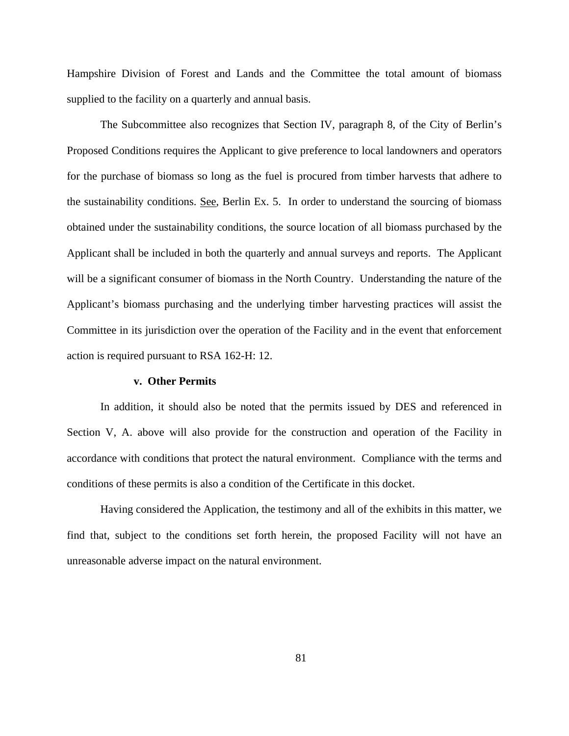Hampshire Division of Forest and Lands and the Committee the total amount of biomass supplied to the facility on a quarterly and annual basis.

The Subcommittee also recognizes that Section IV, paragraph 8, of the City of Berlin's Proposed Conditions requires the Applicant to give preference to local landowners and operators for the purchase of biomass so long as the fuel is procured from timber harvests that adhere to the sustainability conditions. See, Berlin Ex. 5. In order to understand the sourcing of biomass obtained under the sustainability conditions, the source location of all biomass purchased by the Applicant shall be included in both the quarterly and annual surveys and reports. The Applicant will be a significant consumer of biomass in the North Country. Understanding the nature of the Applicant's biomass purchasing and the underlying timber harvesting practices will assist the Committee in its jurisdiction over the operation of the Facility and in the event that enforcement action is required pursuant to RSA 162-H: 12.

### **v. Other Permits**

In addition, it should also be noted that the permits issued by DES and referenced in Section V, A. above will also provide for the construction and operation of the Facility in accordance with conditions that protect the natural environment. Compliance with the terms and conditions of these permits is also a condition of the Certificate in this docket.

Having considered the Application, the testimony and all of the exhibits in this matter, we find that, subject to the conditions set forth herein, the proposed Facility will not have an unreasonable adverse impact on the natural environment.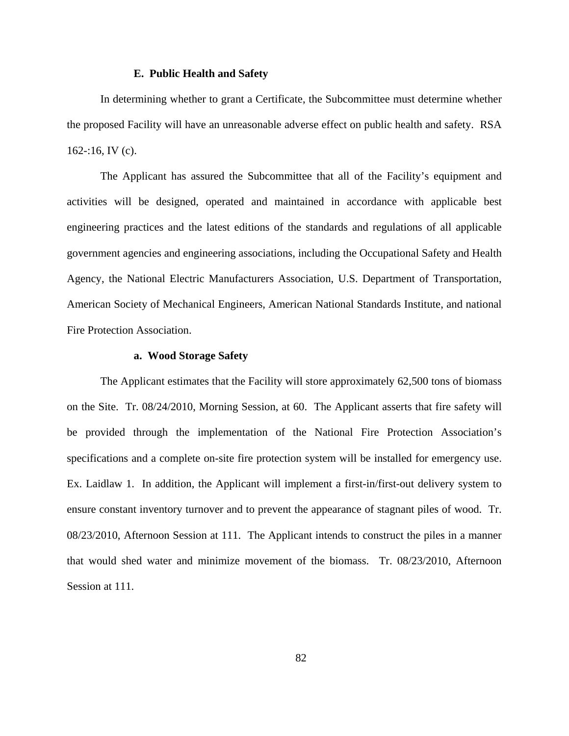#### **E. Public Health and Safety**

In determining whether to grant a Certificate, the Subcommittee must determine whether the proposed Facility will have an unreasonable adverse effect on public health and safety. RSA 162 $-16$ , IV (c).

The Applicant has assured the Subcommittee that all of the Facility's equipment and activities will be designed, operated and maintained in accordance with applicable best engineering practices and the latest editions of the standards and regulations of all applicable government agencies and engineering associations, including the Occupational Safety and Health Agency, the National Electric Manufacturers Association, U.S. Department of Transportation, American Society of Mechanical Engineers, American National Standards Institute, and national Fire Protection Association.

# **a. Wood Storage Safety**

The Applicant estimates that the Facility will store approximately 62,500 tons of biomass on the Site. Tr. 08/24/2010, Morning Session, at 60. The Applicant asserts that fire safety will be provided through the implementation of the National Fire Protection Association's specifications and a complete on-site fire protection system will be installed for emergency use. Ex. Laidlaw 1. In addition, the Applicant will implement a first-in/first-out delivery system to ensure constant inventory turnover and to prevent the appearance of stagnant piles of wood. Tr. 08/23/2010, Afternoon Session at 111. The Applicant intends to construct the piles in a manner that would shed water and minimize movement of the biomass. Tr. 08/23/2010, Afternoon Session at 111.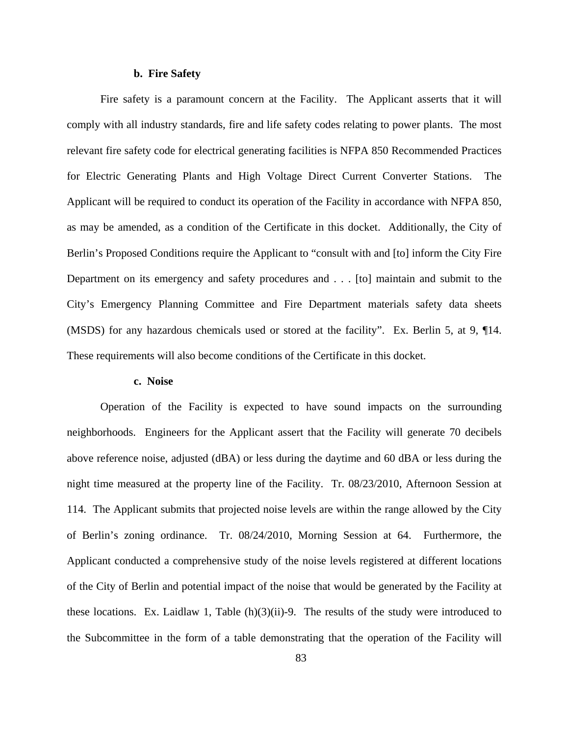### **b.****Fire Safety**

Fire safety is a paramount concern at the Facility. The Applicant asserts that it will comply with all industry standards, fire and life safety codes relating to power plants. The most relevant fire safety code for electrical generating facilities is NFPA 850 Recommended Practices for Electric Generating Plants and High Voltage Direct Current Converter Stations. The Applicant will be required to conduct its operation of the Facility in accordance with NFPA 850, as may be amended, as a condition of the Certificate in this docket. Additionally, the City of Berlin's Proposed Conditions require the Applicant to "consult with and [to] inform the City Fire Department on its emergency and safety procedures and . . . [to] maintain and submit to the City's Emergency Planning Committee and Fire Department materials safety data sheets (MSDS) for any hazardous chemicals used or stored at the facility". Ex. Berlin 5, at 9, ¶14. These requirements will also become conditions of the Certificate in this docket.

### **c. Noise**

Operation of the Facility is expected to have sound impacts on the surrounding neighborhoods. Engineers for the Applicant assert that the Facility will generate 70 decibels above reference noise, adjusted (dBA) or less during the daytime and 60 dBA or less during the night time measured at the property line of the Facility. Tr. 08/23/2010, Afternoon Session at 114. The Applicant submits that projected noise levels are within the range allowed by the City of Berlin's zoning ordinance. Tr. 08/24/2010, Morning Session at 64. Furthermore, the Applicant conducted a comprehensive study of the noise levels registered at different locations of the City of Berlin and potential impact of the noise that would be generated by the Facility at these locations. Ex. Laidlaw 1, Table  $(h)(3)(ii)$ -9. The results of the study were introduced to the Subcommittee in the form of a table demonstrating that the operation of the Facility will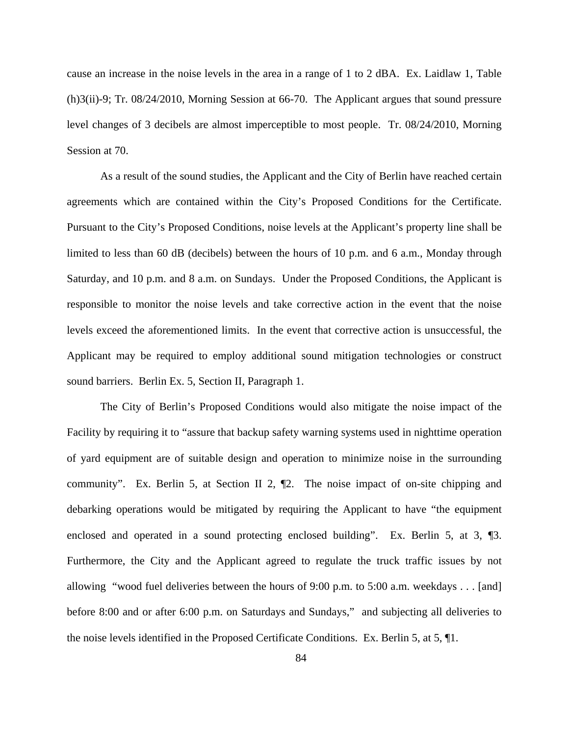cause an increase in the noise levels in the area in a range of 1 to 2 dBA. Ex. Laidlaw 1, Table (h)3(ii)-9; Tr. 08/24/2010, Morning Session at 66-70. The Applicant argues that sound pressure level changes of 3 decibels are almost imperceptible to most people. Tr. 08/24/2010, Morning Session at 70.

As a result of the sound studies, the Applicant and the City of Berlin have reached certain agreements which are contained within the City's Proposed Conditions for the Certificate. Pursuant to the City's Proposed Conditions, noise levels at the Applicant's property line shall be limited to less than 60 dB (decibels) between the hours of 10 p.m. and 6 a.m., Monday through Saturday, and 10 p.m. and 8 a.m. on Sundays. Under the Proposed Conditions, the Applicant is responsible to monitor the noise levels and take corrective action in the event that the noise levels exceed the aforementioned limits. In the event that corrective action is unsuccessful, the Applicant may be required to employ additional sound mitigation technologies or construct sound barriers. Berlin Ex. 5, Section II, Paragraph 1.

The City of Berlin's Proposed Conditions would also mitigate the noise impact of the Facility by requiring it to "assure that backup safety warning systems used in nighttime operation of yard equipment are of suitable design and operation to minimize noise in the surrounding community". Ex. Berlin 5, at Section II 2, ¶2. The noise impact of on-site chipping and debarking operations would be mitigated by requiring the Applicant to have "the equipment enclosed and operated in a sound protecting enclosed building". Ex. Berlin 5, at 3, 13. Furthermore, the City and the Applicant agreed to regulate the truck traffic issues by not allowing "wood fuel deliveries between the hours of 9:00 p.m. to 5:00 a.m. weekdays . . . [and] before 8:00 and or after 6:00 p.m. on Saturdays and Sundays," and subjecting all deliveries to the noise levels identified in the Proposed Certificate Conditions. Ex. Berlin 5, at 5, ¶1.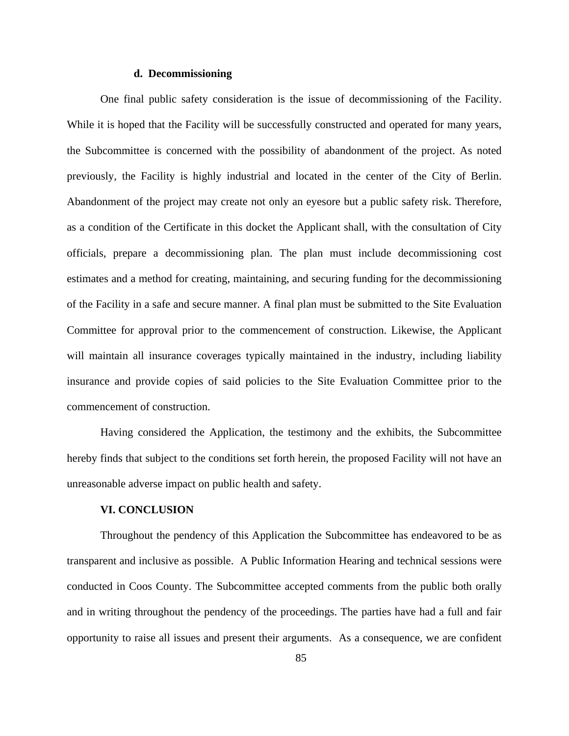### **d. Decommissioning**

One final public safety consideration is the issue of decommissioning of the Facility. While it is hoped that the Facility will be successfully constructed and operated for many years, the Subcommittee is concerned with the possibility of abandonment of the project. As noted previously, the Facility is highly industrial and located in the center of the City of Berlin. Abandonment of the project may create not only an eyesore but a public safety risk. Therefore, as a condition of the Certificate in this docket the Applicant shall, with the consultation of City officials, prepare a decommissioning plan. The plan must include decommissioning cost estimates and a method for creating, maintaining, and securing funding for the decommissioning of the Facility in a safe and secure manner. A final plan must be submitted to the Site Evaluation Committee for approval prior to the commencement of construction. Likewise, the Applicant will maintain all insurance coverages typically maintained in the industry, including liability insurance and provide copies of said policies to the Site Evaluation Committee prior to the commencement of construction.

Having considered the Application, the testimony and the exhibits, the Subcommittee hereby finds that subject to the conditions set forth herein, the proposed Facility will not have an unreasonable adverse impact on public health and safety.

### **VI. CONCLUSION**

Throughout the pendency of this Application the Subcommittee has endeavored to be as transparent and inclusive as possible. A Public Information Hearing and technical sessions were conducted in Coos County. The Subcommittee accepted comments from the public both orally and in writing throughout the pendency of the proceedings. The parties have had a full and fair opportunity to raise all issues and present their arguments. As a consequence, we are confident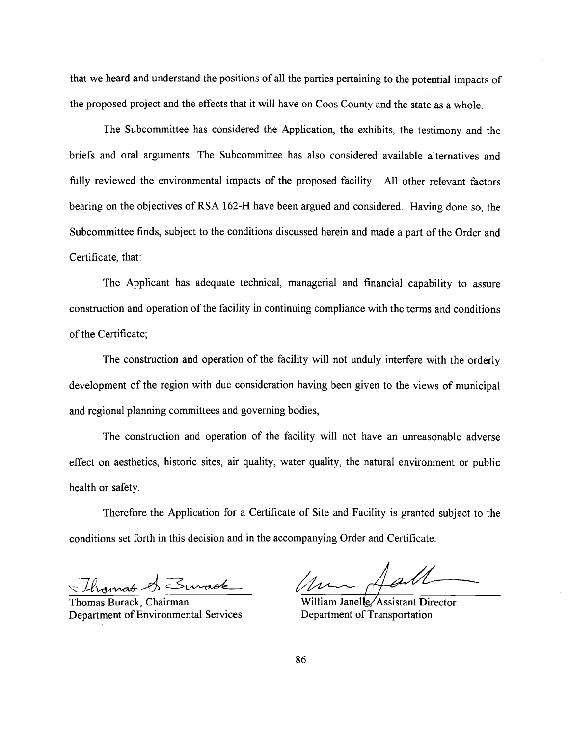that we heard and understand the positions of all the parties pertaining to the potential impacts of the proposed project and the effects that it will have on Coos County and the state as a whole.

The Subcommittee has considered the Application, the exhibits, the testimony and the briefs and oral arguments. The Subcommittee has also considered available alternatives and fully reviewed the environmental impacts of the proposed facility. All other relevant factors bearing on the objectives of RSA 162-H have been argued and considered. Having done so, the Subcommittee finds, subject to the conditions discussed herein and made a part of the Order and Certificate, that:

The Applicant has adequate technical, managerial and financial capability to assure construction and operation of the facility in continuing compliance with the terms and conditions of the Certificate;

The construction and operation of the facility will not unduly interfere with the orderly development of the region with due consideration having been given to the views of municipal and regional planning committees and governing bodies;

The construction and operation of the facility will not have an unreasonable adverse effect on aesthetics, historic sites, air quality, water quality, the natural environment or public health or safety.

Therefore the Application for a Certificate of Site and Facility is granted subject to the conditions set forth in this decision and in the accompanying Order and Certificate.

Thomas A Suraok

Thomas Burack, Chairman Department of Environmental Services

Sall

William Janelle/Assistant Director Department of Transportation

86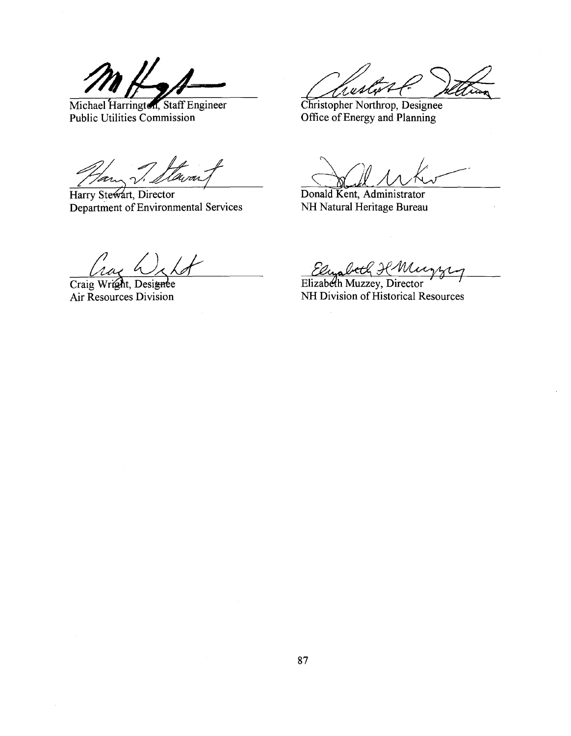Michael Harrington, Staff Engineer Public Utilities Commission

.<br>U rois

Harry Stewart, Director Department of Environmental Services

.u A

Christopher Northrop, Designee Office of Energy and Planning

Donald Kent, Administrator NH Natural Heritage Bureau

Crac h

Craig Wright, Designee Air Resources Division

Elyabeth H Mucy

NH Division of Historical Resources